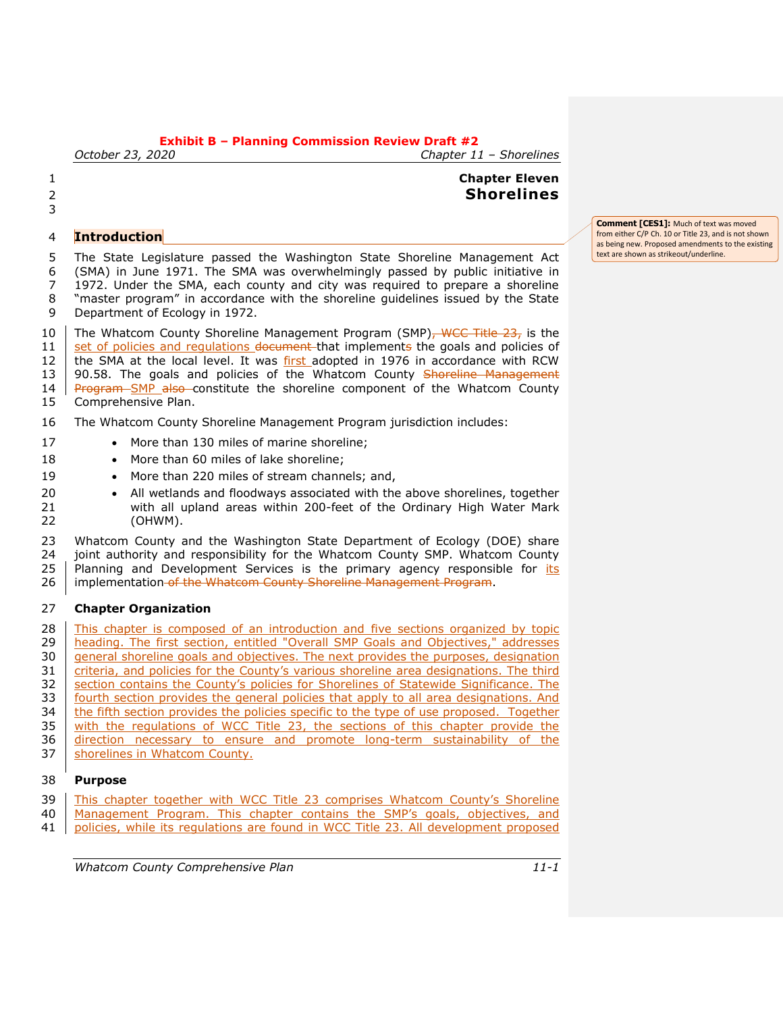# *October 23, 2020 Chapter 11 – Shorelines*

# 1 **Chapter Eleven** 2 **Shorelines**

# 4 **Introduction**

3

 The State Legislature passed the Washington State Shoreline Management Act (SMA) in June 1971. The SMA was overwhelmingly passed by public initiative in 1972. Under the SMA, each county and city was required to prepare a shoreline "master program" in accordance with the shoreline guidelines issued by the State Department of Ecology in 1972.

10 The Whatcom County Shoreline Management Program (SMP), WCC Title 23, is the 11 set of policies and regulations document that implements the goals and policies of 12 the SMA at the local level. It was first adopted in 1976 in accordance with RCW 13 90.58. The goals and policies of the Whatcom County Shoreline Management 14 Program SMP also constitute the shoreline component of the Whatcom County 15 Comprehensive Plan.

- 16 The Whatcom County Shoreline Management Program jurisdiction includes:
- 17 More than 130 miles of marine shoreline;
- 18 More than 60 miles of lake shoreline;
- 19 More than 220 miles of stream channels; and,
- 20 All wetlands and floodways associated with the above shorelines, together 21 with all upland areas within 200-feet of the Ordinary High Water Mark<br>22 (OHWM). (OHWM).

23 Whatcom County and the Washington State Department of Ecology (DOE) share 24 joint authority and responsibility for the Whatcom County SMP. Whatcom County 25 Planning and Development Services is the primary agency responsible for its 26 implementation of the Whatcom County Shoreline Management Program.

# 27 **Chapter Organization**

28 This chapter is composed of an introduction and five sections organized by topic 29 heading. The first section, entitled "Overall SMP Goals and Objectives," addresses 30 general shoreline goals and objectives. The next provides the purposes, designation 31 criteria, and policies for the County's various shoreline area designations. The third 32 Section contains the County's policies for Shorelines of Statewide Significance. The 33 fourth section provides the general policies that apply to all area designations. And 34 the fifth section provides the policies specific to the type of use proposed. Together  $35$  with the regulations of WCC Title 23, the sections of this chapter provide the 36 direction necessary to ensure and promote long-term sustainability of the 37 Shorelines in Whatcom County.

#### 38 **Purpose**

- 39 This chapter together with WCC Title 23 comprises Whatcom County's Shoreline
- 40 Management Program. This chapter contains the SMP's goals, objectives, and 41 policies, while its regulations are found in WCC Title 23. All development proposed
- 

*Whatcom County Comprehensive Plan 11-1*

**Comment [CES1]:** Much of text was moved from either C/P Ch. 10 or Title 23, and is not shown as being new. Proposed amendments to the existing text are shown as strikeout/underline.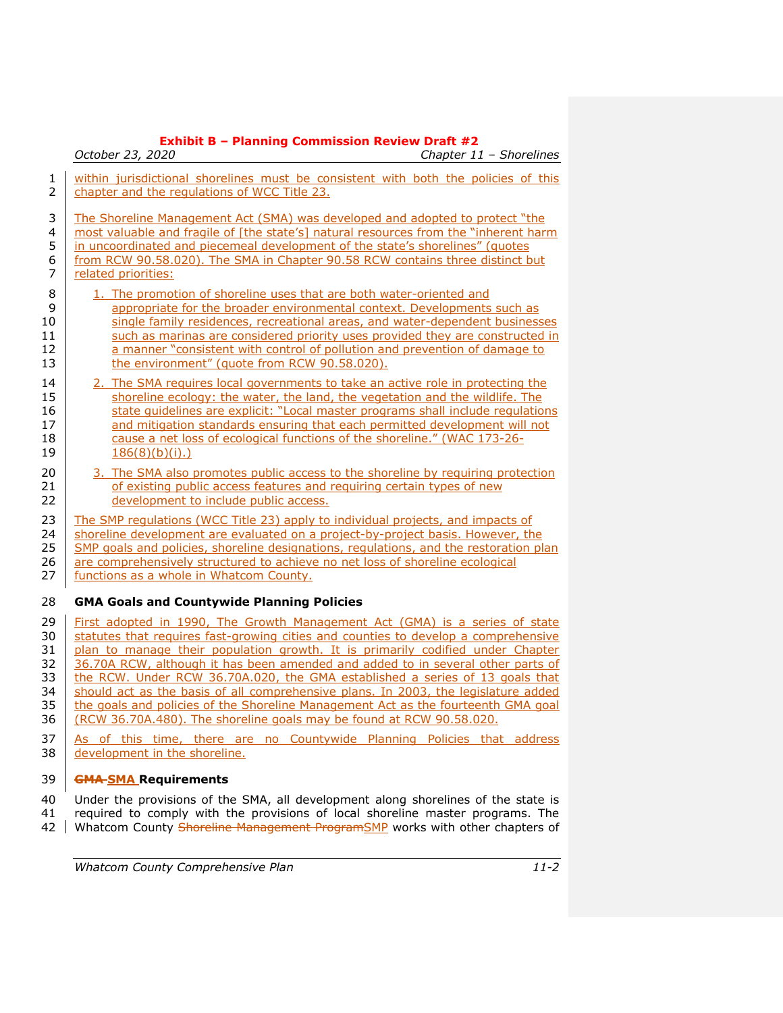|                                                           | October 23, 2020                                                                                                                                                                                                                                                                                                                                                                                                                              | Chapter 11 - Shorelines |
|-----------------------------------------------------------|-----------------------------------------------------------------------------------------------------------------------------------------------------------------------------------------------------------------------------------------------------------------------------------------------------------------------------------------------------------------------------------------------------------------------------------------------|-------------------------|
| 1<br>$\overline{2}$                                       | within jurisdictional shorelines must be consistent with both the policies of this<br>chapter and the regulations of WCC Title 23.                                                                                                                                                                                                                                                                                                            |                         |
| 3<br>$\overline{\mathcal{A}}$<br>5<br>6<br>$\overline{7}$ | The Shoreline Management Act (SMA) was developed and adopted to protect "the<br>most valuable and fragile of [the state's] natural resources from the "inherent harm<br>in uncoordinated and piecemeal development of the state's shorelines" (quotes<br>from RCW 90.58.020). The SMA in Chapter 90.58 RCW contains three distinct but<br>related priorities:                                                                                 |                         |
| 8<br>9<br>10<br>11<br>12<br>13                            | 1. The promotion of shoreline uses that are both water-oriented and<br>appropriate for the broader environmental context. Developments such as<br>single family residences, recreational areas, and water-dependent businesses<br>such as marinas are considered priority uses provided they are constructed in<br>a manner "consistent with control of pollution and prevention of damage to<br>the environment" (quote from RCW 90.58.020). |                         |
| 14<br>15<br>16<br>17<br>18<br>19                          | 2. The SMA requires local governments to take an active role in protecting the<br>shoreline ecology: the water, the land, the vegetation and the wildlife. The<br>state quidelines are explicit: "Local master programs shall include regulations<br>and mitigation standards ensuring that each permitted development will not<br>cause a net loss of ecological functions of the shoreline." (WAC 173-26-<br>$186(8)(b)(i)$ .               |                         |
| 20<br>21<br>22                                            | 3. The SMA also promotes public access to the shoreline by requiring protection<br>of existing public access features and requiring certain types of new<br>development to include public access.                                                                                                                                                                                                                                             |                         |
| 23<br>24<br>25<br>26<br>27                                | The SMP requlations (WCC Title 23) apply to individual projects, and impacts of<br>shoreline development are evaluated on a project-by-project basis. However, the<br>SMP goals and policies, shoreline designations, regulations, and the restoration plan<br>are comprehensively structured to achieve no net loss of shoreline ecological<br>functions as a whole in Whatcom County.                                                       |                         |
| 28                                                        | <b>GMA Goals and Countywide Planning Policies</b>                                                                                                                                                                                                                                                                                                                                                                                             |                         |
| 29<br>30<br>31<br>32<br>33                                | First adopted in 1990, The Growth Management Act (GMA) is a series of state<br>statutes that requires fast-growing cities and counties to develop a comprehensive<br>plan to manage their population growth. It is primarily codified under Chapter<br>36.70A RCW, although it has been amended and added to in several other parts of<br>the RCW. Under RCW 36.70A.020, the GMA established a series of 13 goals that                        |                         |
|                                                           |                                                                                                                                                                                                                                                                                                                                                                                                                                               |                         |

 should act as the basis of all comprehensive plans. In 2003, the legislature added 35 the goals and policies of the Shoreline Management Act as the fourteenth GMA goal (RCW 36.70A.480). The shoreline goals may be found at RCW 90.58.020.

 $37 \overline{\smash{\big)}\xspace}$  As of this time, there are no Countywide Planning Policies that address 38 development in the shoreline. development in the shoreline.

#### **GMA SMA Requirements**

Under the provisions of the SMA, all development along shorelines of the state is

 required to comply with the provisions of local shoreline master programs. The 42 Whatcom County Shoreline Management ProgramSMP works with other chapters of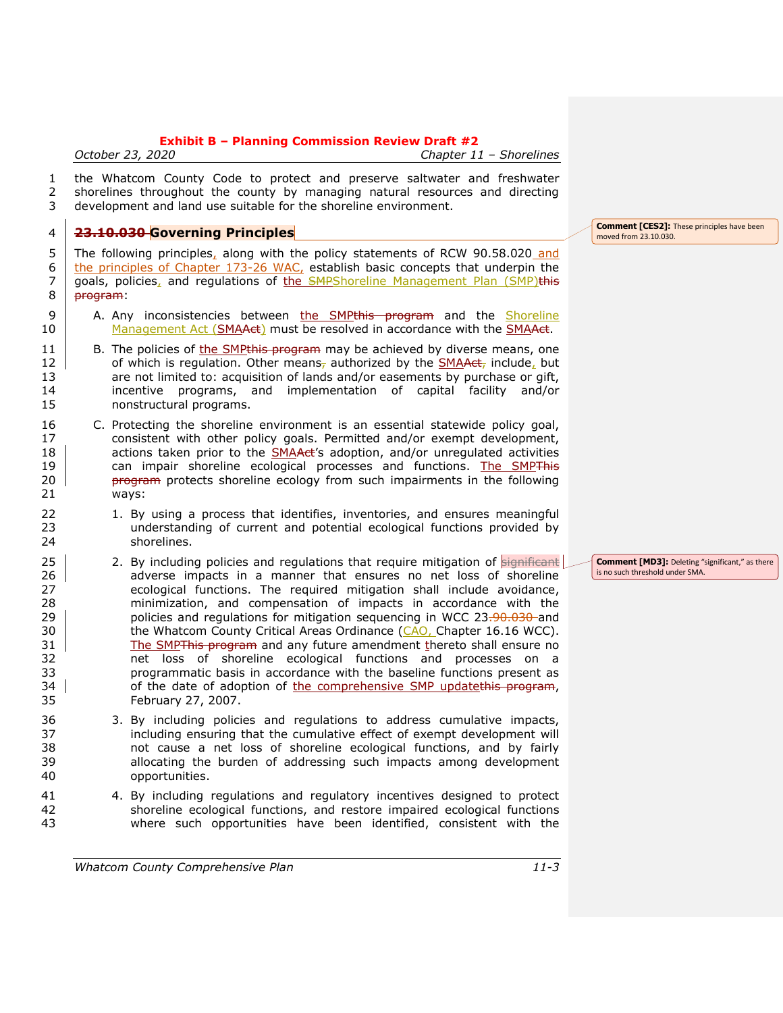*October 23, 2020 Chapter 11 – Shorelines*

1 the Whatcom County Code to protect and preserve saltwater and freshwater 2 shorelines throughout the county by managing natural resources and directing 3 development and land use suitable for the shoreline environment.

## 4 **23.10.030 Governing Principles**

5 The following principles, along with the policy statements of RCW 90.58.020 and 6 the principles of Chapter 173-26 WAC, establish basic concepts that underpin the 7 | goals, policies, and regulations of the **SMPShoreline Management Plan (SMP)this** 8 <del>program</del>:

- 9 | A. Any inconsistencies between the SMPthis program and the Shoreline 10 Management Act (SMAAct) must be resolved in accordance with the SMAAct.
- 11 B. The policies of the SMPthis program may be achieved by diverse means, one 12 of which is regulation. Other means, authorized by the SMA $\text{Act}_r$  include, but 13 are not limited to: acquisition of lands and/or easements by purchase or gift, 14 incentive programs, and implementation of capital facility and/or 15 nonstructural programs.
- 16 C. Protecting the shoreline environment is an essential statewide policy goal, 17 consistent with other policy goals. Permitted and/or exempt development, 18  $\vert$  actions taken prior to the  $\underline{SMAAt}$ 's adoption, and/or unregulated activities 19 can impair shoreline ecological processes and functions. The SMPThis 20 **program** protects shoreline ecology from such impairments in the following 21 ways:
- 22 1. By using a process that identifies, inventories, and ensures meaningful 23 understanding of current and potential ecological functions provided by 24 shorelines.
- $25$  2. By including policies and regulations that require mitigation of  $\frac{1}{9}$ 26 adverse impacts in a manner that ensures no net loss of shoreline 27 ecological functions. The required mitigation shall include avoidance,<br>28 minimization, and compensation of impacts in accordance with the minimization, and compensation of impacts in accordance with the 29 **policies and regulations for mitigation sequencing in WCC 23.90.030 and**  $30$  the Whatcom County Critical Areas Ordinance (CAO, Chapter 16.16 WCC). 31 The SMPThis program and any future amendment thereto shall ensure no 32 net loss of shoreline ecological functions and processes on a 33 programmatic basis in accordance with the baseline functions present as 34 of the date of adoption of the comprehensive SMP updatethis program, 35 February 27, 2007.
- 36 3. By including policies and regulations to address cumulative impacts, 37 including ensuring that the cumulative effect of exempt development will 38 not cause a net loss of shoreline ecological functions, and by fairly 39 allocating the burden of addressing such impacts among development 40 opportunities.
- 41 4. By including regulations and regulatory incentives designed to protect 42 shoreline ecological functions, and restore impaired ecological functions 43 where such opportunities have been identified, consistent with the

**Comment [CES2]:** These principles have been moved from 23.10.030.

**Comment [MD3]:** Deleting "significant," as there is no such threshold under SMA.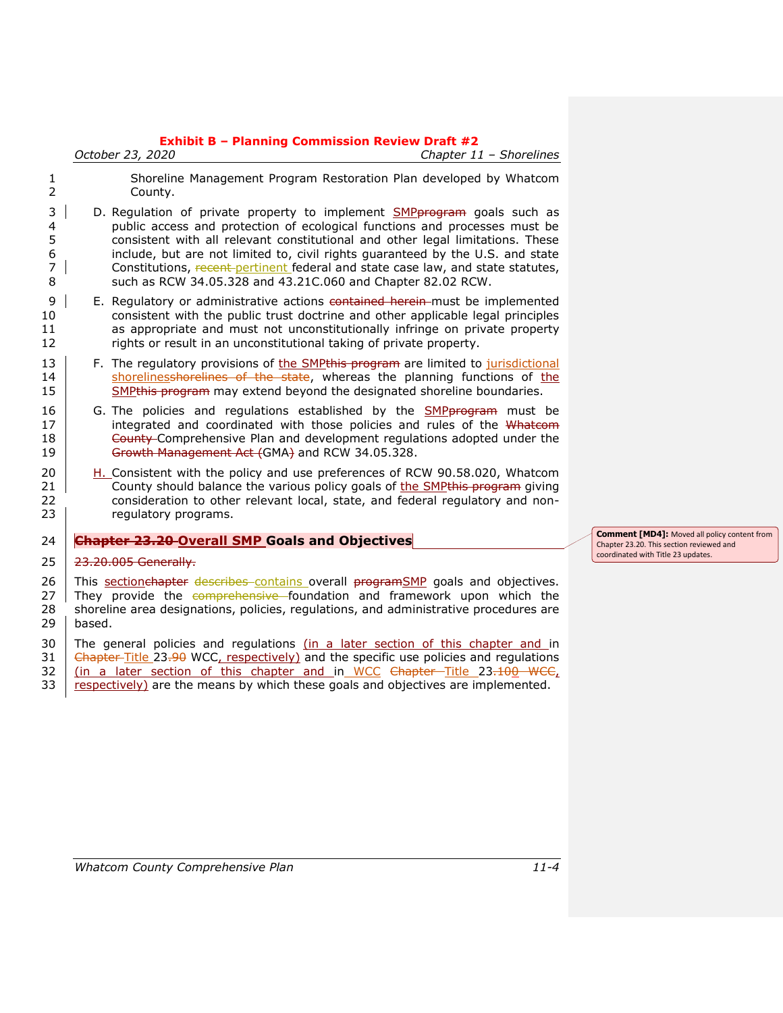|                                         | October 23, 2020<br>Chapter 11 - Shorelines                                                                                                                                                                                                                                                                                                                                                                                                                                         |  |
|-----------------------------------------|-------------------------------------------------------------------------------------------------------------------------------------------------------------------------------------------------------------------------------------------------------------------------------------------------------------------------------------------------------------------------------------------------------------------------------------------------------------------------------------|--|
| 1<br>$\overline{2}$                     | Shoreline Management Program Restoration Plan developed by Whatcom<br>County.                                                                                                                                                                                                                                                                                                                                                                                                       |  |
| 3<br>4<br>5<br>6<br>$\overline{7}$<br>8 | D. Regulation of private property to implement <b>SMP</b> program goals such as<br>public access and protection of ecological functions and processes must be<br>consistent with all relevant constitutional and other legal limitations. These<br>include, but are not limited to, civil rights guaranteed by the U.S. and state<br>Constitutions, recent-pertinent federal and state case law, and state statutes,<br>such as RCW 34.05.328 and 43.21C.060 and Chapter 82.02 RCW. |  |
| 9<br>10<br>11<br>12                     | E. Regulatory or administrative actions contained herein must be implemented<br>consistent with the public trust doctrine and other applicable legal principles<br>as appropriate and must not unconstitutionally infringe on private property<br>rights or result in an unconstitutional taking of private property.                                                                                                                                                               |  |
| 13<br>14<br>15                          | F. The regulatory provisions of the SMPthis program are limited to jurisdictional<br>shorelinesshorelines of the state, whereas the planning functions of the<br>SMPthis program may extend beyond the designated shoreline boundaries.                                                                                                                                                                                                                                             |  |
| 16<br>17<br>18<br>19                    | G. The policies and regulations established by the SMPprogram must be<br>integrated and coordinated with those policies and rules of the Whateom<br>County-Comprehensive Plan and development regulations adopted under the<br>Growth Management Act (GMA) and RCW 34.05.328.                                                                                                                                                                                                       |  |
| 20<br>21<br>22<br>23                    | H. Consistent with the policy and use preferences of RCW 90.58.020, Whatcom<br>County should balance the various policy goals of the SMPthis program giving<br>consideration to other relevant local, state, and federal regulatory and non-<br>regulatory programs.                                                                                                                                                                                                                |  |
| 24                                      | <b>Chapter 23.20 Overall SMP Goals and Objectives</b>                                                                                                                                                                                                                                                                                                                                                                                                                               |  |
| 25                                      | 23.20.005 Generally.                                                                                                                                                                                                                                                                                                                                                                                                                                                                |  |
| 26<br>27<br>28<br>29                    | This sectionehapter describes-contains overall programSMP goals and objectives.<br>They provide the comprehensive foundation and framework upon which the<br>shoreline area designations, policies, regulations, and administrative procedures are<br>based.                                                                                                                                                                                                                        |  |
| 30<br>31<br>32<br>33                    | The general policies and regulations (in a later section of this chapter and in<br>Chapter-Title 23.90 WCC, respectively) and the specific use policies and regulations<br>(in a later section of this chapter and in WCC Chapter-Title 23.100 WCC,<br>respectively) are the means by which these goals and objectives are implemented.                                                                                                                                             |  |
|                                         |                                                                                                                                                                                                                                                                                                                                                                                                                                                                                     |  |

**Comment [MD4]:** Moved all policy content from Chapter 23.20. This section reviewed and coordinated with Title 23 updates.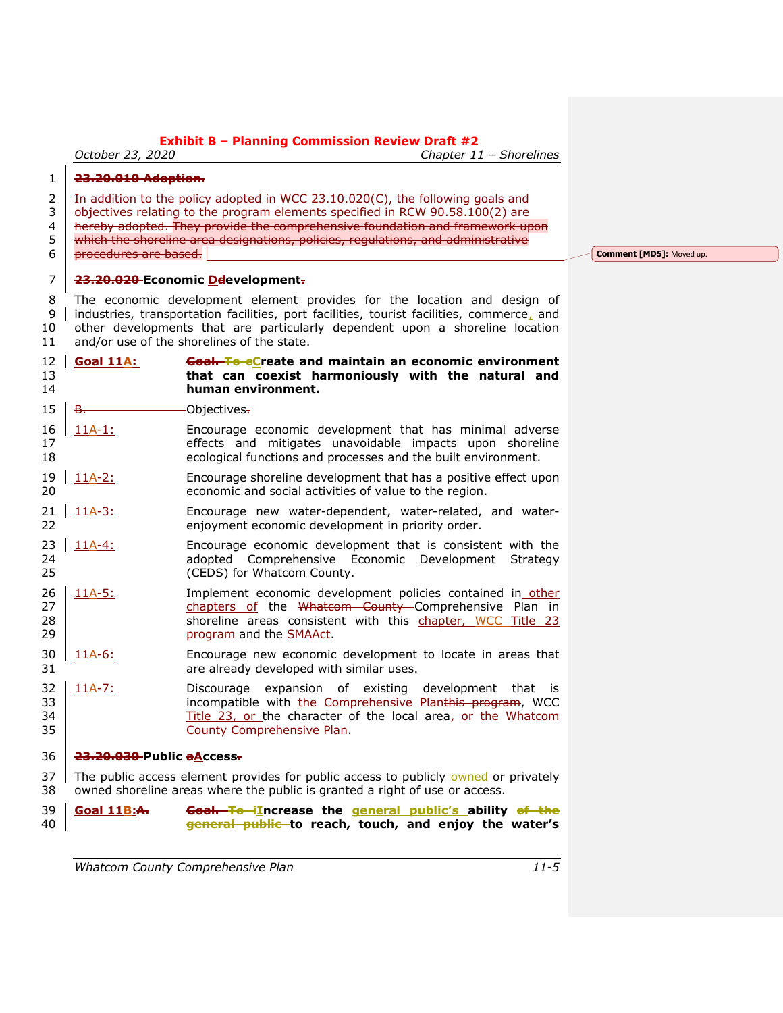*October 23, 2020 Chapter 11 – Shorelines*

#### 1 **23.20.010 Adoption.**

2 | In addition to the policy adopted in WCC 23.10.020(C), the following goals and 3 **objectives relating to the program elements specified in RCW 90.58.100(2) are** 4 hereby adopted. They provide the comprehensive foundation and framework upon 5 which the shoreline area designations, policies, regulations, and administrative 6 **procedures are based.** 

#### 7 **23.20.020 Economic Ddevelopment.**

 The economic development element provides for the location and design of industries, transportation facilities, port facilities, tourist facilities, commerce, and other developments that are particularly dependent upon a shoreline location and/or use of the shorelines of the state.

#### 12 **Goal 11A: Goal. To cCreate and maintain an economic environment**  13 **that can coexist harmoniously with the natural and**  14 **human environment.**  $15 \mid B$ .  $\longrightarrow$  Objectives.

- 16 11A-1: Encourage economic development that has minimal adverse 17 effects and mitigates unavoidable impacts upon shoreline 18 ecological functions and processes and the built environment.
- 19  $\frac{11A-2}{}$  Encourage shoreline development that has a positive effect upon 20 economic and social activities of value to the region.
- $21 \mid 11A-3:$  Encourage new water-dependent, water-related, and water-22 enjoyment economic development in priority order.
- $23 \mid 11A-4$ : Encourage economic development that is consistent with the 24 adopted Comprehensive Economic Development Strategy 25 (CEDS) for Whatcom County.
- 26 11A-5: Implement economic development policies contained in other 27 chapters of the Whatcom County Comprehensive Plan in 28 | Shoreline areas consistent with this chapter, WCC Title 23 29 **program** and the SMAAct.
- 30 11A-6: Encourage new economic development to locate in areas that 31 are already developed with similar uses.
- 32  $11A-7$ : Discourage expansion of existing development that is 33 | incompatible with the Comprehensive Planthis program, WCC 34 Title 23, or the character of the local area, or the Whatcom 35 | County Comprehensive Plan.

#### 36 **23.20.030 Public aAccess.**

37 The public access element provides for public access to publicly owned or privately 38 owned shoreline areas where the public is granted a right of use or access.

39 **Goal 11B:A. Goal. To iIncrease the general public's ability of the**  40 **general public to reach, touch, and enjoy the water's** 

**Comment [MD5]:** Moved up.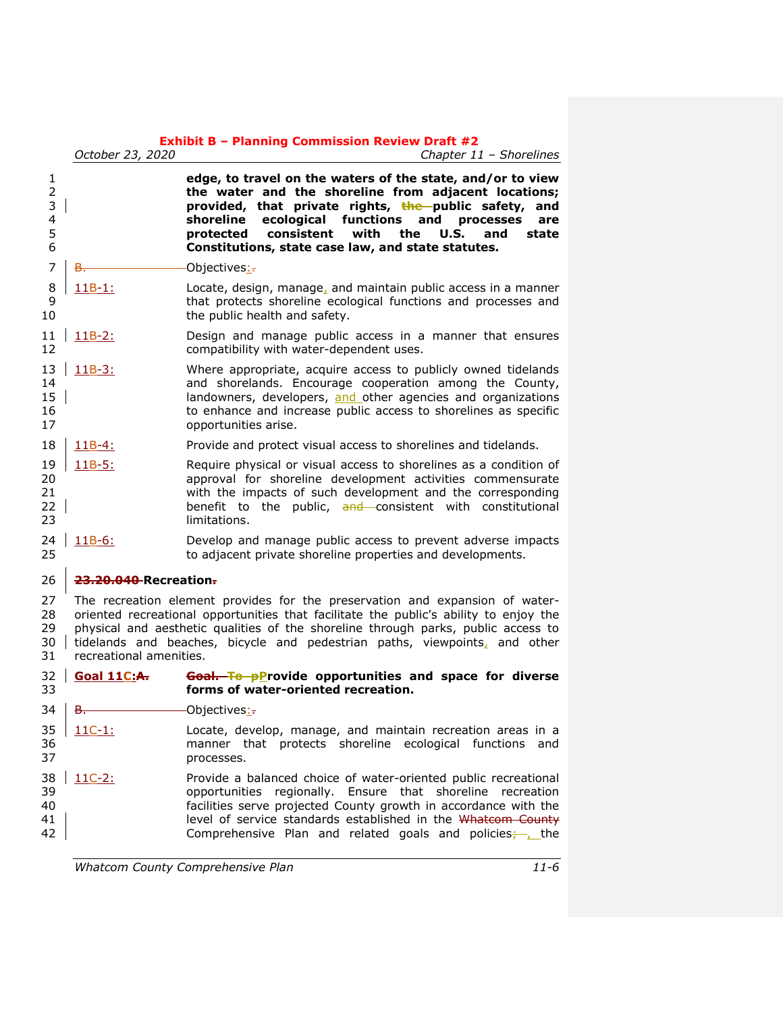|                                         | <b>Exhibit B - Planning Commission Review Draft #2</b><br>October 23, 2020<br>Chapter $11$ - Shorelines                                                                                                                                                                                                                                                             |                                                                                                                                                                                                                                                                                                                                                               |  |
|-----------------------------------------|---------------------------------------------------------------------------------------------------------------------------------------------------------------------------------------------------------------------------------------------------------------------------------------------------------------------------------------------------------------------|---------------------------------------------------------------------------------------------------------------------------------------------------------------------------------------------------------------------------------------------------------------------------------------------------------------------------------------------------------------|--|
| 1<br>$\overline{2}$<br>3<br>4<br>5<br>6 |                                                                                                                                                                                                                                                                                                                                                                     | edge, to travel on the waters of the state, and/or to view<br>the water and the shoreline from adjacent locations;<br>provided, that private rights, the public safety, and<br>ecological functions and processes<br>shoreline<br>are<br>protected<br>consistent<br>with<br>the<br>U.S.<br>and<br>state<br>Constitutions, state case law, and state statutes. |  |
| 7                                       | в.                                                                                                                                                                                                                                                                                                                                                                  | Objectives <u>:</u> -                                                                                                                                                                                                                                                                                                                                         |  |
| 8<br>9<br>$10\,$                        | $11B-1$ :                                                                                                                                                                                                                                                                                                                                                           | Locate, design, manage, and maintain public access in a manner<br>that protects shoreline ecological functions and processes and<br>the public health and safety.                                                                                                                                                                                             |  |
| 11<br>12                                | $11B-2:$                                                                                                                                                                                                                                                                                                                                                            | Design and manage public access in a manner that ensures<br>compatibility with water-dependent uses.                                                                                                                                                                                                                                                          |  |
| 13<br>14<br>15<br>16<br>17              | $11B-3:$                                                                                                                                                                                                                                                                                                                                                            | Where appropriate, acquire access to publicly owned tidelands<br>and shorelands. Encourage cooperation among the County,<br>landowners, developers, and other agencies and organizations<br>to enhance and increase public access to shorelines as specific<br>opportunities arise.                                                                           |  |
| 18                                      | $11B-4:$                                                                                                                                                                                                                                                                                                                                                            | Provide and protect visual access to shorelines and tidelands.                                                                                                                                                                                                                                                                                                |  |
| 19<br>20<br>21<br>22<br>23              | $11B-5:$                                                                                                                                                                                                                                                                                                                                                            | Require physical or visual access to shorelines as a condition of<br>approval for shoreline development activities commensurate<br>with the impacts of such development and the corresponding<br>benefit to the public, and consistent with constitutional<br>limitations.                                                                                    |  |
| 24<br>25                                | $11B-6:$                                                                                                                                                                                                                                                                                                                                                            | Develop and manage public access to prevent adverse impacts<br>to adjacent private shoreline properties and developments.                                                                                                                                                                                                                                     |  |
| 26                                      | 23.20.040 Recreation.                                                                                                                                                                                                                                                                                                                                               |                                                                                                                                                                                                                                                                                                                                                               |  |
| 27<br>28<br>29<br>30<br>31              | The recreation element provides for the preservation and expansion of water-<br>oriented recreational opportunities that facilitate the public's ability to enjoy the<br>physical and aesthetic qualities of the shoreline through parks, public access to<br>tidelands and beaches, bicycle and pedestrian paths, viewpoints, and other<br>recreational amenities. |                                                                                                                                                                                                                                                                                                                                                               |  |
| 32<br>33                                | Goal 11C:A.                                                                                                                                                                                                                                                                                                                                                         | <b>Goal. To pP</b> rovide opportunities and space for diverse<br>forms of water-oriented recreation.                                                                                                                                                                                                                                                          |  |
| 34   $B.$                               |                                                                                                                                                                                                                                                                                                                                                                     | Objectives:                                                                                                                                                                                                                                                                                                                                                   |  |
| 35<br>36<br>37                          | $11C-1$ :                                                                                                                                                                                                                                                                                                                                                           | Locate, develop, manage, and maintain recreation areas in a<br>manner that protects shoreline ecological functions<br>and<br>processes.                                                                                                                                                                                                                       |  |
| 38<br>39<br>40                          | $11C-2:$                                                                                                                                                                                                                                                                                                                                                            | Provide a balanced choice of water-oriented public recreational<br>opportunities regionally. Ensure that shoreline recreation<br>facilities serve projected County growth in accordance with the                                                                                                                                                              |  |

 opportunities regionally. Ensure that shoreline recreation facilities serve projected County growth in accordance with the 41 | and in the velocity of service standards established in the Whatcom County 42 | Comprehensive Plan and related goals and policies<del>; the</del>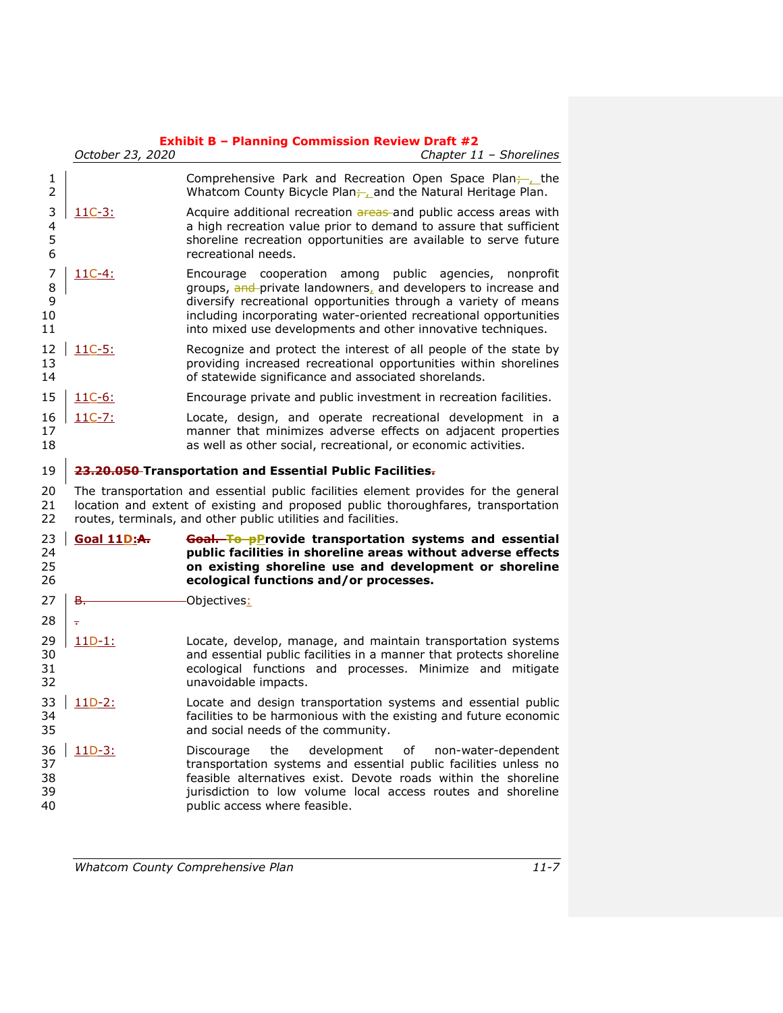|                            | October 23, 2020   | <b>Exhibit B - Planning Commission Review Draft #2</b><br>Chapter 11 - Shorelines                                                                                                                                                                                                                                                   |
|----------------------------|--------------------|-------------------------------------------------------------------------------------------------------------------------------------------------------------------------------------------------------------------------------------------------------------------------------------------------------------------------------------|
| 1<br>$\overline{2}$        |                    | Comprehensive Park and Recreation Open Space Plan-Lithe<br>Whatcom County Bicycle Plan-Land the Natural Heritage Plan.                                                                                                                                                                                                              |
| 3<br>4<br>5<br>6           | $11C-3:$           | Acquire additional recreation areas-and public access areas with<br>a high recreation value prior to demand to assure that sufficient<br>shoreline recreation opportunities are available to serve future<br>recreational needs.                                                                                                    |
| 7<br>8<br>9<br>10<br>11    | $11C-4:$           | Encourage cooperation among public agencies,<br>nonprofit<br>groups, and private landowners, and developers to increase and<br>diversify recreational opportunities through a variety of means<br>including incorporating water-oriented recreational opportunities<br>into mixed use developments and other innovative techniques. |
| 12<br>13<br>14             | $11C-5:$           | Recognize and protect the interest of all people of the state by<br>providing increased recreational opportunities within shorelines<br>of statewide significance and associated shorelands.                                                                                                                                        |
| 15                         | $11C-6:$           | Encourage private and public investment in recreation facilities.                                                                                                                                                                                                                                                                   |
| 16<br>17<br>18             | $11C-7$ :          | Locate, design, and operate recreational development in a<br>manner that minimizes adverse effects on adjacent properties<br>as well as other social, recreational, or economic activities.                                                                                                                                         |
| 19                         |                    | 23.20.050-Transportation and Essential Public Facilities-                                                                                                                                                                                                                                                                           |
| 20<br>21<br>22             |                    | The transportation and essential public facilities element provides for the general<br>location and extent of existing and proposed public thoroughfares, transportation<br>routes, terminals, and other public utilities and facilities.                                                                                           |
| 23<br>24<br>25<br>26       | <b>Goal 11D:A.</b> | <b>Goal. To pProvide transportation systems and essential</b><br>public facilities in shoreline areas without adverse effects<br>on existing shoreline use and development or shoreline<br>ecological functions and/or processes.                                                                                                   |
| 27                         | B.                 | -Objectives <u>:</u>                                                                                                                                                                                                                                                                                                                |
| 28                         | ÷                  |                                                                                                                                                                                                                                                                                                                                     |
| 29<br>30<br>31<br>32       | $11D-1:$           | Locate, develop, manage, and maintain transportation systems<br>and essential public facilities in a manner that protects shoreline<br>ecological functions and processes. Minimize and mitigate<br>unavoidable impacts.                                                                                                            |
| 34<br>35                   | 33 11D-2:          | Locate and design transportation systems and essential public<br>facilities to be harmonious with the existing and future economic<br>and social needs of the community.                                                                                                                                                            |
| 36<br>37<br>38<br>39<br>40 | $11D-3$ :          | the development of<br>non-water-dependent<br>Discourage<br>transportation systems and essential public facilities unless no<br>feasible alternatives exist. Devote roads within the shoreline<br>jurisdiction to low volume local access routes and shoreline<br>public access where feasible.                                      |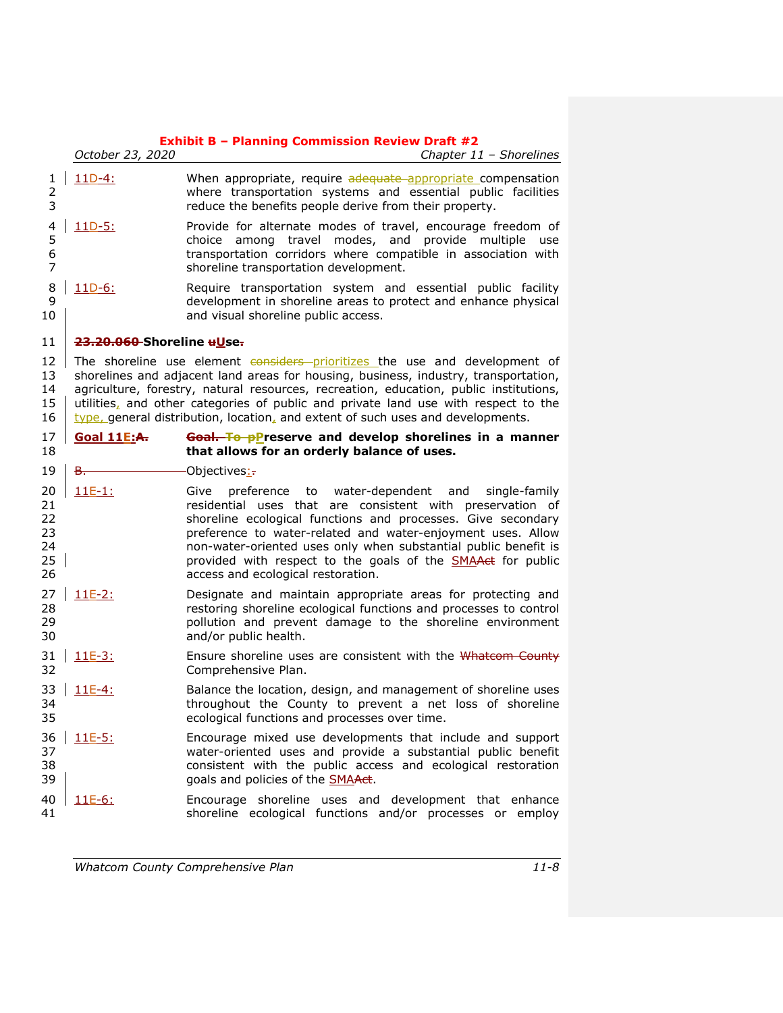|                                        | October 23, 2020          | Exhibit B – Planning Commission Review Draft #2<br>Chapter $11$ – Shorelines                                                                                                                                                                                                                                                                                                                                                           |
|----------------------------------------|---------------------------|----------------------------------------------------------------------------------------------------------------------------------------------------------------------------------------------------------------------------------------------------------------------------------------------------------------------------------------------------------------------------------------------------------------------------------------|
| 1<br>2<br>3                            | $11D-4:$                  | When appropriate, require adequate appropriate compensation<br>where transportation systems and essential public facilities<br>reduce the benefits people derive from their property.                                                                                                                                                                                                                                                  |
| 4<br>5<br>6<br>$\overline{7}$          | $11D-5:$                  | Provide for alternate modes of travel, encourage freedom of<br>choice among travel modes, and provide multiple<br>use<br>transportation corridors where compatible in association with<br>shoreline transportation development.                                                                                                                                                                                                        |
| 8<br>9<br>10                           | $11D-6:$                  | Require transportation system and essential public facility<br>development in shoreline areas to protect and enhance physical<br>and visual shoreline public access.                                                                                                                                                                                                                                                                   |
| 11                                     | 23.20.060-Shoreline uUse. |                                                                                                                                                                                                                                                                                                                                                                                                                                        |
| 12<br>13<br>14<br>15<br>16             |                           | The shoreline use element considers prioritizes the use and development of<br>shorelines and adjacent land areas for housing, business, industry, transportation,<br>agriculture, forestry, natural resources, recreation, education, public institutions,<br>utilities, and other categories of public and private land use with respect to the<br>type, general distribution, location, and extent of such uses and developments.    |
| 17<br>18                               | <b>Goal 11E:A.</b>        | Goal. To pPreserve and develop shorelines in a manner<br>that allows for an orderly balance of uses.                                                                                                                                                                                                                                                                                                                                   |
| 19                                     | B.                        | Objectives <u>:</u> -                                                                                                                                                                                                                                                                                                                                                                                                                  |
| 20<br>21<br>22<br>23<br>24<br>25<br>26 | $11E-1$ :                 | preference to water-dependent and<br>Give<br>single-family<br>residential uses that are consistent with preservation of<br>shoreline ecological functions and processes. Give secondary<br>preference to water-related and water-enjoyment uses. Allow<br>non-water-oriented uses only when substantial public benefit is<br>provided with respect to the goals of the <b>SMAA et</b> for public<br>access and ecological restoration. |
| 27<br>28<br>29<br>30                   | $11E-2$ :                 | Designate and maintain appropriate areas for protecting and<br>restoring shoreline ecological functions and processes to control<br>pollution and prevent damage to the shoreline environment<br>and/or public health.                                                                                                                                                                                                                 |
| 31<br>32                               | $11E-3:$                  | Ensure shoreline uses are consistent with the Whatcom County<br>Comprehensive Plan.                                                                                                                                                                                                                                                                                                                                                    |
| 33<br>34<br>35                         | $  11E-4$ :               | Balance the location, design, and management of shoreline uses<br>throughout the County to prevent a net loss of shoreline<br>ecological functions and processes over time.                                                                                                                                                                                                                                                            |
| 36<br>37<br>38<br>39                   | $11E-5:$                  | Encourage mixed use developments that include and support<br>water-oriented uses and provide a substantial public benefit<br>consistent with the public access and ecological restoration<br>goals and policies of the <b>SMAAct</b> .                                                                                                                                                                                                 |
| 40<br>41                               | 11E-6:                    | Encourage shoreline uses and development that enhance<br>shoreline ecological functions and/or processes or employ                                                                                                                                                                                                                                                                                                                     |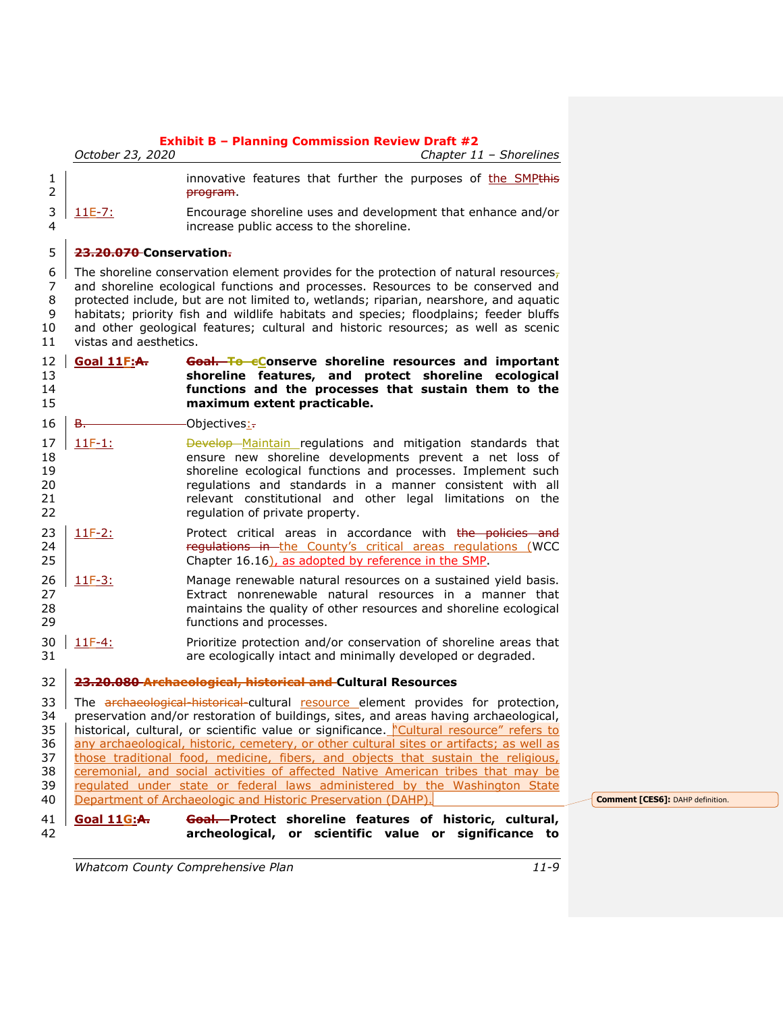|                                              | October 23, 2020        | Exhibit B – Planning Commission Review Draft #2<br>Chapter 11 - Shorelines                                                                                                                                                                                                                                                                                                                                                                                                                                                                                                                                                                                                               |
|----------------------------------------------|-------------------------|------------------------------------------------------------------------------------------------------------------------------------------------------------------------------------------------------------------------------------------------------------------------------------------------------------------------------------------------------------------------------------------------------------------------------------------------------------------------------------------------------------------------------------------------------------------------------------------------------------------------------------------------------------------------------------------|
| 1<br>$\overline{2}$                          |                         | innovative features that further the purposes of the SMPthis<br>program.                                                                                                                                                                                                                                                                                                                                                                                                                                                                                                                                                                                                                 |
| 3<br>4                                       | $11E-7$ :               | Encourage shoreline uses and development that enhance and/or<br>increase public access to the shoreline.                                                                                                                                                                                                                                                                                                                                                                                                                                                                                                                                                                                 |
| 5                                            | 23.20.070-Conservation- |                                                                                                                                                                                                                                                                                                                                                                                                                                                                                                                                                                                                                                                                                          |
| 6<br>7<br>8<br>9<br>10<br>11                 | vistas and aesthetics.  | The shoreline conservation element provides for the protection of natural resources <sub>7</sub><br>and shoreline ecological functions and processes. Resources to be conserved and<br>protected include, but are not limited to, wetlands; riparian, nearshore, and aquatic<br>habitats; priority fish and wildlife habitats and species; floodplains; feeder bluffs<br>and other geological features; cultural and historic resources; as well as scenic                                                                                                                                                                                                                               |
| 12<br>13<br>14<br>15                         | <b>Goal 11F:A.</b>      | Goal. To eConserve shoreline resources and important<br>shoreline features, and protect shoreline ecological<br>functions and the processes that sustain them to the<br>maximum extent practicable.                                                                                                                                                                                                                                                                                                                                                                                                                                                                                      |
| 16                                           | B.                      | -Objectives:-                                                                                                                                                                                                                                                                                                                                                                                                                                                                                                                                                                                                                                                                            |
| 17<br>18<br>19<br>20<br>21<br>22             | $11F-1$ :               | <b>Develop-Maintain</b> regulations and mitigation standards that<br>ensure new shoreline developments prevent a net loss of<br>shoreline ecological functions and processes. Implement such<br>regulations and standards in a manner consistent with all<br>relevant constitutional and other legal limitations on the<br>regulation of private property.                                                                                                                                                                                                                                                                                                                               |
| 23<br>24<br>25                               | $11F-2:$                | Protect critical areas in accordance with the policies and<br>regulations in the County's critical areas regulations (WCC<br>Chapter 16.16), as adopted by reference in the SMP.                                                                                                                                                                                                                                                                                                                                                                                                                                                                                                         |
| 26<br>27<br>28<br>29                         | $11F-3:$                | Manage renewable natural resources on a sustained yield basis.<br>Extract nonrenewable natural resources in a manner that<br>maintains the quality of other resources and shoreline ecological<br>functions and processes.                                                                                                                                                                                                                                                                                                                                                                                                                                                               |
| 30<br>31                                     | $11F-4:$                | Prioritize protection and/or conservation of shoreline areas that<br>are ecologically intact and minimally developed or degraded.                                                                                                                                                                                                                                                                                                                                                                                                                                                                                                                                                        |
| 32                                           |                         | 23.20.080 Archaeological, historical and Cultural Resources                                                                                                                                                                                                                                                                                                                                                                                                                                                                                                                                                                                                                              |
| 33<br>34<br>35<br>36<br>37<br>38<br>39<br>40 |                         | The archaeological-historical-cultural resource element provides for protection,<br>preservation and/or restoration of buildings, sites, and areas having archaeological,<br>historical, cultural, or scientific value or significance. "Cultural resource" refers to<br>any archaeological, historic, cemetery, or other cultural sites or artifacts; as well as<br>those traditional food, medicine, fibers, and objects that sustain the religious,<br>ceremonial, and social activities of affected Native American tribes that may be<br>regulated under state or federal laws administered by the Washington State<br>Department of Archaeologic and Historic Preservation (DAHP). |
| 41<br>42                                     | Goal 11G:A.             | Goal. Protect shoreline features of historic, cultural,<br>archeological, or scientific value or significance to                                                                                                                                                                                                                                                                                                                                                                                                                                                                                                                                                                         |

**Comment [CES6]:** DAHP definition.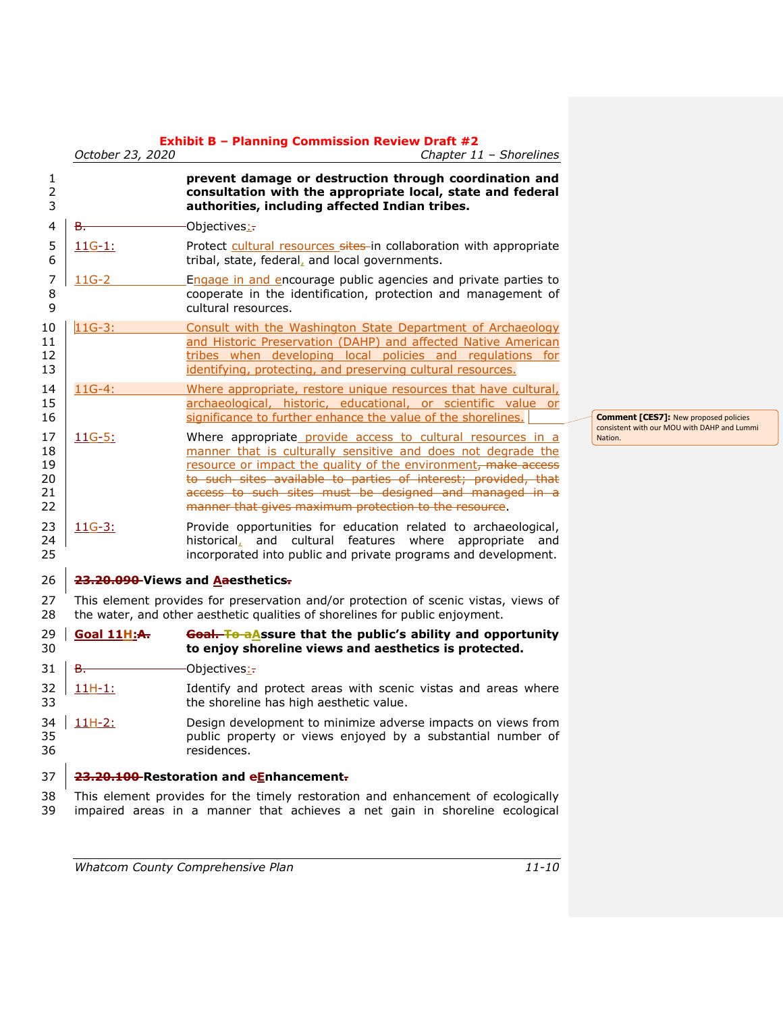|                                  | October 23, 2020   | <b>Exhibit B - Planning Commission Review Draft #2</b><br>Chapter 11 - Shorelines                                                                                                                                                                                                                                                                                                  |  |
|----------------------------------|--------------------|------------------------------------------------------------------------------------------------------------------------------------------------------------------------------------------------------------------------------------------------------------------------------------------------------------------------------------------------------------------------------------|--|
| 1<br>2<br>3                      |                    | prevent damage or destruction through coordination and<br>consultation with the appropriate local, state and federal<br>authorities, including affected Indian tribes.                                                                                                                                                                                                             |  |
| 4                                | B.                 | Objectives <u>:</u> -                                                                                                                                                                                                                                                                                                                                                              |  |
| 5<br>6                           | $11G-1:$           | Protect cultural resources sites in collaboration with appropriate<br>tribal, state, federal, and local governments.                                                                                                                                                                                                                                                               |  |
| 7<br>8<br>9                      | $11G-2$            | Engage in and encourage public agencies and private parties to<br>cooperate in the identification, protection and management of<br>cultural resources.                                                                                                                                                                                                                             |  |
| 10                               | $11G-3:$           | Consult with the Washington State Department of Archaeology                                                                                                                                                                                                                                                                                                                        |  |
| 11<br>12<br>13                   |                    | and Historic Preservation (DAHP) and affected Native American<br>tribes when developing local policies and regulations for<br>identifying, protecting, and preserving cultural resources.                                                                                                                                                                                          |  |
| 14                               | $11G-4:$           | Where appropriate, restore unique resources that have cultural,                                                                                                                                                                                                                                                                                                                    |  |
| 15<br>16                         |                    | archaeological, historic, educational, or scientific value or<br>significance to further enhance the value of the shorelines.                                                                                                                                                                                                                                                      |  |
| 17<br>18<br>19<br>20<br>21<br>22 | $11G-5:$           | Where appropriate provide access to cultural resources in a<br>manner that is culturally sensitive and does not degrade the<br>resource or impact the quality of the environment, make access<br>to such sites available to parties of interest; provided, that<br>access to such sites must be designed and managed in a<br>manner that gives maximum protection to the resource. |  |
| 23<br>24<br>25                   | $11G-3:$           | Provide opportunities for education related to archaeological,<br>historical, and cultural features where appropriate and<br>incorporated into public and private programs and development.                                                                                                                                                                                        |  |
| 26                               |                    | 23.20.090-Views and Aaesthetics-                                                                                                                                                                                                                                                                                                                                                   |  |
| 27<br>28                         |                    | This element provides for preservation and/or protection of scenic vistas, views of<br>the water, and other aesthetic qualities of shorelines for public enjoyment.                                                                                                                                                                                                                |  |
| 29<br>30                         | <b>Goal 11H:A.</b> | Goal. To aAssure that the public's ability and opportunity<br>to enjoy shoreline views and aesthetics is protected.                                                                                                                                                                                                                                                                |  |
| 31                               | <b>B.</b>          | -Objectives <u>:</u> -                                                                                                                                                                                                                                                                                                                                                             |  |
| 32<br>33                         | $11H-1$ :          | Identify and protect areas with scenic vistas and areas where<br>the shoreline has high aesthetic value.                                                                                                                                                                                                                                                                           |  |
| 34<br>35<br>36                   | $11H-2:$           | Design development to minimize adverse impacts on views from<br>public property or views enjoyed by a substantial number of<br>residences.                                                                                                                                                                                                                                         |  |
| 37                               |                    | 23.20.100-Restoration and eEnhancement-                                                                                                                                                                                                                                                                                                                                            |  |
| 38<br>39                         |                    | This element provides for the timely restoration and enhancement of ecologically<br>impaired areas in a manner that achieves a net gain in shoreline ecological                                                                                                                                                                                                                    |  |

**Comment [CES7]:** New proposed policies consistent with our MOU with DAHP and Lummi Nation.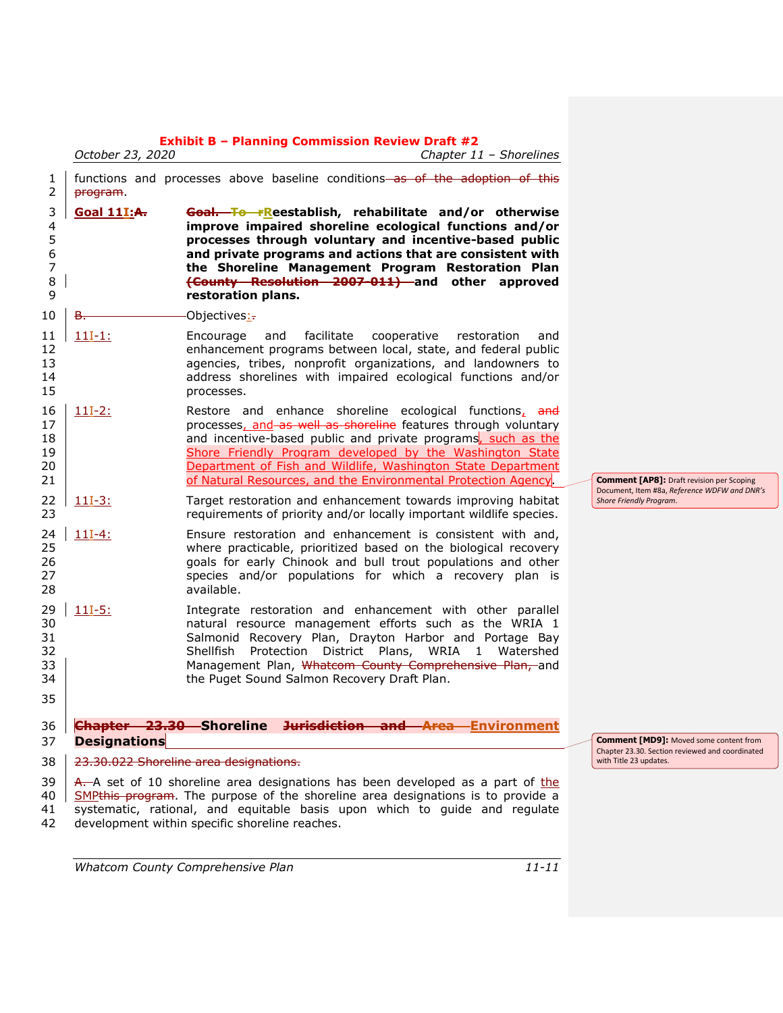|                                        | October 23, 2020    | Chapter 11 - Shorelines                                                                                                                                                                                                                                                                                                                                                                 |                                                                                                  |
|----------------------------------------|---------------------|-----------------------------------------------------------------------------------------------------------------------------------------------------------------------------------------------------------------------------------------------------------------------------------------------------------------------------------------------------------------------------------------|--------------------------------------------------------------------------------------------------|
| 1<br>2                                 | program.            | functions and processes above baseline conditions as of the adoption of this                                                                                                                                                                                                                                                                                                            |                                                                                                  |
| 3<br>4<br>5<br>6<br>7<br>8<br>9        | <b>Goal 111:A.</b>  | Goal. To rReestablish, rehabilitate and/or otherwise<br>improve impaired shoreline ecological functions and/or<br>processes through voluntary and incentive-based public<br>and private programs and actions that are consistent with<br>the Shoreline Management Program Restoration Plan<br>(County Resolution 2007-011) and other approved<br>restoration plans.                     |                                                                                                  |
| 10                                     | -B                  | Objectives:                                                                                                                                                                                                                                                                                                                                                                             |                                                                                                  |
| 11<br>12<br>13<br>14<br>15             | $11I-1$ :           | facilitate<br>and<br>cooperative<br>restoration<br>Encourage<br>and<br>enhancement programs between local, state, and federal public<br>agencies, tribes, nonprofit organizations, and landowners to<br>address shorelines with impaired ecological functions and/or<br>processes.                                                                                                      |                                                                                                  |
| 16<br>17<br>18<br>19<br>20<br>21       | $11I-2:$            | Restore and enhance shoreline ecological functions, and<br>processes, and as well as shoreline features through voluntary<br>and incentive-based public and private programs, such as the<br>Shore Friendly Program developed by the Washington State<br>Department of Fish and Wildlife, Washington State Department<br>of Natural Resources, and the Environmental Protection Agency. | <b>Comment [AP8]:</b> Draft revision per Scoping<br>Document, Item #8a, Reference WDFW and DNR's |
| 22<br>23                               | $11I-3:$            | Target restoration and enhancement towards improving habitat<br>requirements of priority and/or locally important wildlife species.                                                                                                                                                                                                                                                     | Shore Friendly Program.                                                                          |
| 24<br>25<br>26<br>27<br>28             | $11I-4:$            | Ensure restoration and enhancement is consistent with and,<br>where practicable, prioritized based on the biological recovery<br>goals for early Chinook and bull trout populations and other<br>species and/or populations for which a recovery plan is<br>available.                                                                                                                  |                                                                                                  |
| 29<br>30<br>31<br>32<br>33<br>34<br>35 | $11I-5:$            | Integrate restoration and enhancement with other parallel<br>natural resource management efforts such as the WRIA 1<br>Salmonid Recovery Plan, Drayton Harbor and Portage Bay<br>Shellfish Protection District Plans, WRIA 1 Watershed<br>Management Plan, Whatcom County Comprehensive Plan, and<br>the Puget Sound Salmon Recovery Draft Plan.                                        |                                                                                                  |
| 36<br>37                               | <b>Designations</b> | Chapter 23.30 Shoreline Jurisdiction and Area Environment                                                                                                                                                                                                                                                                                                                               | <b>Comment [MD9]:</b> Moved some content from                                                    |
| 38                                     |                     | 23.30.022 Shoreline area designations.                                                                                                                                                                                                                                                                                                                                                  | Chapter 23.30. Section reviewed and coordinated<br>with Title 23 updates.                        |
| 39<br>40<br>41<br>42                   |                     | A. A set of 10 shoreline area designations has been developed as a part of the<br>SMPthis program. The purpose of the shoreline area designations is to provide a<br>systematic, rational, and equitable basis upon which to guide and regulate<br>development within specific shoreline reaches.                                                                                       |                                                                                                  |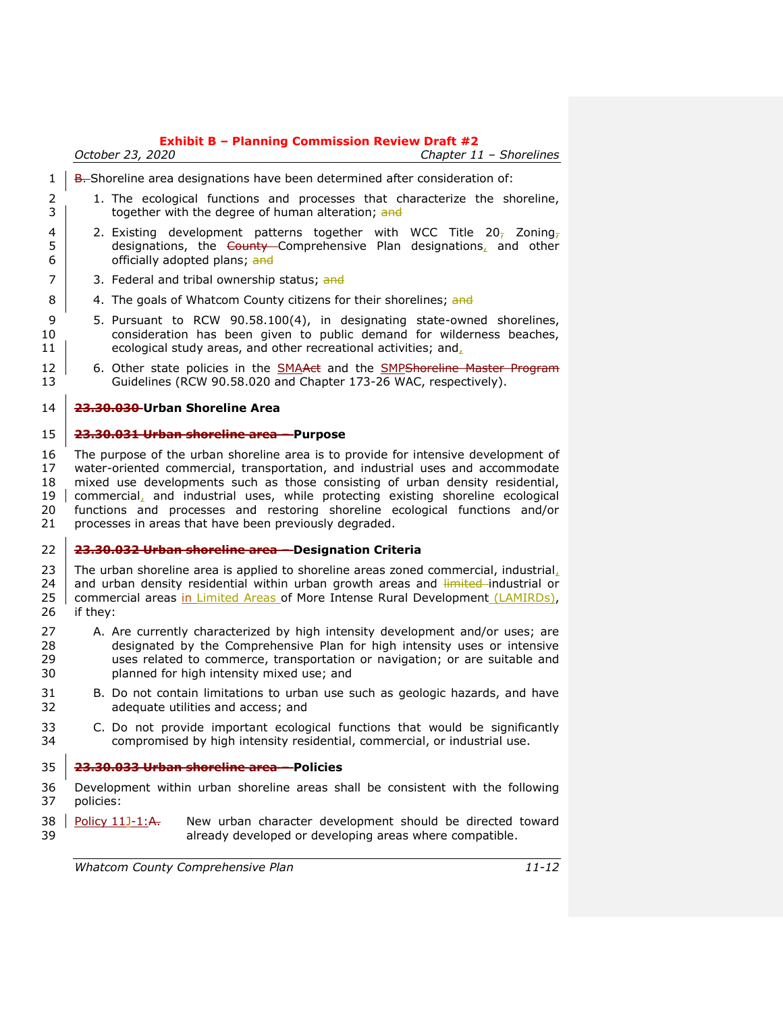|          | October 23, 2020<br>Chapter 11 - Shorelines                                                                                             |
|----------|-----------------------------------------------------------------------------------------------------------------------------------------|
| 1        | B. Shoreline area designations have been determined after consideration of:                                                             |
| 2        | 1. The ecological functions and processes that characterize the shoreline,                                                              |
| 3        | together with the degree of human alteration; and                                                                                       |
| 4        | 2. Existing development patterns together with WCC Title 20 $7$ Zoning <sub>7</sub>                                                     |
| 5        | designations, the County Comprehensive Plan designations, and other                                                                     |
| 6        | officially adopted plans; and                                                                                                           |
| 7        | 3. Federal and tribal ownership status; and                                                                                             |
| 8        | 4. The goals of Whatcom County citizens for their shorelines; and                                                                       |
| 9        | 5. Pursuant to RCW 90.58.100(4), in designating state-owned shorelines,                                                                 |
| 10       | consideration has been given to public demand for wilderness beaches,                                                                   |
| 11       | ecological study areas, and other recreational activities; and,                                                                         |
| 12       | 6. Other state policies in the <b>SMAA</b> et and the <b>SMPShoreline Master Program</b>                                                |
| 13       | Guidelines (RCW 90.58.020 and Chapter 173-26 WAC, respectively).                                                                        |
| 14       | 23.30.030-Urban Shoreline Area                                                                                                          |
| 15       | 23.30.031 Urban shoreline area - Purpose                                                                                                |
| 16       | The purpose of the urban shoreline area is to provide for intensive development of                                                      |
| 17       | water-oriented commercial, transportation, and industrial uses and accommodate                                                          |
| 18       | mixed use developments such as those consisting of urban density residential,                                                           |
| 19       | commercial, and industrial uses, while protecting existing shoreline ecological                                                         |
| 20       | functions and processes and restoring shoreline ecological functions and/or                                                             |
| 21       | processes in areas that have been previously degraded.                                                                                  |
| 22       | 23.30.032 Urban shoreline area - Designation Criteria                                                                                   |
| 23       | The urban shoreline area is applied to shoreline areas zoned commercial, industrial,                                                    |
| 24       | and urban density residential within urban growth areas and limited-industrial or                                                       |
| 25       | commercial areas in Limited Areas of More Intense Rural Development (LAMIRDs),                                                          |
| 26       | if they:                                                                                                                                |
| 27       | A. Are currently characterized by high intensity development and/or uses; are                                                           |
| 28       | designated by the Comprehensive Plan for high intensity uses or intensive                                                               |
| 29       | uses related to commerce, transportation or navigation; or are suitable and                                                             |
| 30       | planned for high intensity mixed use; and                                                                                               |
| 31       | B. Do not contain limitations to urban use such as geologic hazards, and have                                                           |
| 32       | adequate utilities and access; and                                                                                                      |
| 33       | C. Do not provide important ecological functions that would be significantly                                                            |
| 34       | compromised by high intensity residential, commercial, or industrial use.                                                               |
| 35       | 23.30.033 Urban shoreline area - Policies                                                                                               |
| 36       | Development within urban shoreline areas shall be consistent with the following                                                         |
| 37       | policies:                                                                                                                               |
| 38<br>39 | Policy 11J-1:A.<br>New urban character development should be directed toward<br>already developed or developing areas where compatible. |
|          | $11 - 12$<br>Whatcom County Comprehensive Plan                                                                                          |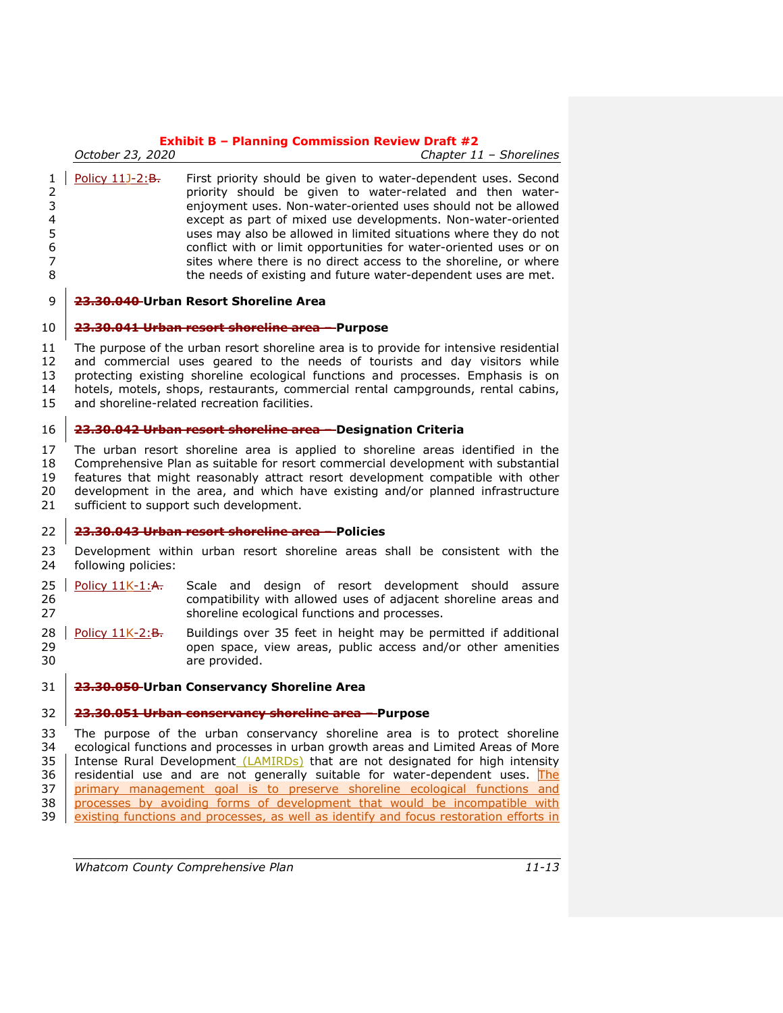|                                                 | October 23, 2020   | Chapter $11$ - Shorelines                                                                                                                                                                                                                                    |
|-------------------------------------------------|--------------------|--------------------------------------------------------------------------------------------------------------------------------------------------------------------------------------------------------------------------------------------------------------|
| $\mathbf{1}$<br>$\mathcal{L}$<br>$\overline{4}$ | Policy $11J-2:B$ . | First priority should be given to water-dependent uses. Second<br>priority should be given to water-related and then water-<br>enjoyment uses. Non-water-oriented uses should not be allowed<br>except as part of mixed use developments. Non-water-oriented |
| -5                                              |                    | uses may also be allowed in limited situations where they do not                                                                                                                                                                                             |
| -6                                              |                    | conflict with or limit opportunities for water-oriented uses or on                                                                                                                                                                                           |
| 7                                               |                    | sites where there is no direct access to the shoreline, or where                                                                                                                                                                                             |

**8 the needs of existing and future water-dependent uses are met.** 

#### **23.30.040 Urban Resort Shoreline Area**

#### **23.30.041 Urban resort shoreline area – Purpose**

 The purpose of the urban resort shoreline area is to provide for intensive residential and commercial uses geared to the needs of tourists and day visitors while protecting existing shoreline ecological functions and processes. Emphasis is on hotels, motels, shops, restaurants, commercial rental campgrounds, rental cabins, and shoreline-related recreation facilities.

#### **23.30.042 Urban resort shoreline area – Designation Criteria**

 The urban resort shoreline area is applied to shoreline areas identified in the Comprehensive Plan as suitable for resort commercial development with substantial features that might reasonably attract resort development compatible with other development in the area, and which have existing and/or planned infrastructure 21 sufficient to support such development.

#### **23.30.043 Urban resort shoreline area – Policies**

- Development within urban resort shoreline areas shall be consistent with the following policies:
- Policy  $11K-1:$ A. Scale and design of resort development should assure compatibility with allowed uses of adjacent shoreline areas and shoreline ecological functions and processes.
- 28 | Policy  $11K-2:B$ . Buildings over 35 feet in height may be permitted if additional open space, view areas, public access and/or other amenities are provided.

#### **23.30.050 Urban Conservancy Shoreline Area**

#### **23.30.051 Urban conservancy shoreline area – Purpose**

 The purpose of the urban conservancy shoreline area is to protect shoreline ecological functions and processes in urban growth areas and Limited Areas of More 35 Intense Rural Development  $(LAMIRDs)$  that are not designated for high intensity  $36$  residential use and are not generally suitable for water-dependent uses. The residential use and are not generally suitable for water-dependent uses. The 37 primary management goal is to preserve shoreline ecological functions and processes by avoiding forms of development that would be incompatible with 39 existing functions and processes, as well as identify and focus restoration efforts in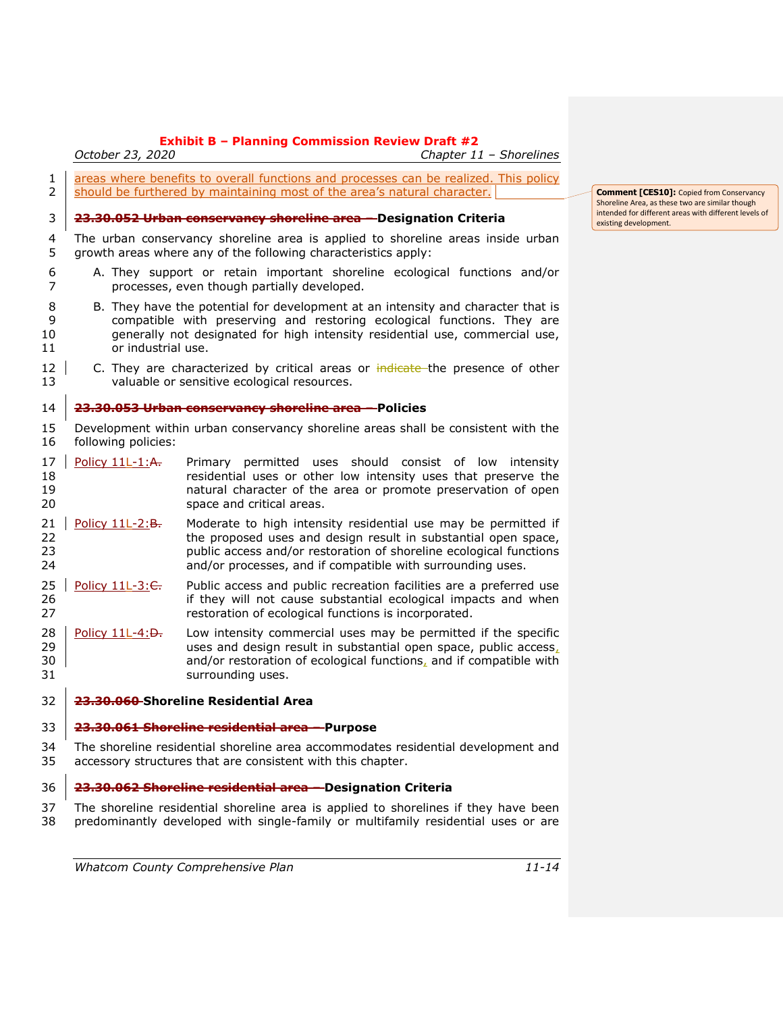*October 23, 2020 Chapter 11 – Shorelines*

1 areas where benefits to overall functions and processes can be realized. This policy 2 should be furthered by maintaining most of the area's natural character.

#### **23.30.052 Urban conservancy shoreline area – Designation Criteria**

 The urban conservancy shoreline area is applied to shoreline areas inside urban growth areas where any of the following characteristics apply:

- A. They support or retain important shoreline ecological functions and/or processes, even though partially developed.
- B. They have the potential for development at an intensity and character that is compatible with preserving and restoring ecological functions. They are generally not designated for high intensity residential use, commercial use, or industrial use.
- $\parallel$  C. They are characterized by critical areas or  $\frac{1}{100}$  indicate the presence of other valuable or sensitive ecological resources.

#### **23.30.053 Urban conservancy shoreline area – Policies**

- Development within urban conservancy shoreline areas shall be consistent with the following policies:
- 17 Policy 11L-1:A. Primary permitted uses should consist of low intensity residential uses or other low intensity uses that preserve the natural character of the area or promote preservation of open space and critical areas.
- 21 Policy 11L-2: $B$ . Moderate to high intensity residential use may be permitted if 22 the proposed uses and design result in substantial open space, public access and/or restoration of shoreline ecological functions and/or processes, and if compatible with surrounding uses.
- 25 | Policy 11L-3: $\epsilon$ . Public access and public recreation facilities are a preferred use if they will not cause substantial ecological impacts and when restoration of ecological functions is incorporated.
- 28 Policy 11L-4: $\theta$ . Low intensity commercial uses may be permitted if the specific 29  $\vert$  uses and design result in substantial open space, public access, **and/or restoration of ecological functions, and if compatible with** surrounding uses.

#### **23.30.060 Shoreline Residential Area**

#### **23.30.061 Shoreline residential area – Purpose**

 The shoreline residential shoreline area accommodates residential development and accessory structures that are consistent with this chapter.

#### **23.30.062 Shoreline residential area – Designation Criteria**

 The shoreline residential shoreline area is applied to shorelines if they have been predominantly developed with single-family or multifamily residential uses or are

**Comment [CES10]:** Copied from Conservancy Shoreline Area, as these two are similar though intended for different areas with different levels of existing development.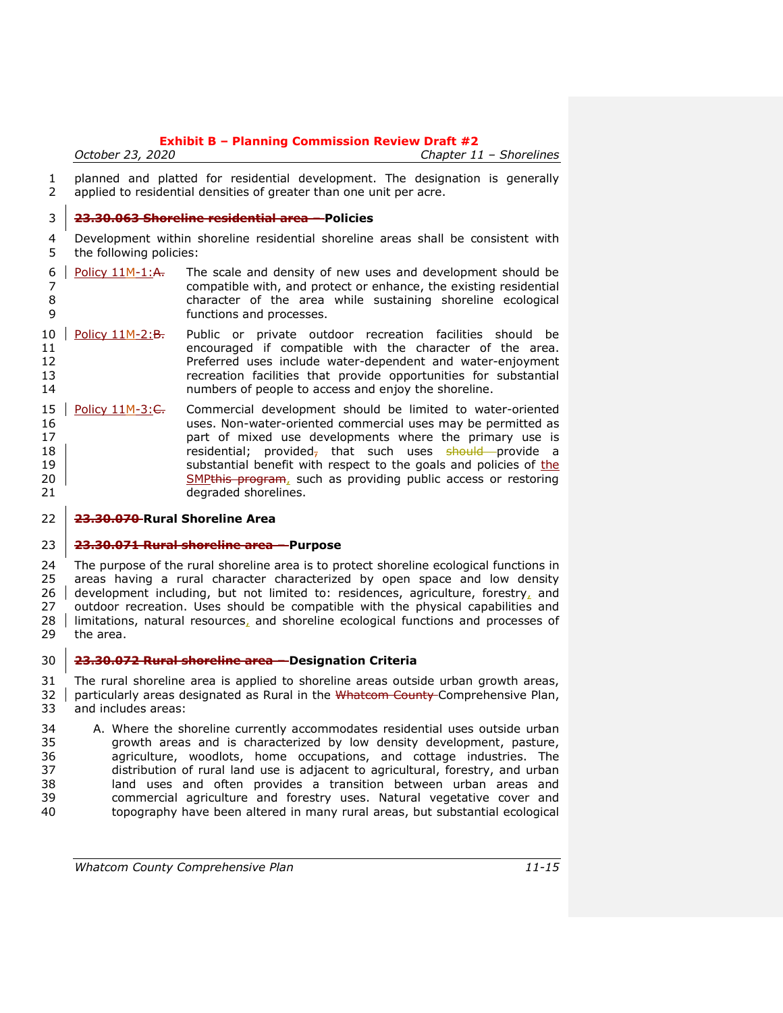*October 23, 2020 Chapter 11 – Shorelines*

 planned and platted for residential development. The designation is generally applied to residential densities of greater than one unit per acre.

## **23.30.063 Shoreline residential area – Policies**

 Development within shoreline residential shoreline areas shall be consistent with the following policies:

- 6 Policy  $11M-1:$ A. The scale and density of new uses and development should be compatible with, and protect or enhance, the existing residential character of the area while sustaining shoreline ecological functions and processes.
- 10 Policy 11M-2:B. Public or private outdoor recreation facilities should be encouraged if compatible with the character of the area. Preferred uses include water-dependent and water-enjoyment recreation facilities that provide opportunities for substantial numbers of people to access and enjoy the shoreline.
- 15 | Policy  $11M-3: \bigoplus$  Commercial development should be limited to water-oriented uses. Non-water-oriented commercial uses may be permitted as part of mixed use developments where the primary use is 18 **18 residential**; provided<sub>7</sub> that such uses should provide a **Substantial benefit with respect to the goals and policies of the** the substantial benefit with respect to the goals and policies of the 20 SMPthis program, such as providing public access or restoring degraded shorelines.

#### **23.30.070 Rural Shoreline Area**

#### **23.30.071 Rural shoreline area – Purpose**

 The purpose of the rural shoreline area is to protect shoreline ecological functions in areas having a rural character characterized by open space and low density 26 development including, but not limited to: residences, agriculture, forestry, and outdoor recreation. Uses should be compatible with the physical capabilities and limitations, natural resources, and shoreline ecological functions and processes of the area.

#### **23.30.072 Rural shoreline area – Designation Criteria**

 The rural shoreline area is applied to shoreline areas outside urban growth areas, particularly areas designated as Rural in the Whatcom County Comprehensive Plan, and includes areas:

 A. Where the shoreline currently accommodates residential uses outside urban growth areas and is characterized by low density development, pasture, agriculture, woodlots, home occupations, and cottage industries. The distribution of rural land use is adjacent to agricultural, forestry, and urban land uses and often provides a transition between urban areas and commercial agriculture and forestry uses. Natural vegetative cover and topography have been altered in many rural areas, but substantial ecological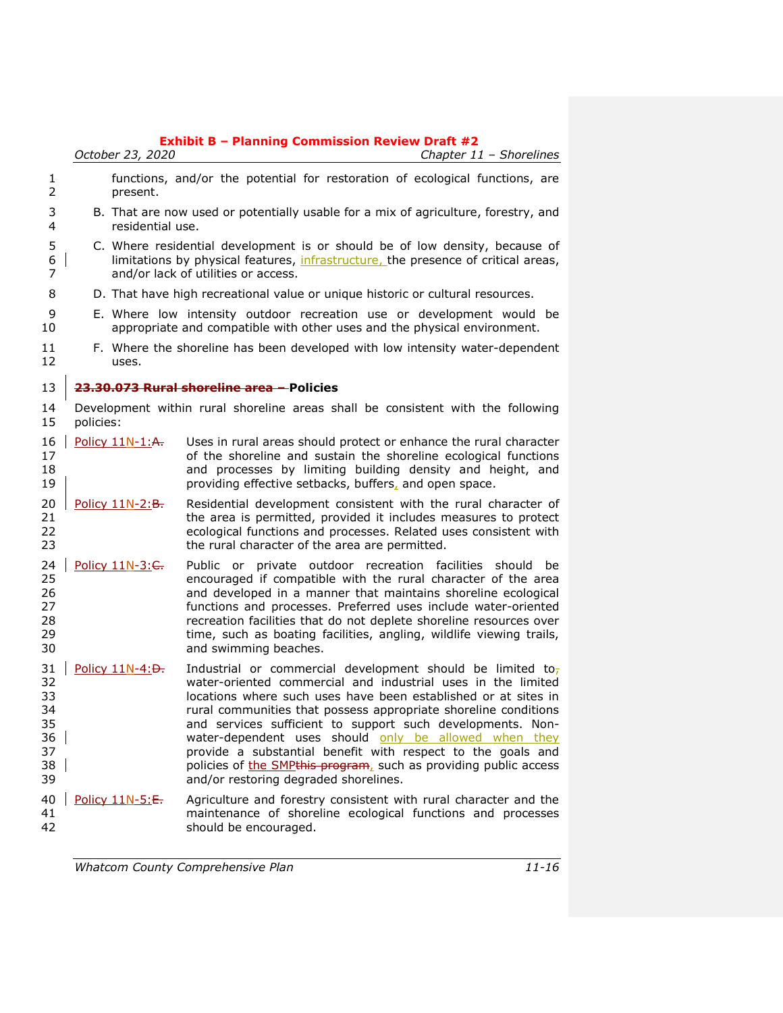|                                                    |                                                                                              | October 23, 2020                                                                                       | Chapter 11 - Shorelines                                                                                                                                                                                                                                                                                                                                                                                                                                                                                                                                                        |
|----------------------------------------------------|----------------------------------------------------------------------------------------------|--------------------------------------------------------------------------------------------------------|--------------------------------------------------------------------------------------------------------------------------------------------------------------------------------------------------------------------------------------------------------------------------------------------------------------------------------------------------------------------------------------------------------------------------------------------------------------------------------------------------------------------------------------------------------------------------------|
| 1<br>$\overline{2}$                                |                                                                                              | present.                                                                                               | functions, and/or the potential for restoration of ecological functions, are                                                                                                                                                                                                                                                                                                                                                                                                                                                                                                   |
| 3<br>4                                             |                                                                                              | B. That are now used or potentially usable for a mix of agriculture, forestry, and<br>residential use. |                                                                                                                                                                                                                                                                                                                                                                                                                                                                                                                                                                                |
| 5<br>6<br>7                                        |                                                                                              |                                                                                                        | C. Where residential development is or should be of low density, because of<br>limitations by physical features, <i>infrastructure</i> , the presence of critical areas,<br>and/or lack of utilities or access.                                                                                                                                                                                                                                                                                                                                                                |
| 8                                                  |                                                                                              |                                                                                                        | D. That have high recreational value or unique historic or cultural resources.                                                                                                                                                                                                                                                                                                                                                                                                                                                                                                 |
| 9<br>10                                            |                                                                                              |                                                                                                        | E. Where low intensity outdoor recreation use or development would be<br>appropriate and compatible with other uses and the physical environment.                                                                                                                                                                                                                                                                                                                                                                                                                              |
| 11<br>12                                           |                                                                                              | uses.                                                                                                  | F. Where the shoreline has been developed with low intensity water-dependent                                                                                                                                                                                                                                                                                                                                                                                                                                                                                                   |
| 13                                                 |                                                                                              |                                                                                                        | 23.30.073 Rural shoreline area - Policies                                                                                                                                                                                                                                                                                                                                                                                                                                                                                                                                      |
| 14<br>15                                           | Development within rural shoreline areas shall be consistent with the following<br>policies: |                                                                                                        |                                                                                                                                                                                                                                                                                                                                                                                                                                                                                                                                                                                |
| 16<br>17<br>18<br>19                               |                                                                                              | Policy 11N-1:A.                                                                                        | Uses in rural areas should protect or enhance the rural character<br>of the shoreline and sustain the shoreline ecological functions<br>and processes by limiting building density and height, and<br>providing effective setbacks, buffers, and open space.                                                                                                                                                                                                                                                                                                                   |
| 20<br>21<br>22<br>23                               |                                                                                              | Policy 11N-2: B.                                                                                       | Residential development consistent with the rural character of<br>the area is permitted, provided it includes measures to protect<br>ecological functions and processes. Related uses consistent with<br>the rural character of the area are permitted.                                                                                                                                                                                                                                                                                                                        |
| 24<br>25<br>26<br>27<br>28<br>29<br>30             |                                                                                              | Policy 11N-3: C.                                                                                       | Public or private outdoor recreation facilities should<br>be<br>encouraged if compatible with the rural character of the area<br>and developed in a manner that maintains shoreline ecological<br>functions and processes. Preferred uses include water-oriented<br>recreation facilities that do not deplete shoreline resources over<br>time, such as boating facilities, angling, wildlife viewing trails,<br>and swimming beaches.                                                                                                                                         |
| 31<br>32<br>33<br>34<br>35<br>36<br>37<br>38<br>39 |                                                                                              | Policy 11N-4: D.                                                                                       | Industrial or commercial development should be limited to <sub>7</sub><br>water-oriented commercial and industrial uses in the limited<br>locations where such uses have been established or at sites in<br>rural communities that possess appropriate shoreline conditions<br>and services sufficient to support such developments. Non-<br>water-dependent uses should only be allowed when they<br>provide a substantial benefit with respect to the goals and<br>policies of the SMPthis program, such as providing public access<br>and/or restoring degraded shorelines. |
| 40<br>41<br>42                                     |                                                                                              | Policy 11N-5:E.                                                                                        | Agriculture and forestry consistent with rural character and the<br>maintenance of shoreline ecological functions and processes<br>should be encouraged.                                                                                                                                                                                                                                                                                                                                                                                                                       |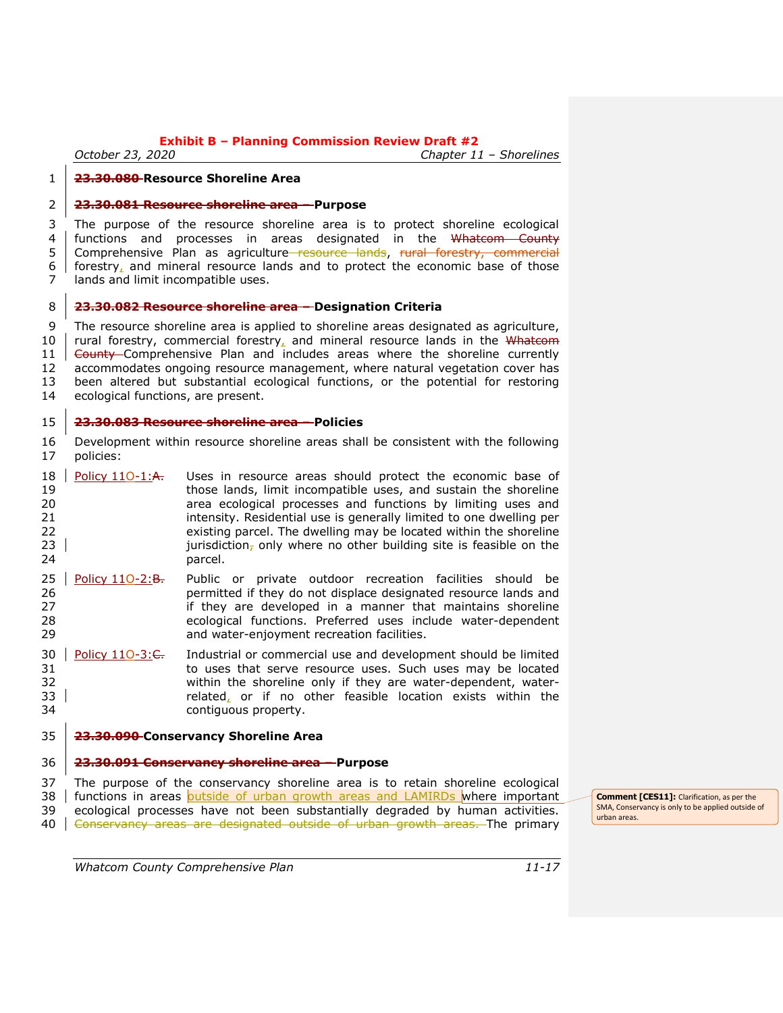*October 23, 2020 Chapter 11 – Shorelines*

## **23.30.080 Resource Shoreline Area**

#### **23.30.081 Resource shoreline area – Purpose**

 The purpose of the resource shoreline area is to protect shoreline ecological 4 | functions and processes in areas designated in the Whatcom County 5 Comprehensive Plan as agriculture resource lands, rural forestry, commercial forestry, and mineral resource lands and to protect the economic base of those lands and limit incompatible uses.

#### **23.30.082 Resource shoreline area – Designation Criteria**

 The resource shoreline area is applied to shoreline areas designated as agriculture, 10 rural forestry, commercial forestry, and mineral resource lands in the Whatcom 11 | County Comprehensive Plan and includes areas where the shoreline currently accommodates ongoing resource management, where natural vegetation cover has been altered but substantial ecological functions, or the potential for restoring ecological functions, are present.

#### **23.30.083 Resource shoreline area – Policies**

- Development within resource shoreline areas shall be consistent with the following policies:
- Policy  $110-1.4$ . Uses in resource areas should protect the economic base of those lands, limit incompatible uses, and sustain the shoreline area ecological processes and functions by limiting uses and intensity. Residential use is generally limited to one dwelling per existing parcel. The dwelling may be located within the shoreline 23 jurisdiction, only where no other building site is feasible on the 24 parcel.
- 25 Policy  $110-2:8$ . Public or private outdoor recreation facilities should be permitted if they do not displace designated resource lands and 27 if they are developed in a manner that maintains shoreline ecological functions. Preferred uses include water-dependent and water-enjoyment recreation facilities.
- 30 Policy  $110-3: \bigoplus$  Industrial or commercial use and development should be limited to uses that serve resource uses. Such uses may be located within the shoreline only if they are water-dependent, water-**and Struts** related, or if no other feasible location exists within the contiguous property.

#### **23.30.090 Conservancy Shoreline Area**

#### **23.30.091 Conservancy shoreline area – Purpose**

 The purpose of the conservancy shoreline area is to retain shoreline ecological 38 functions in areas outside of urban growth areas and LAMIRDs where important ecological processes have not been substantially degraded by human activities. 40 Gonservancy areas are designated outside of urban growth areas. The primary

**Comment [CES11]:** Clarification, as per the SMA, Conservancy is only to be applied outside of urban areas.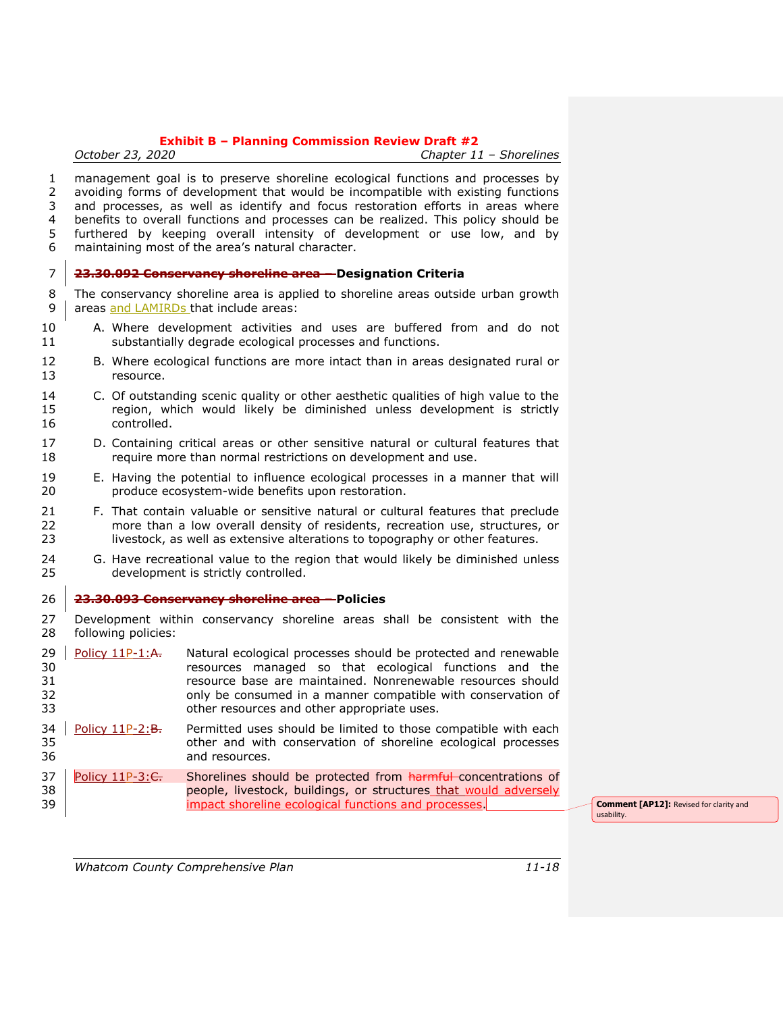*October 23, 2020 Chapter 11 – Shorelines*

 management goal is to preserve shoreline ecological functions and processes by avoiding forms of development that would be incompatible with existing functions and processes, as well as identify and focus restoration efforts in areas where benefits to overall functions and processes can be realized. This policy should be furthered by keeping overall intensity of development or use low, and by maintaining most of the area's natural character.

# **23.30.092 Conservancy shoreline area – Designation Criteria**

- The conservancy shoreline area is applied to shoreline areas outside urban growth 9 areas and LAMIRDs that include areas:
- A. Where development activities and uses are buffered from and do not substantially degrade ecological processes and functions.
- B. Where ecological functions are more intact than in areas designated rural or resource.
- C. Of outstanding scenic quality or other aesthetic qualities of high value to the region, which would likely be diminished unless development is strictly controlled.
- D. Containing critical areas or other sensitive natural or cultural features that require more than normal restrictions on development and use.
- E. Having the potential to influence ecological processes in a manner that will produce ecosystem-wide benefits upon restoration.
- F. That contain valuable or sensitive natural or cultural features that preclude more than a low overall density of residents, recreation use, structures, or livestock, as well as extensive alterations to topography or other features.
- G. Have recreational value to the region that would likely be diminished unless development is strictly controlled.

#### **23.30.093 Conservancy shoreline area – Policies**

27 Development within conservancy shoreline areas shall be consistent with the 28 following policies: following policies:

- 29 | Policy 11P-1:A. Natural ecological processes should be protected and renewable resources managed so that ecological functions and the resource base are maintained. Nonrenewable resources should only be consumed in a manner compatible with conservation of other resources and other appropriate uses.
- Policy 11P-2: $\frac{B}{B}$ . Permitted uses should be limited to those compatible with each other and with conservation of shoreline ecological processes and resources.
- 37 Policy 11P-3: $\epsilon$ . Shorelines should be protected from harmful concentrations of **people, livestock, buildings, or structures** that would adversely impact shoreline ecological functions and processes. **Comment [AP12]:** Revised for clarity and

usability.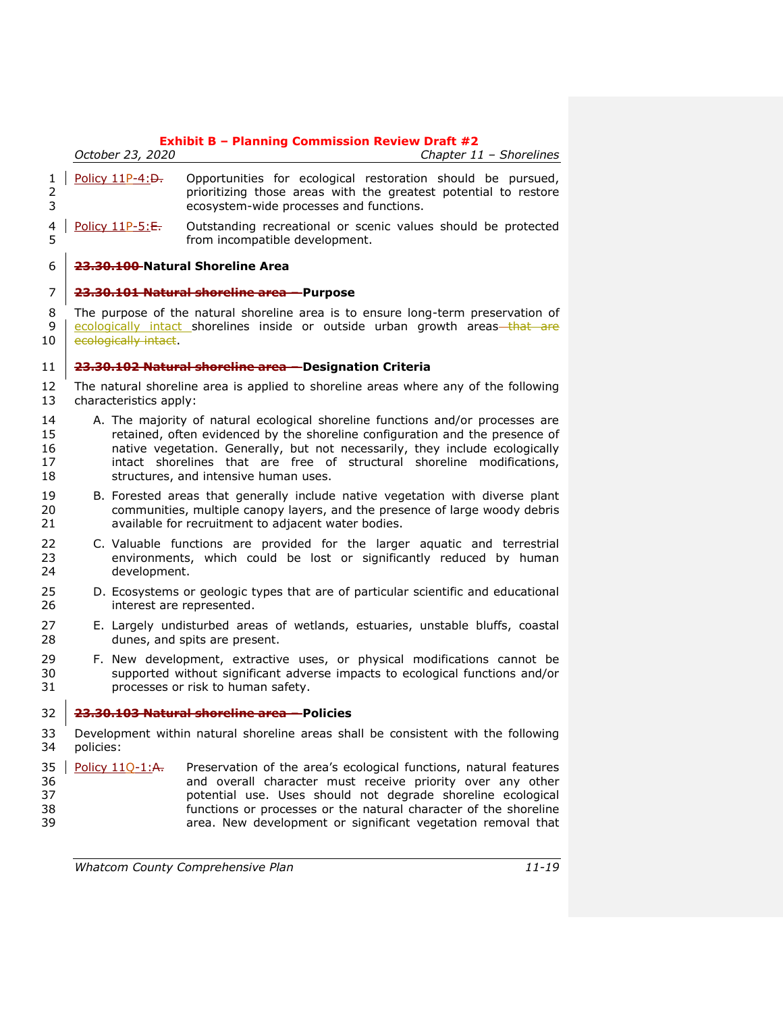|                               | October 23, 2020       | Chapter 11 - Shorelines                                                                                                                                                                                                                                                                                                                                           |
|-------------------------------|------------------------|-------------------------------------------------------------------------------------------------------------------------------------------------------------------------------------------------------------------------------------------------------------------------------------------------------------------------------------------------------------------|
| 1<br>2<br>3                   | Policy 11P-4: D.       | Opportunities for ecological restoration should be pursued,<br>prioritizing those areas with the greatest potential to restore<br>ecosystem-wide processes and functions.                                                                                                                                                                                         |
| $\overline{\mathcal{A}}$<br>5 | Policy $11P-5: E$      | Outstanding recreational or scenic values should be protected<br>from incompatible development.                                                                                                                                                                                                                                                                   |
| 6                             |                        | 23.30.100-Natural Shoreline Area                                                                                                                                                                                                                                                                                                                                  |
| 7                             |                        | 23.30.101 Natural shoreline area - Purpose                                                                                                                                                                                                                                                                                                                        |
| 8<br>9<br>10                  | ecologically intact.   | The purpose of the natural shoreline area is to ensure long-term preservation of<br>ecologically intact shorelines inside or outside urban growth areas-that are                                                                                                                                                                                                  |
| 11                            |                        | 23.30.102 Natural shoreline area - Designation Criteria                                                                                                                                                                                                                                                                                                           |
| 12<br>13                      | characteristics apply: | The natural shoreline area is applied to shoreline areas where any of the following                                                                                                                                                                                                                                                                               |
| 14<br>15<br>16<br>17<br>18    |                        | A. The majority of natural ecological shoreline functions and/or processes are<br>retained, often evidenced by the shoreline configuration and the presence of<br>native vegetation. Generally, but not necessarily, they include ecologically<br>intact shorelines that are free of structural shoreline modifications,<br>structures, and intensive human uses. |
| 19<br>20<br>21                |                        | B. Forested areas that generally include native vegetation with diverse plant<br>communities, multiple canopy layers, and the presence of large woody debris<br>available for recruitment to adjacent water bodies.                                                                                                                                               |
| 22<br>23<br>24                | development.           | C. Valuable functions are provided for the larger aquatic and terrestrial<br>environments, which could be lost or significantly reduced by human                                                                                                                                                                                                                  |
| 25<br>26                      |                        | D. Ecosystems or geologic types that are of particular scientific and educational<br>interest are represented.                                                                                                                                                                                                                                                    |
| 27<br>28                      |                        | E. Largely undisturbed areas of wetlands, estuaries, unstable bluffs, coastal<br>dunes, and spits are present.                                                                                                                                                                                                                                                    |
| 29<br>30<br>31                |                        | F. New development, extractive uses, or physical modifications cannot be<br>supported without significant adverse impacts to ecological functions and/or<br>processes or risk to human safety.                                                                                                                                                                    |
| 32                            |                        | <del>23.30.103 Natural shoreline area --</del> Policies                                                                                                                                                                                                                                                                                                           |
| 33<br>34                      | policies:              | Development within natural shoreline areas shall be consistent with the following                                                                                                                                                                                                                                                                                 |
| 35<br>36<br>37<br>38<br>39    | Policy 110-1:A.        | Preservation of the area's ecological functions, natural features<br>and overall character must receive priority over any other<br>potential use. Uses should not degrade shoreline ecological<br>functions or processes or the natural character of the shoreline<br>area. New development or significant vegetation removal that                                |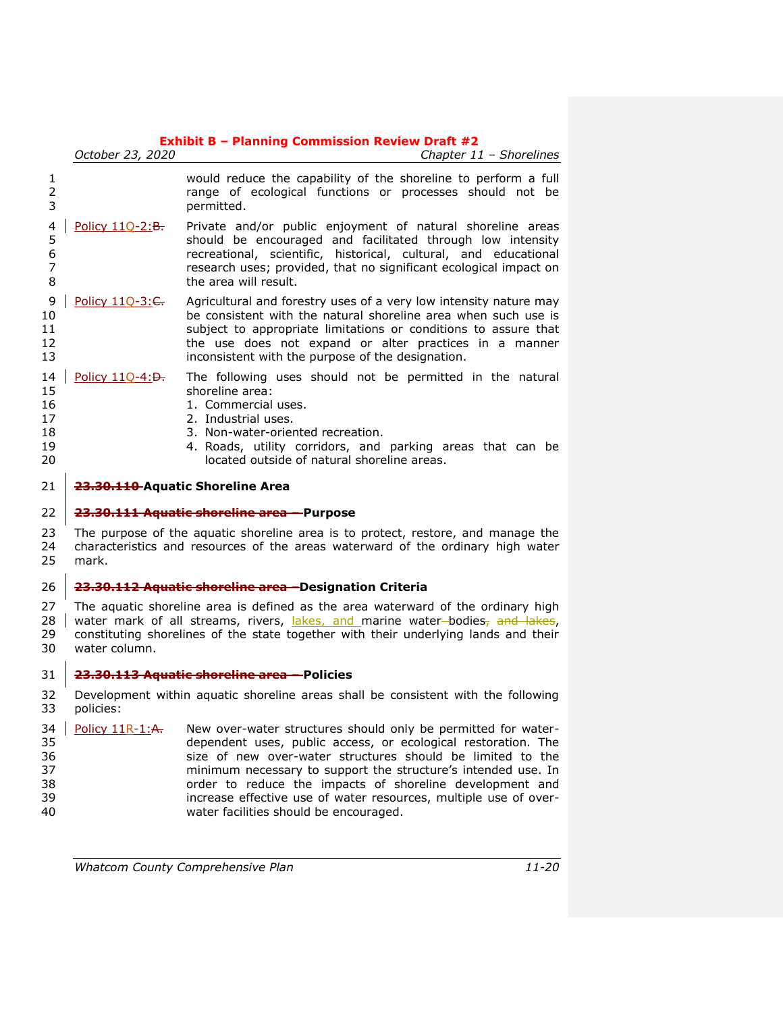|                                        | October 23, 2020                                                                               | Chapter 11 - Shorelines                                                                                                                                                                                                                                                                                               |
|----------------------------------------|------------------------------------------------------------------------------------------------|-----------------------------------------------------------------------------------------------------------------------------------------------------------------------------------------------------------------------------------------------------------------------------------------------------------------------|
| 1<br>$\overline{2}$<br>3               |                                                                                                | would reduce the capability of the shoreline to perform a full<br>range of ecological functions or processes should not be<br>permitted.                                                                                                                                                                              |
| 4<br>5<br>6<br>$\overline{7}$<br>8     | Policy 110-2:B.                                                                                | Private and/or public enjoyment of natural shoreline areas<br>should be encouraged and facilitated through low intensity<br>recreational, scientific, historical, cultural, and educational<br>research uses; provided, that no significant ecological impact on<br>the area will result.                             |
| 9<br>10<br>11<br>12<br>13              | Policy 110-3: C.                                                                               | Agricultural and forestry uses of a very low intensity nature may<br>be consistent with the natural shoreline area when such use is<br>subject to appropriate limitations or conditions to assure that<br>the use does not expand or alter practices in a manner<br>inconsistent with the purpose of the designation. |
| 14<br>15<br>16<br>17<br>18<br>19<br>20 | Policy 110-4: D.                                                                               | The following uses should not be permitted in the natural<br>shoreline area:<br>1. Commercial uses.<br>2. Industrial uses.<br>3. Non-water-oriented recreation.<br>4. Roads, utility corridors, and parking areas that can be<br>located outside of natural shoreline areas.                                          |
| 21                                     |                                                                                                | 23.30.110-Aquatic Shoreline Area                                                                                                                                                                                                                                                                                      |
| 22                                     |                                                                                                | 23.30.111 Aquatic shoreline area - Purpose                                                                                                                                                                                                                                                                            |
| 23<br>24<br>25                         | mark.                                                                                          | The purpose of the aquatic shoreline area is to protect, restore, and manage the<br>characteristics and resources of the areas waterward of the ordinary high water                                                                                                                                                   |
| 26                                     | 23.30.112 Aquatic shoreline area-Designation Criteria                                          |                                                                                                                                                                                                                                                                                                                       |
| 27<br>28<br>29<br>30                   | water column.                                                                                  | The aquatic shoreline area is defined as the area waterward of the ordinary high<br>water mark of all streams, rivers, lakes, and marine water-bodies, and lakes,<br>constituting shorelines of the state together with their underlying lands and their                                                              |
| 31                                     |                                                                                                | 23.30.113 Aquatic shoreline area - Policies                                                                                                                                                                                                                                                                           |
| 32<br>33                               | Development within aquatic shoreline areas shall be consistent with the following<br>policies: |                                                                                                                                                                                                                                                                                                                       |
| 34<br>35                               | Policy 11R-1:A.                                                                                | New over-water structures should only be permitted for water-<br>dependent uses, public access, or ecological restoration. The                                                                                                                                                                                        |

36 size of new over-water structures should be limited to the<br>37 minimum necessary to support the structure's intended use. In minimum necessary to support the structure's intended use. In order to reduce the impacts of shoreline development and 39 increase effective use of water resources, multiple use of over-<br>40 water facilities should be encouraged. water facilities should be encouraged.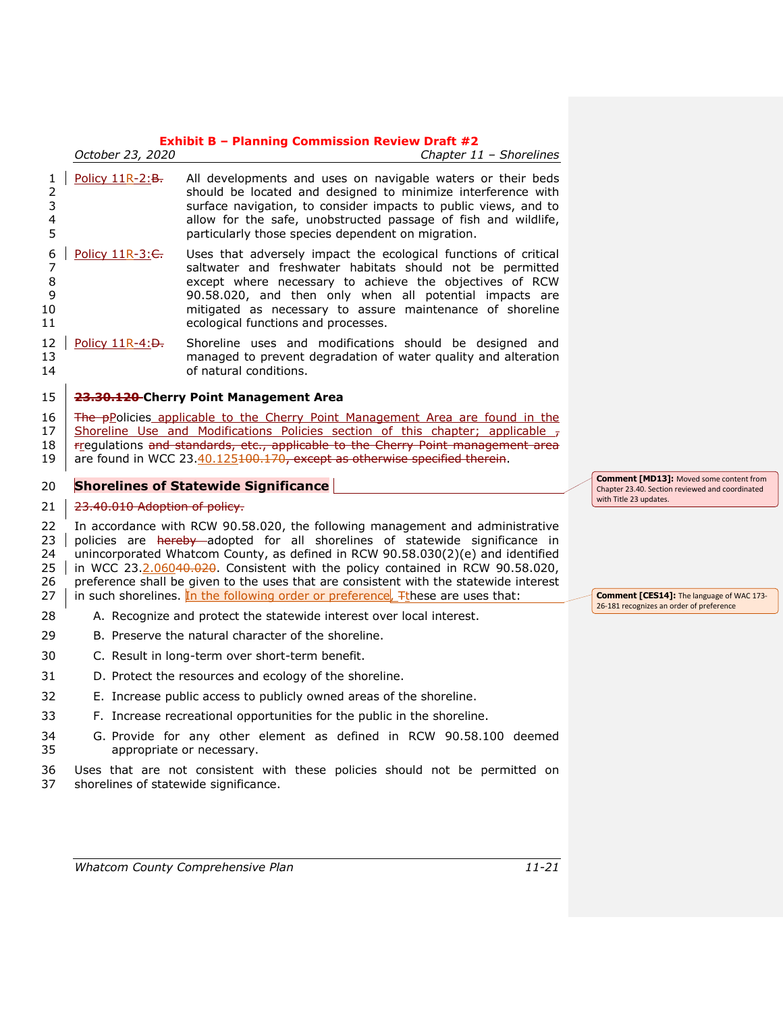|                                                          | October 23, 2020                                                                                                                                                                                                                                                                                                                 | <b>THE PERIOD COMMISSION INCORPORT</b><br>Chapter 11 - Shorelines                                                                                                                                                                                                                                                                                                                                                                                                                                            |                      |
|----------------------------------------------------------|----------------------------------------------------------------------------------------------------------------------------------------------------------------------------------------------------------------------------------------------------------------------------------------------------------------------------------|--------------------------------------------------------------------------------------------------------------------------------------------------------------------------------------------------------------------------------------------------------------------------------------------------------------------------------------------------------------------------------------------------------------------------------------------------------------------------------------------------------------|----------------------|
| 1<br>$\overline{2}$<br>3<br>$\overline{\mathbf{4}}$<br>5 | Policy 11R-2:B.                                                                                                                                                                                                                                                                                                                  | All developments and uses on navigable waters or their beds<br>should be located and designed to minimize interference with<br>surface navigation, to consider impacts to public views, and to<br>allow for the safe, unobstructed passage of fish and wildlife,<br>particularly those species dependent on migration.                                                                                                                                                                                       |                      |
| 6<br>$\overline{7}$<br>8<br>9<br>10<br>11                | Policy 11R-3: C.                                                                                                                                                                                                                                                                                                                 | Uses that adversely impact the ecological functions of critical<br>saltwater and freshwater habitats should not be permitted<br>except where necessary to achieve the objectives of RCW<br>90.58.020, and then only when all potential impacts are<br>mitigated as necessary to assure maintenance of shoreline<br>ecological functions and processes.                                                                                                                                                       |                      |
| 12<br>13<br>14                                           | Policy 11R-4: D.                                                                                                                                                                                                                                                                                                                 | Shoreline uses and modifications should be designed and<br>managed to prevent degradation of water quality and alteration<br>of natural conditions.                                                                                                                                                                                                                                                                                                                                                          |                      |
| 15                                                       |                                                                                                                                                                                                                                                                                                                                  | 23.30.120-Cherry Point Management Area                                                                                                                                                                                                                                                                                                                                                                                                                                                                       |                      |
| 16<br>17<br>18<br>19                                     | The pPolicies applicable to the Cherry Point Management Area are found in the<br>Shoreline Use and Modifications Policies section of this chapter; applicable 7<br>rregulations and standards, etc., applicable to the Cherry Point management area<br>are found in WCC 23.40.125100.170, except as otherwise specified therein. |                                                                                                                                                                                                                                                                                                                                                                                                                                                                                                              |                      |
| 20                                                       |                                                                                                                                                                                                                                                                                                                                  | <b>Shorelines of Statewide Significance</b>                                                                                                                                                                                                                                                                                                                                                                                                                                                                  | Commen<br>Chapter 23 |
| 21                                                       | with Title 2<br>23.40.010 Adoption of policy.                                                                                                                                                                                                                                                                                    |                                                                                                                                                                                                                                                                                                                                                                                                                                                                                                              |                      |
| 22<br>23<br>24<br>25<br>26<br>27                         |                                                                                                                                                                                                                                                                                                                                  | In accordance with RCW 90.58.020, the following management and administrative<br>policies are hereby adopted for all shorelines of statewide significance in<br>unincorporated Whatcom County, as defined in RCW 90.58.030(2)(e) and identified<br>in WCC 23.2.06040.020. Consistent with the policy contained in RCW 90.58.020,<br>preference shall be given to the uses that are consistent with the statewide interest<br>in such shorelines. In the following order or preference, Tthese are uses that: | Commen               |
| 28                                                       |                                                                                                                                                                                                                                                                                                                                  | A. Recognize and protect the statewide interest over local interest.                                                                                                                                                                                                                                                                                                                                                                                                                                         | 26-181 reco          |
| 29                                                       |                                                                                                                                                                                                                                                                                                                                  | B. Preserve the natural character of the shoreline.                                                                                                                                                                                                                                                                                                                                                                                                                                                          |                      |
| 30                                                       |                                                                                                                                                                                                                                                                                                                                  | C. Result in long-term over short-term benefit.                                                                                                                                                                                                                                                                                                                                                                                                                                                              |                      |
| 31                                                       |                                                                                                                                                                                                                                                                                                                                  | D. Protect the resources and ecology of the shoreline.                                                                                                                                                                                                                                                                                                                                                                                                                                                       |                      |
| 32                                                       |                                                                                                                                                                                                                                                                                                                                  | E. Increase public access to publicly owned areas of the shoreline.                                                                                                                                                                                                                                                                                                                                                                                                                                          |                      |
| 33                                                       |                                                                                                                                                                                                                                                                                                                                  | F. Increase recreational opportunities for the public in the shoreline.                                                                                                                                                                                                                                                                                                                                                                                                                                      |                      |
| 34                                                       |                                                                                                                                                                                                                                                                                                                                  | G. Provide for any other element as defined in RCW 90.58.100 deemed                                                                                                                                                                                                                                                                                                                                                                                                                                          |                      |
| 35                                                       |                                                                                                                                                                                                                                                                                                                                  | appropriate or necessary.<br>Uses that are not consistent with these policies should not be permitted on                                                                                                                                                                                                                                                                                                                                                                                                     |                      |

shorelines of statewide significance.

**t [MD13]:** Moved some content from 40. Section reviewed and coordinated 3 updates.

**Comment [CES14]:** The language of WAC 173- 26-181 recognizes an order of preference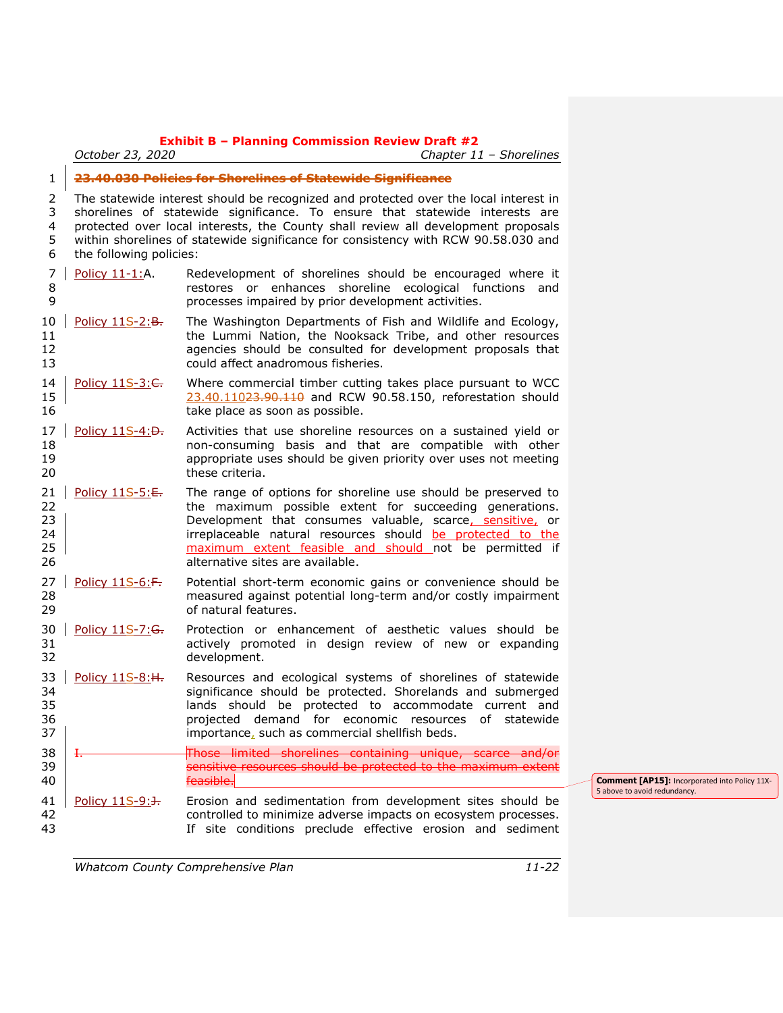*October 23, 2020 Chapter 11 – Shorelines*

## 1 **23.40.030 Policies for Shorelines of Statewide Significance**

 The statewide interest should be recognized and protected over the local interest in shorelines of statewide significance. To ensure that statewide interests are protected over local interests, the County shall review all development proposals within shorelines of statewide significance for consistency with RCW 90.58.030 and the following policies:

- 7 Policy  $11-1:A$ . Redevelopment of shorelines should be encouraged where it 8 restores or enhances shoreline ecological functions and 9 processes impaired by prior development activities.
- 10 | Policy  $11S-2:B$ . The Washington Departments of Fish and Wildlife and Ecology, 11 **11** the Lummi Nation, the Nooksack Tribe, and other resources 12 agencies should be consulted for development proposals that 13 could affect anadromous fisheries.
- 14 | Policy  $11S-3: \leftarrow$  Where commercial timber cutting takes place pursuant to WCC 15 23.40.11023.90.110 and RCW 90.58.150, reforestation should 16 take place as soon as possible.
- $17$  Policy  $11S-4P$ . Activities that use shoreline resources on a sustained yield or 18 non-consuming basis and that are compatible with other 19 appropriate uses should be given priority over uses not meeting 20 these criteria.
- 21 Policy 11S-5:E. The range of options for shoreline use should be preserved to 22 the maximum possible extent for succeeding generations. 23 | Development that consumes valuable, scarce, sensitive, or 24 irreplaceable natural resources should be protected to the 25 maximum extent feasible and should not be permitted if 26 alternative sites are available.
- 27 | Policy  $11S-6$ : F. Potential short-term economic gains or convenience should be 28 measured against potential long-term and/or costly impairment 29 of natural features.
- 30 | Policy  $11S-7:G$ . Protection or enhancement of aesthetic values should be 31 actively promoted in design review of new or expanding 32 development.
- 33 Policy 11S-8:<sup>H</sup>. Resources and ecological systems of shorelines of statewide 34 significance should be protected. Shorelands and submerged 35 lands should be protected to accommodate current and 36 projected demand for economic resources of statewide 37 | importance, such as commercial shellfish beds.

38 I. Those limited shorelines containing unique, scarce and/or 39 Sensitive resources should be protected to the maximum extent 40 feasible.

41 | Policy  $11S-9:3$ . Erosion and sedimentation from development sites should be 42 controlled to minimize adverse impacts on ecosystem processes. 43 If site conditions preclude effective erosion and sediment

**Comment [AP15]:** Incorporated into Policy 11X-5 above to avoid redundancy.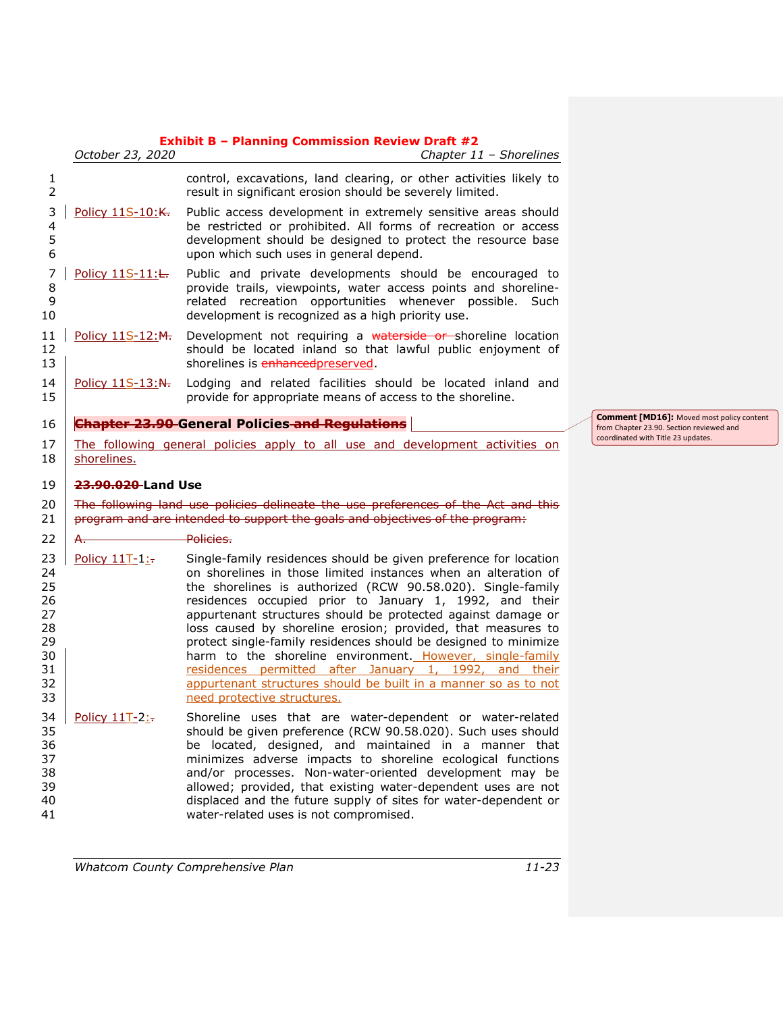|                                                                | October 23, 2020   | Chapter 11 - Shorelines                                                                                                                                                                                                                                                                                                                                                                                                                                                                                                                                                                                                                                                                 |  |
|----------------------------------------------------------------|--------------------|-----------------------------------------------------------------------------------------------------------------------------------------------------------------------------------------------------------------------------------------------------------------------------------------------------------------------------------------------------------------------------------------------------------------------------------------------------------------------------------------------------------------------------------------------------------------------------------------------------------------------------------------------------------------------------------------|--|
| $\mathbf{1}$<br>$\overline{2}$                                 |                    | control, excavations, land clearing, or other activities likely to<br>result in significant erosion should be severely limited.                                                                                                                                                                                                                                                                                                                                                                                                                                                                                                                                                         |  |
| 3<br>4<br>5<br>6                                               | Policy 11S-10:K.   | Public access development in extremely sensitive areas should<br>be restricted or prohibited. All forms of recreation or access<br>development should be designed to protect the resource base<br>upon which such uses in general depend.                                                                                                                                                                                                                                                                                                                                                                                                                                               |  |
| 7<br>8<br>9<br>10                                              | Policy 11S-11: L.  | Public and private developments should be encouraged to<br>provide trails, viewpoints, water access points and shoreline-<br>related recreation opportunities whenever possible. Such<br>development is recognized as a high priority use.                                                                                                                                                                                                                                                                                                                                                                                                                                              |  |
| 11<br>12<br>13                                                 | Policy 11S-12:M.   | Development not requiring a waterside or shoreline location<br>should be located inland so that lawful public enjoyment of<br>shorelines is enhancedpreserved.                                                                                                                                                                                                                                                                                                                                                                                                                                                                                                                          |  |
| 14<br>15                                                       | Policy 11S-13:N.   | Lodging and related facilities should be located inland and<br>provide for appropriate means of access to the shoreline.                                                                                                                                                                                                                                                                                                                                                                                                                                                                                                                                                                |  |
| 16                                                             |                    | <b>Chapter 23.90 General Policies and Regulations</b>                                                                                                                                                                                                                                                                                                                                                                                                                                                                                                                                                                                                                                   |  |
| 17<br>18                                                       | shorelines.        | The following general policies apply to all use and development activities on                                                                                                                                                                                                                                                                                                                                                                                                                                                                                                                                                                                                           |  |
| 19                                                             | 23.90.020-Land Use |                                                                                                                                                                                                                                                                                                                                                                                                                                                                                                                                                                                                                                                                                         |  |
| 20<br>21                                                       |                    | The following land use policies delineate the use preferences of the Act and this<br>program and are intended to support the goals and objectives of the program:                                                                                                                                                                                                                                                                                                                                                                                                                                                                                                                       |  |
| 22                                                             | А.                 | Policies.                                                                                                                                                                                                                                                                                                                                                                                                                                                                                                                                                                                                                                                                               |  |
| 23<br>24<br>25<br>26<br>27<br>28<br>29<br>30<br>31<br>32<br>33 | Policy 11T-1:-     | Single-family residences should be given preference for location<br>on shorelines in those limited instances when an alteration of<br>the shorelines is authorized (RCW 90.58.020). Single-family<br>residences occupied prior to January 1, 1992, and their<br>appurtenant structures should be protected against damage or<br>loss caused by shoreline erosion; provided, that measures to<br>protect single-family residences should be designed to minimize<br>harm to the shoreline environment. However, single-family<br>residences permitted after January 1, 1992, and their<br>appurtenant structures should be built in a manner so as to not<br>need protective structures. |  |
| 34<br>35<br>36<br>37<br>38<br>39<br>40<br>41                   | Policy $11T-2$ :   | Shoreline uses that are water-dependent or water-related<br>should be given preference (RCW 90.58.020). Such uses should<br>be located, designed, and maintained in a manner that<br>minimizes adverse impacts to shoreline ecological functions<br>and/or processes. Non-water-oriented development may be<br>allowed; provided, that existing water-dependent uses are not<br>displaced and the future supply of sites for water-dependent or<br>water-related uses is not compromised.                                                                                                                                                                                               |  |

**Comment [MD16]:** Moved most policy content from Chapter 23.90. Section reviewed and coordinated with Title 23 updates.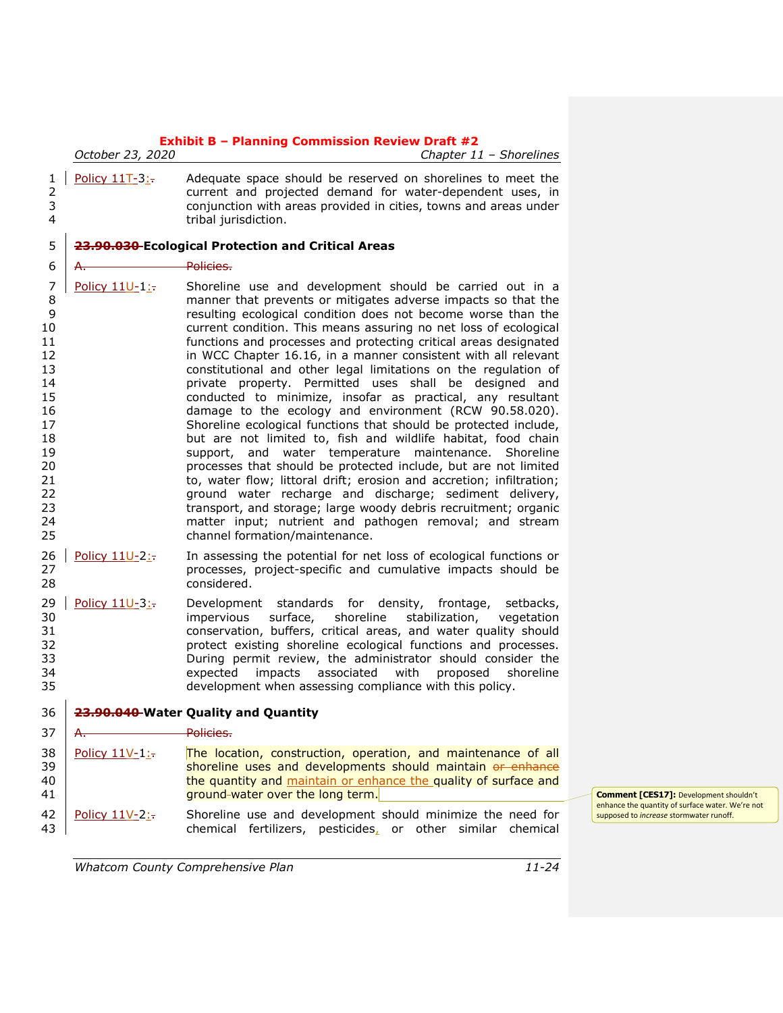|                                                                                                             | October 23, 2020 | LAMDR D – Fiammig Commission Review Dia<br>Chapter 11 - Shorelines                                                                                                                                                                                                                                                                                                                                                                                                                                                                                                                                                                                                                                                                                                                                                                                                                                                                                                                                                                                                                                                                                                                                                               |
|-------------------------------------------------------------------------------------------------------------|------------------|----------------------------------------------------------------------------------------------------------------------------------------------------------------------------------------------------------------------------------------------------------------------------------------------------------------------------------------------------------------------------------------------------------------------------------------------------------------------------------------------------------------------------------------------------------------------------------------------------------------------------------------------------------------------------------------------------------------------------------------------------------------------------------------------------------------------------------------------------------------------------------------------------------------------------------------------------------------------------------------------------------------------------------------------------------------------------------------------------------------------------------------------------------------------------------------------------------------------------------|
| 1<br>2<br>3<br>$\overline{4}$                                                                               | Policy 11T-3:    | Adequate space should be reserved on shorelines to meet the<br>current and projected demand for water-dependent uses, in<br>conjunction with areas provided in cities, towns and areas under<br>tribal jurisdiction.                                                                                                                                                                                                                                                                                                                                                                                                                                                                                                                                                                                                                                                                                                                                                                                                                                                                                                                                                                                                             |
| 5                                                                                                           |                  | 23.90.030-Ecological Protection and Critical Areas                                                                                                                                                                                                                                                                                                                                                                                                                                                                                                                                                                                                                                                                                                                                                                                                                                                                                                                                                                                                                                                                                                                                                                               |
| 6                                                                                                           | А.               | Policies.                                                                                                                                                                                                                                                                                                                                                                                                                                                                                                                                                                                                                                                                                                                                                                                                                                                                                                                                                                                                                                                                                                                                                                                                                        |
| 7<br>8<br>9<br>10<br>11<br>12<br>13<br>14<br>15<br>16<br>17<br>18<br>19<br>20<br>21<br>22<br>23<br>24<br>25 | Policy 11U-1:    | Shoreline use and development should be carried out in a<br>manner that prevents or mitigates adverse impacts so that the<br>resulting ecological condition does not become worse than the<br>current condition. This means assuring no net loss of ecological<br>functions and processes and protecting critical areas designated<br>in WCC Chapter 16.16, in a manner consistent with all relevant<br>constitutional and other legal limitations on the regulation of<br>private property. Permitted uses shall be designed and<br>conducted to minimize, insofar as practical, any resultant<br>damage to the ecology and environment (RCW 90.58.020).<br>Shoreline ecological functions that should be protected include,<br>but are not limited to, fish and wildlife habitat, food chain<br>support, and water temperature maintenance.<br>Shoreline<br>processes that should be protected include, but are not limited<br>to, water flow; littoral drift; erosion and accretion; infiltration;<br>ground water recharge and discharge; sediment delivery,<br>transport, and storage; large woody debris recruitment; organic<br>matter input; nutrient and pathogen removal; and stream<br>channel formation/maintenance. |
| 26<br>27<br>28                                                                                              | Policy 11U-2:-   | In assessing the potential for net loss of ecological functions or<br>processes, project-specific and cumulative impacts should be<br>considered.                                                                                                                                                                                                                                                                                                                                                                                                                                                                                                                                                                                                                                                                                                                                                                                                                                                                                                                                                                                                                                                                                |
| 29<br>30<br>31<br>32<br>33<br>34<br>35                                                                      | Policy 11U-3:-   | Development standards for density, frontage,<br>setbacks,<br>impervious surface, shoreline<br>stabilization,<br>vegetation<br>conservation, buffers, critical areas, and water quality should<br>protect existing shoreline ecological functions and processes.<br>During permit review, the administrator should consider the<br>impacts associated with<br>proposed<br>expected<br>shoreline<br>development when assessing compliance with this policy.                                                                                                                                                                                                                                                                                                                                                                                                                                                                                                                                                                                                                                                                                                                                                                        |
| 36                                                                                                          |                  | .90.040-Water Quality and Quantity                                                                                                                                                                                                                                                                                                                                                                                                                                                                                                                                                                                                                                                                                                                                                                                                                                                                                                                                                                                                                                                                                                                                                                                               |
| 37                                                                                                          | Α.               | Policies.                                                                                                                                                                                                                                                                                                                                                                                                                                                                                                                                                                                                                                                                                                                                                                                                                                                                                                                                                                                                                                                                                                                                                                                                                        |
| 38<br>39<br>40<br>41                                                                                        | Policy 11V-1:    | The location, construction, operation, and maintenance of all<br>shoreline uses and developments should maintain or enhance<br>the quantity and maintain or enhance the quality of surface and<br>ground-water over the long term.                                                                                                                                                                                                                                                                                                                                                                                                                                                                                                                                                                                                                                                                                                                                                                                                                                                                                                                                                                                               |
| 42<br>43                                                                                                    | Policy 11V-2:    | Shoreline use and development should minimize the need for<br>chemical<br>fertilizers, pesticides, or other similar<br>chemical                                                                                                                                                                                                                                                                                                                                                                                                                                                                                                                                                                                                                                                                                                                                                                                                                                                                                                                                                                                                                                                                                                  |

**Comment [CES17]:** Development shouldn't enhance the quantity of surface water. We're not supposed to *increase* stormwater runoff.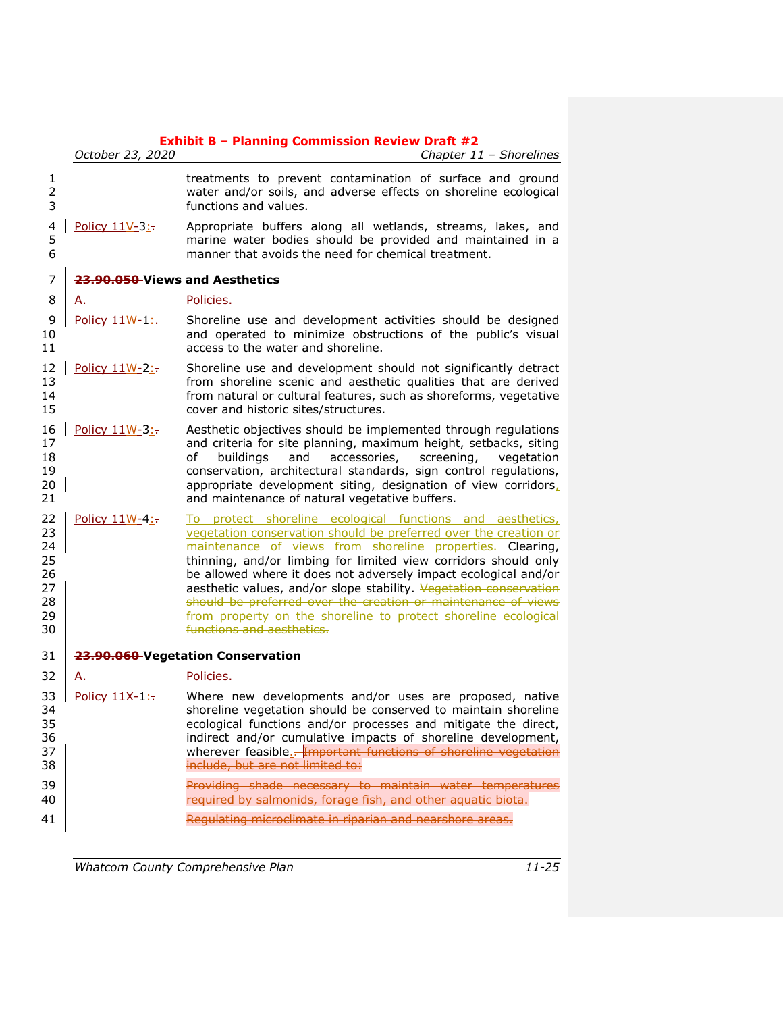|                                                    | October 23, 2020               | Chapter 11 - Shorelines                                                                                                                                                                                                                                                                                                                                                                                                                                                                                                                                               |
|----------------------------------------------------|--------------------------------|-----------------------------------------------------------------------------------------------------------------------------------------------------------------------------------------------------------------------------------------------------------------------------------------------------------------------------------------------------------------------------------------------------------------------------------------------------------------------------------------------------------------------------------------------------------------------|
| 1<br>$\overline{2}$<br>3                           |                                | treatments to prevent contamination of surface and ground<br>water and/or soils, and adverse effects on shoreline ecological<br>functions and values.                                                                                                                                                                                                                                                                                                                                                                                                                 |
| 4<br>5<br>6                                        | Policy 11V-3:-                 | Appropriate buffers along all wetlands, streams, lakes, and<br>marine water bodies should be provided and maintained in a<br>manner that avoids the need for chemical treatment.                                                                                                                                                                                                                                                                                                                                                                                      |
| 7                                                  | 23.90.050-Views and Aesthetics |                                                                                                                                                                                                                                                                                                                                                                                                                                                                                                                                                                       |
| 8                                                  | <del>A.</del>                  | Policies.                                                                                                                                                                                                                                                                                                                                                                                                                                                                                                                                                             |
| 9<br>10<br>11                                      | Policy 11W-1:-                 | Shoreline use and development activities should be designed<br>and operated to minimize obstructions of the public's visual<br>access to the water and shoreline.                                                                                                                                                                                                                                                                                                                                                                                                     |
| 12<br>13<br>14<br>15                               | Policy 11W-2:-                 | Shoreline use and development should not significantly detract<br>from shoreline scenic and aesthetic qualities that are derived<br>from natural or cultural features, such as shoreforms, vegetative<br>cover and historic sites/structures.                                                                                                                                                                                                                                                                                                                         |
| 16<br>17<br>18<br>19<br>20<br>21                   | Policy 11W-3:-                 | Aesthetic objectives should be implemented through regulations<br>and criteria for site planning, maximum height, setbacks, siting<br>buildings<br>accessories,<br>screening,<br>of<br>and<br>vegetation<br>conservation, architectural standards, sign control regulations,<br>appropriate development siting, designation of view corridors,<br>and maintenance of natural vegetative buffers.                                                                                                                                                                      |
| 22<br>23<br>24<br>25<br>26<br>27<br>28<br>29<br>30 | Policy 11W-4:-                 | To protect shoreline ecological functions and aesthetics,<br>vegetation conservation should be preferred over the creation or<br>maintenance of views from shoreline properties. Clearing,<br>thinning, and/or limbing for limited view corridors should only<br>be allowed where it does not adversely impact ecological and/or<br>aesthetic values, and/or slope stability. Vegetation conservation<br>should be preferred over the creation or maintenance of views<br>from property on the shoreline to protect shoreline ecological<br>functions and aesthetics. |
| 31                                                 |                                | 23.90.060-Vegetation Conservation                                                                                                                                                                                                                                                                                                                                                                                                                                                                                                                                     |
| 32                                                 | <del>A.</del>                  | <del>Policies.</del>                                                                                                                                                                                                                                                                                                                                                                                                                                                                                                                                                  |
| 33<br>34<br>35<br>36<br>37<br>38                   | Policy $11X-1$ :               | Where new developments and/or uses are proposed, native<br>shoreline vegetation should be conserved to maintain shoreline<br>ecological functions and/or processes and mitigate the direct,<br>indirect and/or cumulative impacts of shoreline development,<br>wherever feasible <i>Important functions of shoreline vegetation</i><br>include, but are not limited to:                                                                                                                                                                                               |
| 39<br>40                                           |                                | Providing shade necessary to maintain water temperatures<br>required by salmonids, forage fish, and other aquatic biota.                                                                                                                                                                                                                                                                                                                                                                                                                                              |
| 41                                                 |                                | Regulating microclimate in riparian and nearshore areas.                                                                                                                                                                                                                                                                                                                                                                                                                                                                                                              |
|                                                    |                                |                                                                                                                                                                                                                                                                                                                                                                                                                                                                                                                                                                       |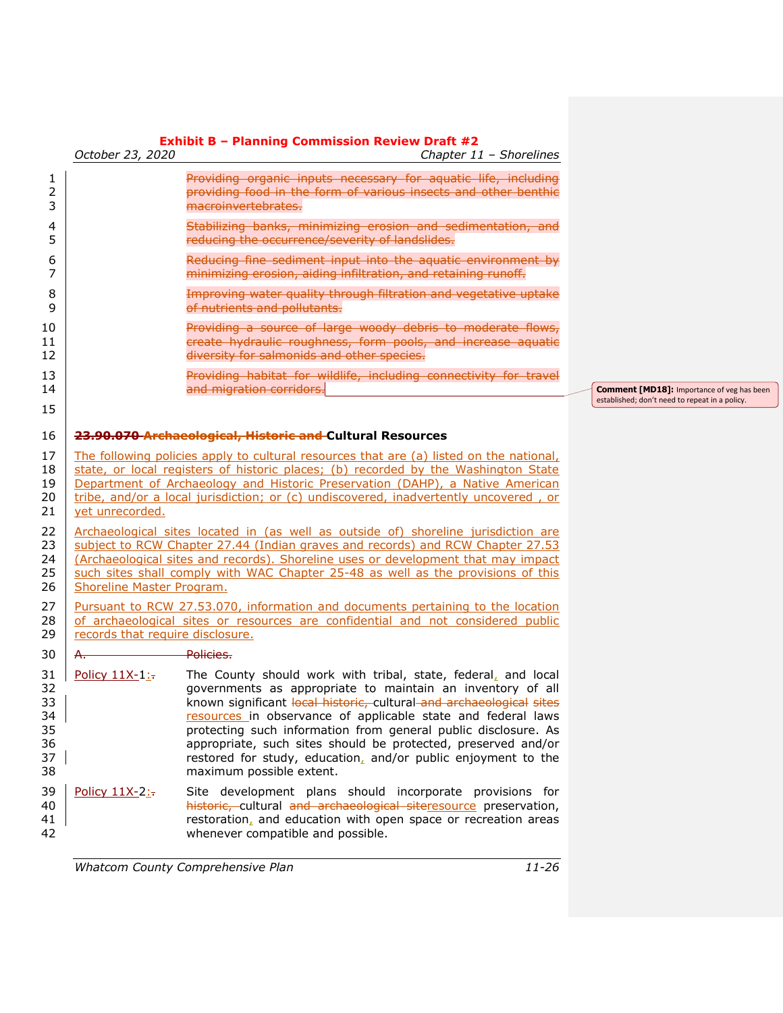| October 23, 2020                                                                                                                                                                                                                                                                                                                                                           | Chapter 11 - Shorelines                                                                                                                                                                                                                                                                                                                                                                                                                                                                            |  |
|----------------------------------------------------------------------------------------------------------------------------------------------------------------------------------------------------------------------------------------------------------------------------------------------------------------------------------------------------------------------------|----------------------------------------------------------------------------------------------------------------------------------------------------------------------------------------------------------------------------------------------------------------------------------------------------------------------------------------------------------------------------------------------------------------------------------------------------------------------------------------------------|--|
|                                                                                                                                                                                                                                                                                                                                                                            | Providing organic inputs necessary for aquatic life, including<br>providing food in the form of various insects and other benthic<br>macroinvertebrates.                                                                                                                                                                                                                                                                                                                                           |  |
|                                                                                                                                                                                                                                                                                                                                                                            | Stabilizing banks, minimizing erosion and sedimentation, and<br>reducing the occurrence/severity of landslides.                                                                                                                                                                                                                                                                                                                                                                                    |  |
|                                                                                                                                                                                                                                                                                                                                                                            | Reducing fine sediment input into the aquatic environment by<br>minimizing erosion, aiding infiltration, and retaining runoff.                                                                                                                                                                                                                                                                                                                                                                     |  |
|                                                                                                                                                                                                                                                                                                                                                                            | Improving water quality through filtration and vegetative uptake<br>of nutrients and pollutants.                                                                                                                                                                                                                                                                                                                                                                                                   |  |
|                                                                                                                                                                                                                                                                                                                                                                            | Providing a source of large woody debris to moderate flows,<br>create hydraulic roughness, form pools, and increase aquatic<br>diversity for salmonids and other species.                                                                                                                                                                                                                                                                                                                          |  |
|                                                                                                                                                                                                                                                                                                                                                                            | Providing habitat for wildlife, including connectivity for travel<br>and migration corridors.                                                                                                                                                                                                                                                                                                                                                                                                      |  |
|                                                                                                                                                                                                                                                                                                                                                                            |                                                                                                                                                                                                                                                                                                                                                                                                                                                                                                    |  |
|                                                                                                                                                                                                                                                                                                                                                                            | 23.90.070-Archaeological, Historic and Cultural Resources                                                                                                                                                                                                                                                                                                                                                                                                                                          |  |
| The following policies apply to cultural resources that are (a) listed on the national,<br>state, or local registers of historic places; (b) recorded by the Washington State<br>Department of Archaeology and Historic Preservation (DAHP), a Native American<br>tribe, and/or a local jurisdiction; or (c) undiscovered, inadvertently uncovered, or                     |                                                                                                                                                                                                                                                                                                                                                                                                                                                                                                    |  |
| Archaeological sites located in (as well as outside of) shoreline jurisdiction are<br>subject to RCW Chapter 27.44 (Indian graves and records) and RCW Chapter 27.53<br>(Archaeological sites and records). Shoreline uses or development that may impact<br>such sites shall comply with WAC Chapter 25-48 as well as the provisions of this<br>Shoreline Master Program. |                                                                                                                                                                                                                                                                                                                                                                                                                                                                                                    |  |
| Pursuant to RCW 27.53.070, information and documents pertaining to the location<br>of archaeological sites or resources are confidential and not considered public                                                                                                                                                                                                         |                                                                                                                                                                                                                                                                                                                                                                                                                                                                                                    |  |
| <del>A.</del>                                                                                                                                                                                                                                                                                                                                                              | Policies.                                                                                                                                                                                                                                                                                                                                                                                                                                                                                          |  |
| Policy 11X-1:-                                                                                                                                                                                                                                                                                                                                                             | The County should work with tribal, state, federal, and local<br>governments as appropriate to maintain an inventory of all<br>known significant local historic, cultural and archaeological sites<br>resources in observance of applicable state and federal laws<br>protecting such information from general public disclosure. As<br>appropriate, such sites should be protected, preserved and/or<br>restored for study, education, and/or public enjoyment to the<br>maximum possible extent. |  |
| Policy 11X-2:-                                                                                                                                                                                                                                                                                                                                                             | Site development plans should incorporate provisions for<br>historic, cultural and archaeological siteresource preservation,<br>restoration, and education with open space or recreation areas<br>whenever compatible and possible.                                                                                                                                                                                                                                                                |  |
|                                                                                                                                                                                                                                                                                                                                                                            | yet unrecorded.<br>records that require disclosure.                                                                                                                                                                                                                                                                                                                                                                                                                                                |  |

**Comment [MD18]:** Importance of veg has been established; don't need to repeat in a policy.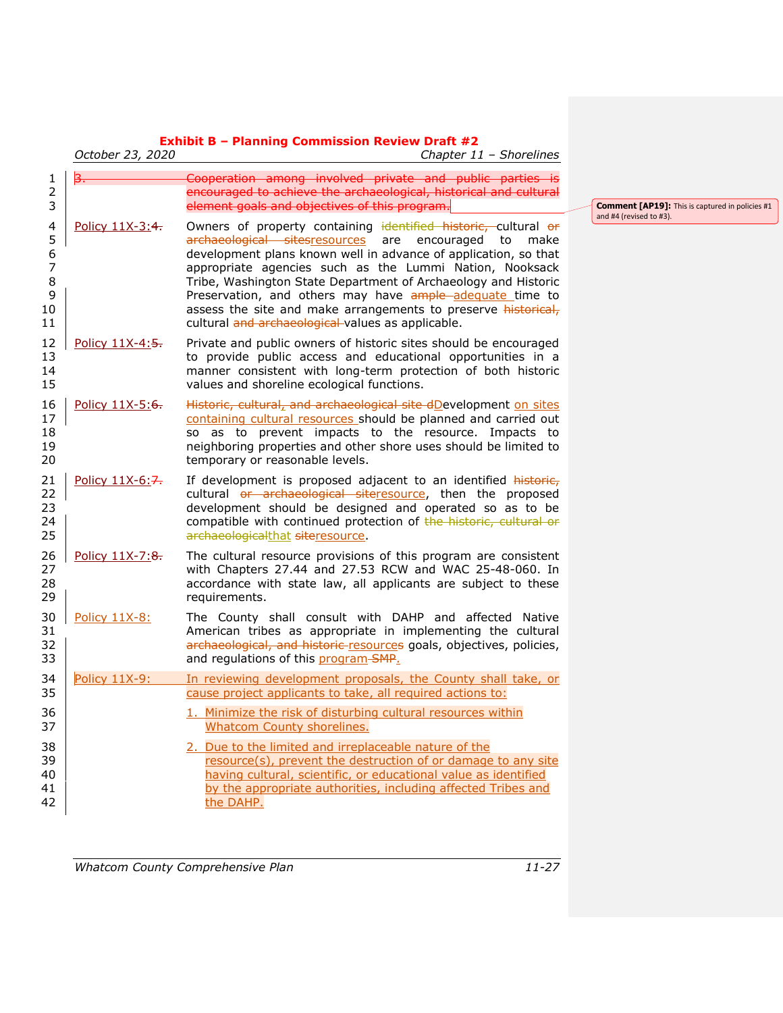|                                        | October 23, 2020     | Chapter 11 - Shorelines                                                                                                                                                                                                                                                                                                                                                                                                                                                                                        |
|----------------------------------------|----------------------|----------------------------------------------------------------------------------------------------------------------------------------------------------------------------------------------------------------------------------------------------------------------------------------------------------------------------------------------------------------------------------------------------------------------------------------------------------------------------------------------------------------|
| 1<br>2<br>3                            | 3.                   | Cooperation among involved private and public parties is<br>encouraged to achieve the archaeological, historical and cultural<br>element goals and objectives of this program.                                                                                                                                                                                                                                                                                                                                 |
| 4<br>5<br>6<br>7<br>8<br>9<br>10<br>11 | Policy 11X-3:4.      | Owners of property containing identified historic, cultural or<br>archaeological sitesresources are encouraged<br>to<br>make<br>development plans known well in advance of application, so that<br>appropriate agencies such as the Lummi Nation, Nooksack<br>Tribe, Washington State Department of Archaeology and Historic<br>Preservation, and others may have ample-adequate time to<br>assess the site and make arrangements to preserve historical,<br>cultural and archaeological values as applicable. |
| 12<br>13<br>14<br>15                   | Policy 11X-4:5.      | Private and public owners of historic sites should be encouraged<br>to provide public access and educational opportunities in a<br>manner consistent with long-term protection of both historic<br>values and shoreline ecological functions.                                                                                                                                                                                                                                                                  |
| 16<br>17<br>18<br>19<br>20             | Policy $11X-5:6$ .   | Historic, cultural, and archaeological site dDevelopment on sites<br>containing cultural resources should be planned and carried out<br>so as to prevent impacts to the resource. Impacts to<br>neighboring properties and other shore uses should be limited to<br>temporary or reasonable levels.                                                                                                                                                                                                            |
| 21<br>22<br>23<br>24<br>25             | Policy $11X-6:7$ .   | If development is proposed adjacent to an identified historic,<br>cultural or archaeological siteresource, then the proposed<br>development should be designed and operated so as to be<br>compatible with continued protection of the historic, cultural or<br>archaeologicalthat siteresource.                                                                                                                                                                                                               |
| 26<br>27<br>28<br>29                   | Policy 11X-7:8.      | The cultural resource provisions of this program are consistent<br>with Chapters 27.44 and 27.53 RCW and WAC 25-48-060. In<br>accordance with state law, all applicants are subject to these<br>requirements.                                                                                                                                                                                                                                                                                                  |
| 30<br>31<br>32<br>33                   | Policy 11X-8:        | The County shall consult with DAHP and affected Native<br>American tribes as appropriate in implementing the cultural<br>archaeological, and historic-resources goals, objectives, policies,<br>and regulations of this program-SMP.                                                                                                                                                                                                                                                                           |
| 34<br>35                               | <b>Policy 11X-9:</b> | In reviewing development proposals, the County shall take, or<br>cause project applicants to take, all required actions to:                                                                                                                                                                                                                                                                                                                                                                                    |
| 36<br>37                               |                      | 1. Minimize the risk of disturbing cultural resources within<br><b>Whatcom County shorelines.</b>                                                                                                                                                                                                                                                                                                                                                                                                              |
| 38<br>39<br>40<br>41<br>42             |                      | 2. Due to the limited and irreplaceable nature of the<br>resource(s), prevent the destruction of or damage to any site<br>having cultural, scientific, or educational value as identified<br>by the appropriate authorities, including affected Tribes and<br>the DAHP.                                                                                                                                                                                                                                        |

**Comment [AP19]:** This is captured in policies #1 and #4 (revised to #3).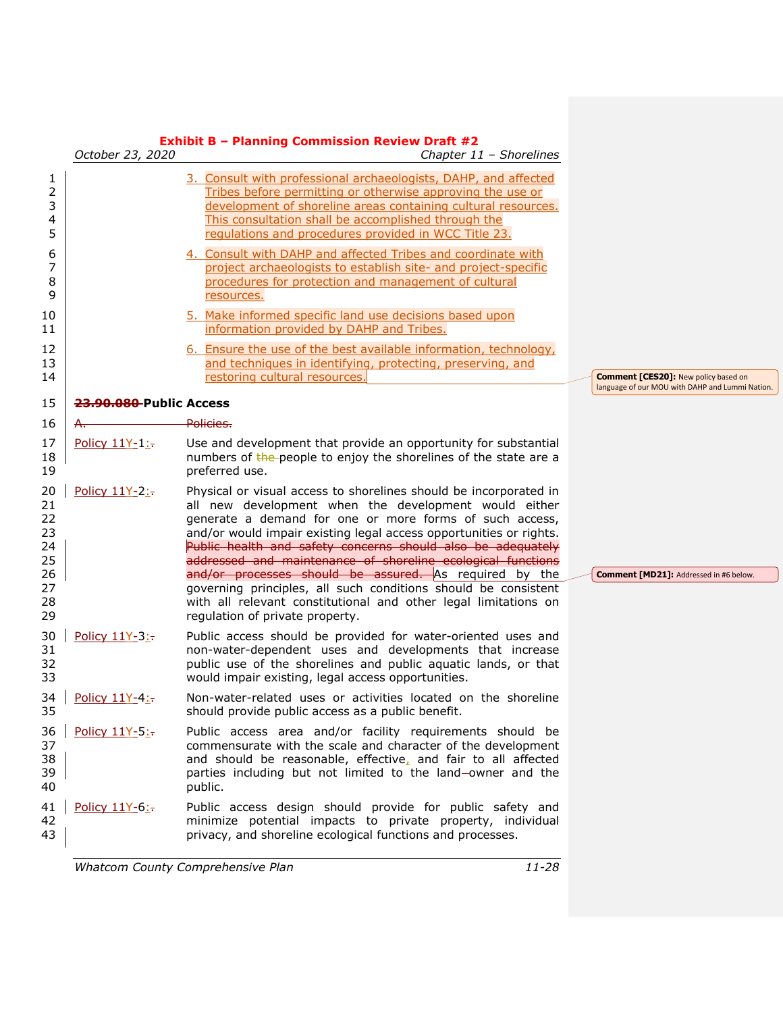|                                              | October 23, 2020                  | <b>Exhibit B - Planning Commission Review Draft #2</b><br>Chapter 11 - Shorelines                                                                                                                                                                                                                                                                                                                                                                                                                                     |                                                                                                |
|----------------------------------------------|-----------------------------------|-----------------------------------------------------------------------------------------------------------------------------------------------------------------------------------------------------------------------------------------------------------------------------------------------------------------------------------------------------------------------------------------------------------------------------------------------------------------------------------------------------------------------|------------------------------------------------------------------------------------------------|
| 1<br>2<br>3<br>4<br>5                        |                                   | 3. Consult with professional archaeologists, DAHP, and affected<br>Tribes before permitting or otherwise approving the use or<br>development of shoreline areas containing cultural resources.<br>This consultation shall be accomplished through the<br>regulations and procedures provided in WCC Title 23.                                                                                                                                                                                                         |                                                                                                |
| 6<br>7<br>8<br>9                             |                                   | 4. Consult with DAHP and affected Tribes and coordinate with<br>project archaeologists to establish site- and project-specific<br>procedures for protection and management of cultural<br>resources.                                                                                                                                                                                                                                                                                                                  |                                                                                                |
| 10<br>11                                     |                                   | 5. Make informed specific land use decisions based upon<br>information provided by DAHP and Tribes.                                                                                                                                                                                                                                                                                                                                                                                                                   |                                                                                                |
| 12<br>13<br>14                               |                                   | 6. Ensure the use of the best available information, technology,<br>and techniques in identifying, protecting, preserving, and<br>restoring cultural resources.                                                                                                                                                                                                                                                                                                                                                       | <b>Comment [CES20]: New policy based on</b><br>language of our MOU with DAHP and Lummi Nation. |
| 15                                           | <del>.90.080-</del> Public Access |                                                                                                                                                                                                                                                                                                                                                                                                                                                                                                                       |                                                                                                |
| 16                                           | <del>A.</del>                     | Policies.                                                                                                                                                                                                                                                                                                                                                                                                                                                                                                             |                                                                                                |
| 17<br>18<br>19                               | Policy 11Y-1:                     | Use and development that provide an opportunity for substantial<br>numbers of the-people to enjoy the shorelines of the state are a<br>preferred use.                                                                                                                                                                                                                                                                                                                                                                 |                                                                                                |
| 20<br>21<br>22<br>23<br>24<br>25<br>26<br>27 | Policy 11Y-2:-                    | Physical or visual access to shorelines should be incorporated in<br>all new development when the development would either<br>generate a demand for one or more forms of such access,<br>and/or would impair existing legal access opportunities or rights.<br>Public health and safety concerns should also be adequately<br>addressed and maintenance of shoreline ecological functions<br>and/or processes should be assured. As required by the<br>governing principles, all such conditions should be consistent | Comment [MD21]: Addressed in #6 below.                                                         |
| 28<br>29                                     |                                   | with all relevant constitutional and other legal limitations on<br>regulation of private property.                                                                                                                                                                                                                                                                                                                                                                                                                    |                                                                                                |
| 30<br>31<br>32<br>33                         | Policy 11Y-3:-                    | Public access should be provided for water-oriented uses and<br>non-water-dependent uses and developments that increase<br>public use of the shorelines and public aquatic lands, or that<br>would impair existing, legal access opportunities.                                                                                                                                                                                                                                                                       |                                                                                                |
| 34<br>35                                     | Policy $11Y-4$ :                  | Non-water-related uses or activities located on the shoreline<br>should provide public access as a public benefit.                                                                                                                                                                                                                                                                                                                                                                                                    |                                                                                                |
| 36<br>37<br>38<br>39<br>40                   | Policy 11Y-5:-                    | Public access area and/or facility requirements should be<br>commensurate with the scale and character of the development<br>and should be reasonable, effective, and fair to all affected<br>parties including but not limited to the land-owner and the<br>public.                                                                                                                                                                                                                                                  |                                                                                                |
| 41<br>42<br>43                               | Policy 11Y-6:-                    | Public access design should provide for public safety and<br>minimize potential impacts to private property, individual<br>privacy, and shoreline ecological functions and processes.                                                                                                                                                                                                                                                                                                                                 |                                                                                                |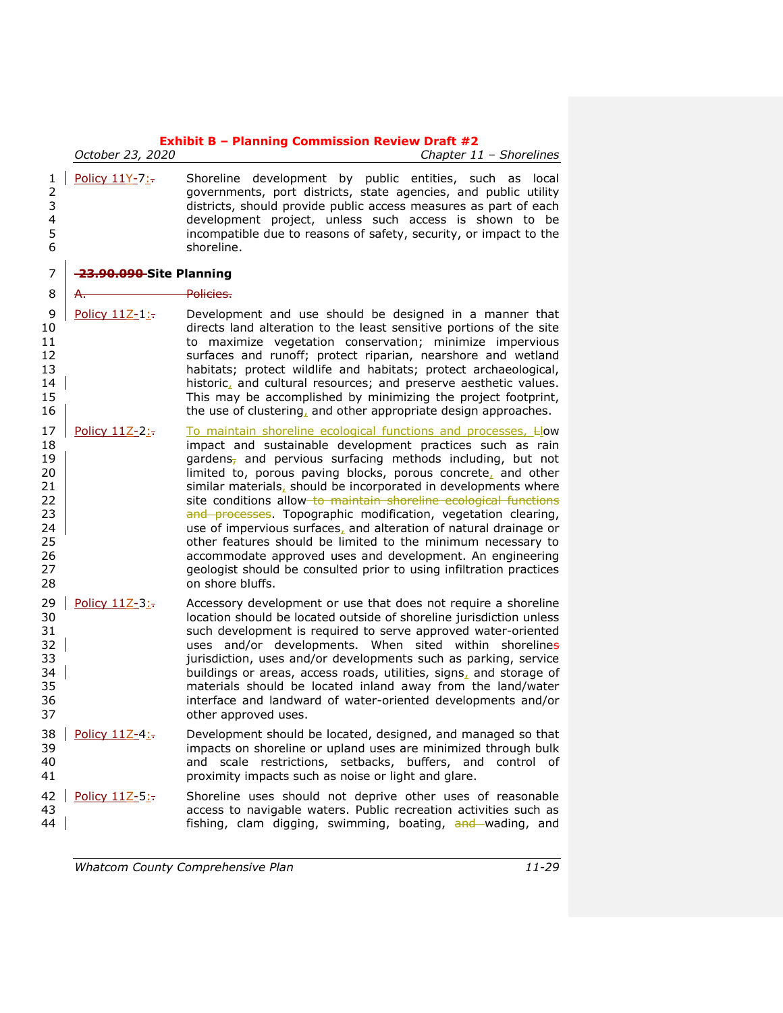|                                                                      | October 23, 2020        | Chapter 11 - Shorelines                                                                                                                                                                                                                                                                                                                                                                                                                                                                                                                                                                                                                                                                                                                                                    |
|----------------------------------------------------------------------|-------------------------|----------------------------------------------------------------------------------------------------------------------------------------------------------------------------------------------------------------------------------------------------------------------------------------------------------------------------------------------------------------------------------------------------------------------------------------------------------------------------------------------------------------------------------------------------------------------------------------------------------------------------------------------------------------------------------------------------------------------------------------------------------------------------|
| 1<br>2<br>3<br>$\overline{\mathbf{4}}$<br>5<br>6                     | Policy 11Y-7:           | Shoreline development by public entities, such as local<br>governments, port districts, state agencies, and public utility<br>districts, should provide public access measures as part of each<br>development project, unless such access is shown to be<br>incompatible due to reasons of safety, security, or impact to the<br>shoreline.                                                                                                                                                                                                                                                                                                                                                                                                                                |
| 7                                                                    | 23.90.090-Site Planning |                                                                                                                                                                                                                                                                                                                                                                                                                                                                                                                                                                                                                                                                                                                                                                            |
| 8                                                                    |                         | <del>Policies.</del>                                                                                                                                                                                                                                                                                                                                                                                                                                                                                                                                                                                                                                                                                                                                                       |
| 9<br>10<br>11<br>12<br>13<br>14<br>15<br>16                          | Policy $11Z-1$ :        | Development and use should be designed in a manner that<br>directs land alteration to the least sensitive portions of the site<br>to maximize vegetation conservation; minimize impervious<br>surfaces and runoff; protect riparian, nearshore and wetland<br>habitats; protect wildlife and habitats; protect archaeological,<br>historic, and cultural resources; and preserve aesthetic values.<br>This may be accomplished by minimizing the project footprint,<br>the use of clustering, and other appropriate design approaches.                                                                                                                                                                                                                                     |
| 17<br>18<br>19<br>20<br>21<br>22<br>23<br>24<br>25<br>26<br>27<br>28 | Policy 11Z-2:           | To maintain shoreline ecological functions and processes, Elow<br>impact and sustainable development practices such as rain<br>gardens <sub>7</sub> and pervious surfacing methods including, but not<br>limited to, porous paving blocks, porous concrete, and other<br>similar materials, should be incorporated in developments where<br>site conditions allow-to maintain shoreline ecological functions<br>and processes. Topographic modification, vegetation clearing,<br>use of impervious surfaces, and alteration of natural drainage or<br>other features should be limited to the minimum necessary to<br>accommodate approved uses and development. An engineering<br>geologist should be consulted prior to using infiltration practices<br>on shore bluffs. |
| 29<br>30<br>31<br>32<br>33<br>34<br>35<br>36<br>37                   | Policy 11Z-3:-          | Accessory development or use that does not require a shoreline<br>location should be located outside of shoreline jurisdiction unless<br>such development is required to serve approved water-oriented<br>uses and/or developments. When sited within shorelines<br>jurisdiction, uses and/or developments such as parking, service<br>buildings or areas, access roads, utilities, signs, and storage of<br>materials should be located inland away from the land/water<br>interface and landward of water-oriented developments and/or<br>other approved uses.                                                                                                                                                                                                           |
| 38<br>39<br>40<br>41                                                 | Policy 11Z-4:-          | Development should be located, designed, and managed so that<br>impacts on shoreline or upland uses are minimized through bulk<br>and scale restrictions, setbacks, buffers, and control of<br>proximity impacts such as noise or light and glare.                                                                                                                                                                                                                                                                                                                                                                                                                                                                                                                         |
| 42<br>43<br>44                                                       | Policy 11Z-5:           | Shoreline uses should not deprive other uses of reasonable<br>access to navigable waters. Public recreation activities such as<br>fishing, clam digging, swimming, boating, and wading, and                                                                                                                                                                                                                                                                                                                                                                                                                                                                                                                                                                                |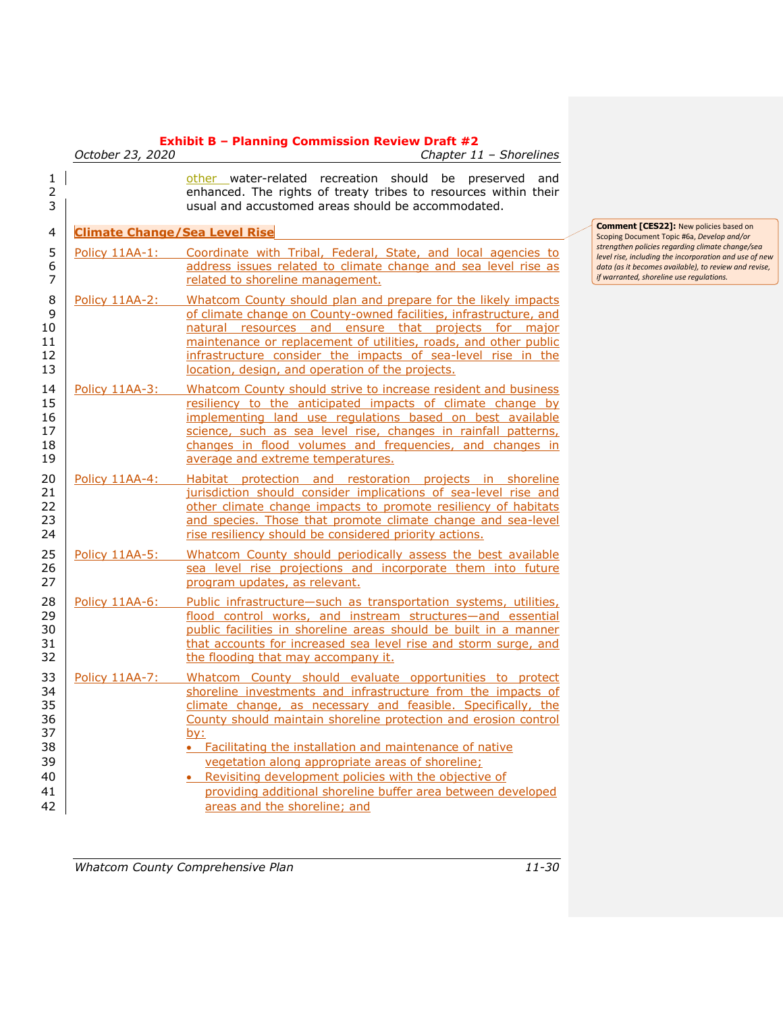|                                                          | October 23, 2020                     | Chapter 11 - Shorelines                                                                                                                                                                                                                                                                                                                                                                                                                                                                                                                              |
|----------------------------------------------------------|--------------------------------------|------------------------------------------------------------------------------------------------------------------------------------------------------------------------------------------------------------------------------------------------------------------------------------------------------------------------------------------------------------------------------------------------------------------------------------------------------------------------------------------------------------------------------------------------------|
| $\mathbf{1}$<br>$\overline{2}$<br>3                      |                                      | other water-related recreation should be preserved<br>and<br>enhanced. The rights of treaty tribes to resources within their<br>usual and accustomed areas should be accommodated.                                                                                                                                                                                                                                                                                                                                                                   |
| 4                                                        | <b>Climate Change/Sea Level Rise</b> |                                                                                                                                                                                                                                                                                                                                                                                                                                                                                                                                                      |
| 5<br>6<br>$\overline{7}$                                 | Policy 11AA-1:                       | Coordinate with Tribal, Federal, State, and local agencies to<br>address issues related to climate change and sea level rise as<br>related to shoreline management.                                                                                                                                                                                                                                                                                                                                                                                  |
| 8<br>9<br>10<br>11<br>12<br>13                           | Policy 11AA-2:                       | Whatcom County should plan and prepare for the likely impacts<br>of climate change on County-owned facilities, infrastructure, and<br>natural resources and ensure that projects for major<br>maintenance or replacement of utilities, roads, and other public<br>infrastructure consider the impacts of sea-level rise in the<br>location, design, and operation of the projects.                                                                                                                                                                   |
| 14<br>15<br>16<br>17<br>18<br>19                         | Policy 11AA-3:                       | Whatcom County should strive to increase resident and business<br>resiliency to the anticipated impacts of climate change by<br>implementing land use regulations based on best available<br>science, such as sea level rise, changes in rainfall patterns,<br>changes in flood volumes and frequencies, and changes in<br>average and extreme temperatures.                                                                                                                                                                                         |
| 20<br>21<br>22<br>23<br>24                               | Policy 11AA-4:                       | Habitat protection and restoration projects in shoreline<br>jurisdiction should consider implications of sea-level rise and<br>other climate change impacts to promote resiliency of habitats<br>and species. Those that promote climate change and sea-level<br>rise resiliency should be considered priority actions.                                                                                                                                                                                                                              |
| 25<br>26<br>27                                           | Policy 11AA-5:                       | Whatcom County should periodically assess the best available<br>sea level rise projections and incorporate them into future<br>program updates, as relevant.                                                                                                                                                                                                                                                                                                                                                                                         |
| 28<br>29<br>30<br>31<br>32                               | Policy 11AA-6:                       | Public infrastructure-such as transportation systems, utilities,<br>flood control works, and instream structures-and essential<br>public facilities in shoreline areas should be built in a manner<br>that accounts for increased sea level rise and storm surge, and<br>the flooding that may accompany it.                                                                                                                                                                                                                                         |
| 33<br>34<br>35<br>36<br>37<br>38<br>39<br>40<br>41<br>42 | Policy 11AA-7:                       | Whatcom County should evaluate opportunities to protect<br>shoreline investments and infrastructure from the impacts of<br>climate change, as necessary and feasible. Specifically, the<br>County should maintain shoreline protection and erosion control<br><u>by:</u><br>• Facilitating the installation and maintenance of native<br>vegetation along appropriate areas of shoreline;<br>• Revisiting development policies with the objective of<br>providing additional shoreline buffer area between developed<br>areas and the shoreline; and |

**Comment [CES22]:** New policies based on Scoping Document Topic #6a, Develop and/or<br>strengthen policies regarding climate change/sea<br>level rise, including the incorporation and use of new<br>data (as it becomes available), to review and revise, *if warranted, shoreline use regulations.*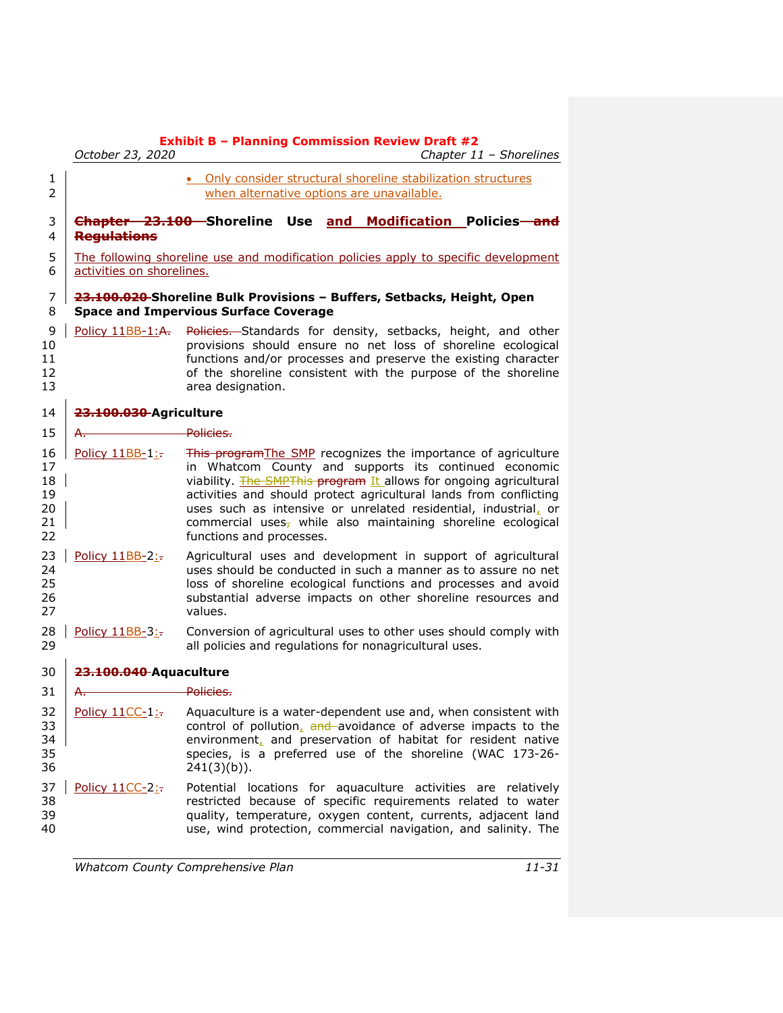|                                        | October 23, 2020          | Chapter 11 - Shorelines                                                                                                                                                                                                                                                                                                                                                                                                                     |
|----------------------------------------|---------------------------|---------------------------------------------------------------------------------------------------------------------------------------------------------------------------------------------------------------------------------------------------------------------------------------------------------------------------------------------------------------------------------------------------------------------------------------------|
| 1<br>2                                 |                           | . Only consider structural shoreline stabilization structures<br>when alternative options are unavailable.                                                                                                                                                                                                                                                                                                                                  |
| 3<br>4                                 | <b>Regulations</b>        | Chapter 23.100 Shoreline Use and Modification Policies and                                                                                                                                                                                                                                                                                                                                                                                  |
| 5<br>6                                 | activities on shorelines. | The following shoreline use and modification policies apply to specific development                                                                                                                                                                                                                                                                                                                                                         |
| 7<br>8                                 |                           | 23.100.020 Shoreline Bulk Provisions - Buffers, Setbacks, Height, Open<br><b>Space and Impervious Surface Coverage</b>                                                                                                                                                                                                                                                                                                                      |
| 9<br>10<br>11<br>12<br>13              |                           | Policy 11BB-1:A. Policies. Standards for density, setbacks, height, and other<br>provisions should ensure no net loss of shoreline ecological<br>functions and/or processes and preserve the existing character<br>of the shoreline consistent with the purpose of the shoreline<br>area designation.                                                                                                                                       |
| 14                                     | 23.100.030 Agriculture    |                                                                                                                                                                                                                                                                                                                                                                                                                                             |
| 15                                     | <del>A.</del>             | <del>Policies.</del>                                                                                                                                                                                                                                                                                                                                                                                                                        |
| 16<br>17<br>18<br>19<br>20<br>21<br>22 | Policy $11BB-1$ :         | This program The SMP recognizes the importance of agriculture<br>in Whatcom County and supports its continued economic<br>viability. The SMPThis program It allows for ongoing agricultural<br>activities and should protect agricultural lands from conflicting<br>uses such as intensive or unrelated residential, industrial, or<br>commercial uses <sub>7</sub> while also maintaining shoreline ecological<br>functions and processes. |
| 23<br>24<br>25<br>26<br>27             | Policy 11BB-2:-           | Agricultural uses and development in support of agricultural<br>uses should be conducted in such a manner as to assure no net<br>loss of shoreline ecological functions and processes and avoid<br>substantial adverse impacts on other shoreline resources and<br>values.                                                                                                                                                                  |
| 28<br>29                               | Policy 11BB-3:-           | Conversion of agricultural uses to other uses should comply with<br>all policies and regulations for nonagricultural uses.                                                                                                                                                                                                                                                                                                                  |
| 30                                     | 23.100.040 Aquaculture    |                                                                                                                                                                                                                                                                                                                                                                                                                                             |
| 31                                     | ₳.                        | <b>Policies</b>                                                                                                                                                                                                                                                                                                                                                                                                                             |
| 32<br>33<br>34<br>35<br>36             | <u>Policy 11CC-1:-</u>    | Aquaculture is a water-dependent use and, when consistent with<br>control of pollution, and avoidance of adverse impacts to the<br>environment, and preservation of habitat for resident native<br>species, is a preferred use of the shoreline (WAC 173-26-<br>$241(3)(b)$ ).                                                                                                                                                              |
| 37<br>38<br>39<br>40                   | Policy 11CC-2:-           | Potential locations for aquaculture activities are relatively<br>restricted because of specific requirements related to water<br>quality, temperature, oxygen content, currents, adjacent land<br>use, wind protection, commercial navigation, and salinity. The                                                                                                                                                                            |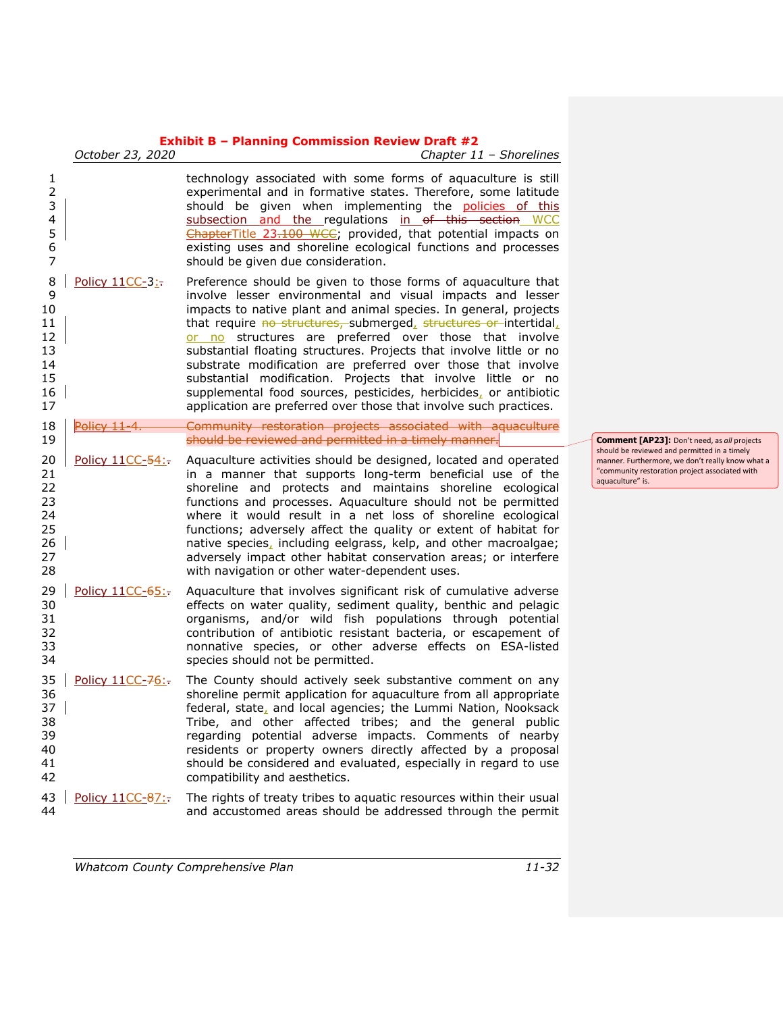|                                                        | October 23, 2020 | Chapter 11 - Shorelines                                                                                                                                                                                                                                                                                                                                                                                                                                                                                                                                                                                                                                                       |                                                                                                                                                                        |
|--------------------------------------------------------|------------------|-------------------------------------------------------------------------------------------------------------------------------------------------------------------------------------------------------------------------------------------------------------------------------------------------------------------------------------------------------------------------------------------------------------------------------------------------------------------------------------------------------------------------------------------------------------------------------------------------------------------------------------------------------------------------------|------------------------------------------------------------------------------------------------------------------------------------------------------------------------|
| 1<br>2<br>3<br>4<br>5<br>6<br>$\overline{7}$           |                  | technology associated with some forms of aquaculture is still<br>experimental and in formative states. Therefore, some latitude<br>should be given when implementing the policies of this<br>subsection and the regulations in of this section WCC<br>ChapterTitle 23.100 WCC; provided, that potential impacts on<br>existing uses and shoreline ecological functions and processes<br>should be given due consideration.                                                                                                                                                                                                                                                    |                                                                                                                                                                        |
| 8<br>9<br>10<br>11<br>12<br>13<br>14<br>15<br>16<br>17 | Policy 11CC-3:   | Preference should be given to those forms of aquaculture that<br>involve lesser environmental and visual impacts and lesser<br>impacts to native plant and animal species. In general, projects<br>that require no structures, submerged, structures or intertidal,<br>or no structures are preferred over those that involve<br>substantial floating structures. Projects that involve little or no<br>substrate modification are preferred over those that involve<br>substantial modification. Projects that involve little or no<br>supplemental food sources, pesticides, herbicides, or antibiotic<br>application are preferred over those that involve such practices. |                                                                                                                                                                        |
| 18<br>19                                               | Policy 11        | Community restoration projects associated with aquaculture<br>should be reviewed and permitted in a timely manner.                                                                                                                                                                                                                                                                                                                                                                                                                                                                                                                                                            | <b>Comment [AP23]:</b> Don't need, as all projects                                                                                                                     |
| 20<br>21<br>22<br>23<br>24<br>25<br>26<br>27<br>28     | Policy 11CC-54:  | Aquaculture activities should be designed, located and operated<br>in a manner that supports long-term beneficial use of the<br>shoreline and protects and maintains shoreline ecological<br>functions and processes. Aquaculture should not be permitted<br>where it would result in a net loss of shoreline ecological<br>functions; adversely affect the quality or extent of habitat for<br>native species, including eelgrass, kelp, and other macroalgae;<br>adversely impact other habitat conservation areas; or interfere<br>with navigation or other water-dependent uses.                                                                                          | should be reviewed and permitted in a timely<br>manner. Furthermore, we don't really know what a<br>"community restoration project associated with<br>aquaculture" is. |
| 29<br>30<br>31<br>32<br>33<br>34                       | Policy 11CC-65:  | Aquaculture that involves significant risk of cumulative adverse<br>effects on water quality, sediment quality, benthic and pelagic<br>organisms, and/or wild fish populations through potential<br>contribution of antibiotic resistant bacteria, or escapement of<br>nonnative species, or other adverse effects on ESA-listed<br>species should not be permitted.                                                                                                                                                                                                                                                                                                          |                                                                                                                                                                        |
| 35<br>36<br>37<br>38<br>39<br>40<br>41<br>42           | Policy 11CC-76:  | The County should actively seek substantive comment on any<br>shoreline permit application for aquaculture from all appropriate<br>federal, state, and local agencies; the Lummi Nation, Nooksack<br>Tribe, and other affected tribes; and the general public<br>regarding potential adverse impacts. Comments of nearby<br>residents or property owners directly affected by a proposal<br>should be considered and evaluated, especially in regard to use<br>compatibility and aesthetics.                                                                                                                                                                                  |                                                                                                                                                                        |
| 43<br>44                                               | Policy 11CC-87:  | The rights of treaty tribes to aquatic resources within their usual<br>and accustomed areas should be addressed through the permit                                                                                                                                                                                                                                                                                                                                                                                                                                                                                                                                            |                                                                                                                                                                        |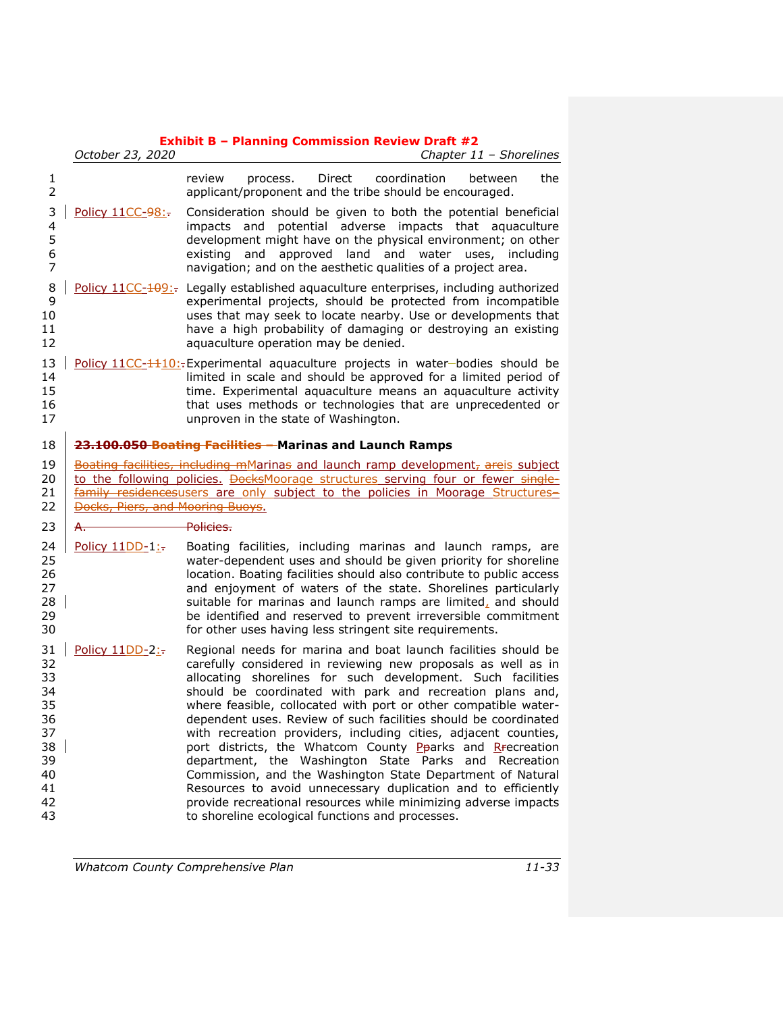|                                                                            | October 23, 2020                                                                                                                                                                                                                                                                                   | <b>EXIMPLE D - Planning Commission Review Drait #2</b><br>Chapter 11 - Shorelines                                                                                                                                                                                                                                                                                                                                                                                                                                                                                                                                                                                                                                                                                                                                                                |  |  |
|----------------------------------------------------------------------------|----------------------------------------------------------------------------------------------------------------------------------------------------------------------------------------------------------------------------------------------------------------------------------------------------|--------------------------------------------------------------------------------------------------------------------------------------------------------------------------------------------------------------------------------------------------------------------------------------------------------------------------------------------------------------------------------------------------------------------------------------------------------------------------------------------------------------------------------------------------------------------------------------------------------------------------------------------------------------------------------------------------------------------------------------------------------------------------------------------------------------------------------------------------|--|--|
| $\mathbf{1}$<br>$\overline{2}$                                             |                                                                                                                                                                                                                                                                                                    | Direct<br>coordination<br>the<br>review<br>hetween<br>process.<br>applicant/proponent and the tribe should be encouraged.                                                                                                                                                                                                                                                                                                                                                                                                                                                                                                                                                                                                                                                                                                                        |  |  |
| 3<br>4<br>5<br>6<br>$\overline{7}$                                         | Policy 11CC-98:-                                                                                                                                                                                                                                                                                   | Consideration should be given to both the potential beneficial<br>impacts and potential adverse impacts that aquaculture<br>development might have on the physical environment; on other<br>and approved land and water uses, including<br>existing<br>navigation; and on the aesthetic qualities of a project area.                                                                                                                                                                                                                                                                                                                                                                                                                                                                                                                             |  |  |
| 8<br>9<br>10<br>11<br>12                                                   |                                                                                                                                                                                                                                                                                                    | Policy 11CC-109: Legally established aquaculture enterprises, including authorized<br>experimental projects, should be protected from incompatible<br>uses that may seek to locate nearby. Use or developments that<br>have a high probability of damaging or destroying an existing<br>aquaculture operation may be denied.                                                                                                                                                                                                                                                                                                                                                                                                                                                                                                                     |  |  |
| 13<br>14<br>15<br>16<br>17                                                 |                                                                                                                                                                                                                                                                                                    | Policy 11CC-4410:-Experimental aquaculture projects in water-bodies should be<br>limited in scale and should be approved for a limited period of<br>time. Experimental aquaculture means an aquaculture activity<br>that uses methods or technologies that are unprecedented or<br>unproven in the state of Washington.                                                                                                                                                                                                                                                                                                                                                                                                                                                                                                                          |  |  |
| 18                                                                         |                                                                                                                                                                                                                                                                                                    | 23.100.050 Boating Facilities - Marinas and Launch Ramps                                                                                                                                                                                                                                                                                                                                                                                                                                                                                                                                                                                                                                                                                                                                                                                         |  |  |
| 19<br>20<br>21<br>22                                                       | Boating facilities, including mMarinas and launch ramp development, areis subject<br>to the following policies. DocksMoorage structures serving four or fewer single-<br>family residencesusers are only subject to the policies in Moorage Structures-<br><b>Docks, Piers, and Mooring Buoys.</b> |                                                                                                                                                                                                                                                                                                                                                                                                                                                                                                                                                                                                                                                                                                                                                                                                                                                  |  |  |
| 23                                                                         | <del>A.</del>                                                                                                                                                                                                                                                                                      | <del>Policies.</del>                                                                                                                                                                                                                                                                                                                                                                                                                                                                                                                                                                                                                                                                                                                                                                                                                             |  |  |
| 24<br>25<br>26<br>27<br>28<br>29<br>30                                     | Policy 11DD-1:-                                                                                                                                                                                                                                                                                    | Boating facilities, including marinas and launch ramps, are<br>water-dependent uses and should be given priority for shoreline<br>location. Boating facilities should also contribute to public access<br>and enjoyment of waters of the state. Shorelines particularly<br>suitable for marinas and launch ramps are limited, and should<br>be identified and reserved to prevent irreversible commitment<br>for other uses having less stringent site requirements.                                                                                                                                                                                                                                                                                                                                                                             |  |  |
| 31<br>32<br>33<br>34<br>35<br>36<br>37<br>38<br>39<br>40<br>41<br>42<br>43 | Policy 11DD-2:                                                                                                                                                                                                                                                                                     | Regional needs for marina and boat launch facilities should be<br>carefully considered in reviewing new proposals as well as in<br>allocating shorelines for such development. Such facilities<br>should be coordinated with park and recreation plans and,<br>where feasible, collocated with port or other compatible water-<br>dependent uses. Review of such facilities should be coordinated<br>with recreation providers, including cities, adjacent counties,<br>port districts, the Whatcom County Pparks and Revereation<br>department, the Washington State Parks and Recreation<br>Commission, and the Washington State Department of Natural<br>Resources to avoid unnecessary duplication and to efficiently<br>provide recreational resources while minimizing adverse impacts<br>to shoreline ecological functions and processes. |  |  |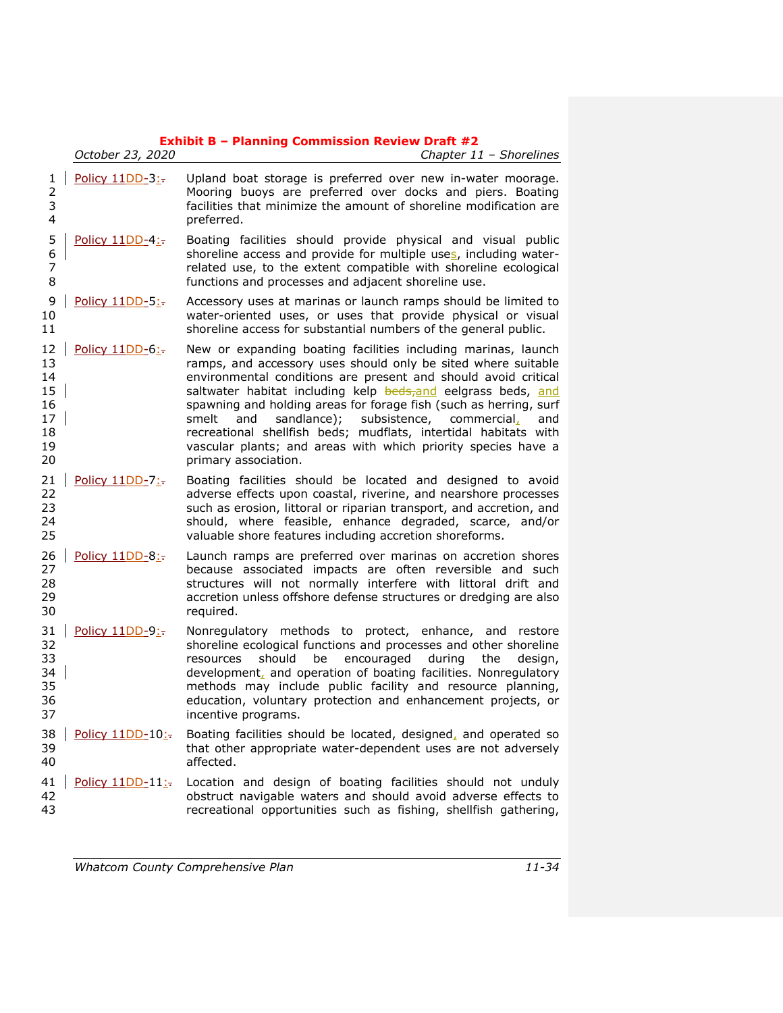|                                                    | October 23, 2020 | <b>THE PERIOD COMMISSION NUMBER</b><br>Chapter 11 - Shorelines                                                                                                                                                                                                                                                                                                                                                                                                                                                                                                      |
|----------------------------------------------------|------------------|---------------------------------------------------------------------------------------------------------------------------------------------------------------------------------------------------------------------------------------------------------------------------------------------------------------------------------------------------------------------------------------------------------------------------------------------------------------------------------------------------------------------------------------------------------------------|
| 1<br>2<br>3<br>4                                   | Policy 11DD-3:   | Upland boat storage is preferred over new in-water moorage.<br>Mooring buoys are preferred over docks and piers. Boating<br>facilities that minimize the amount of shoreline modification are<br>preferred.                                                                                                                                                                                                                                                                                                                                                         |
| 5<br>6<br>7<br>8                                   | Policy 11DD-4:-  | Boating facilities should provide physical and visual public<br>shoreline access and provide for multiple uses, including water-<br>related use, to the extent compatible with shoreline ecological<br>functions and processes and adjacent shoreline use.                                                                                                                                                                                                                                                                                                          |
| 9<br>10<br>11                                      | Policy 11DD-5:   | Accessory uses at marinas or launch ramps should be limited to<br>water-oriented uses, or uses that provide physical or visual<br>shoreline access for substantial numbers of the general public.                                                                                                                                                                                                                                                                                                                                                                   |
| 12<br>13<br>14<br>15<br>16<br>17<br>18<br>19<br>20 | Policy 11DD-6:-  | New or expanding boating facilities including marinas, launch<br>ramps, and accessory uses should only be sited where suitable<br>environmental conditions are present and should avoid critical<br>saltwater habitat including kelp beds,and eelgrass beds, and<br>spawning and holding areas for forage fish (such as herring, surf<br>sandlance);<br>subsistence, commercial,<br>smelt<br>and<br>and<br>recreational shellfish beds; mudflats, intertidal habitats with<br>vascular plants; and areas with which priority species have a<br>primary association. |
| 21<br>22<br>23<br>24<br>25                         | Policy 11DD-7:   | Boating facilities should be located and designed to avoid<br>adverse effects upon coastal, riverine, and nearshore processes<br>such as erosion, littoral or riparian transport, and accretion, and<br>should, where feasible, enhance degraded, scarce, and/or<br>valuable shore features including accretion shoreforms.                                                                                                                                                                                                                                         |
| 26<br>27<br>28<br>29<br>30                         | Policy 11DD-8:   | Launch ramps are preferred over marinas on accretion shores<br>because associated impacts are often reversible and such<br>structures will not normally interfere with littoral drift and<br>accretion unless offshore defense structures or dredging are also<br>required.                                                                                                                                                                                                                                                                                         |
| 31<br>32<br>33<br>34<br>35<br>36<br>37             | Policy 11DD-9:   | Nonregulatory methods to protect, enhance, and restore<br>shoreline ecological functions and processes and other shoreline<br>be<br>should<br>encouraged<br>during<br>the<br>resources<br>design,<br>development, and operation of boating facilities. Nonregulatory<br>methods may include public facility and resource planning,<br>education, voluntary protection and enhancement projects, or<br>incentive programs.                                                                                                                                           |
| 38<br>39<br>40                                     | Policy 11DD-10:- | Boating facilities should be located, designed, and operated so<br>that other appropriate water-dependent uses are not adversely<br>affected.                                                                                                                                                                                                                                                                                                                                                                                                                       |
| 41<br>42<br>43                                     | Policy 11DD-11:- | Location and design of boating facilities should not unduly<br>obstruct navigable waters and should avoid adverse effects to<br>recreational opportunities such as fishing, shellfish gathering,                                                                                                                                                                                                                                                                                                                                                                    |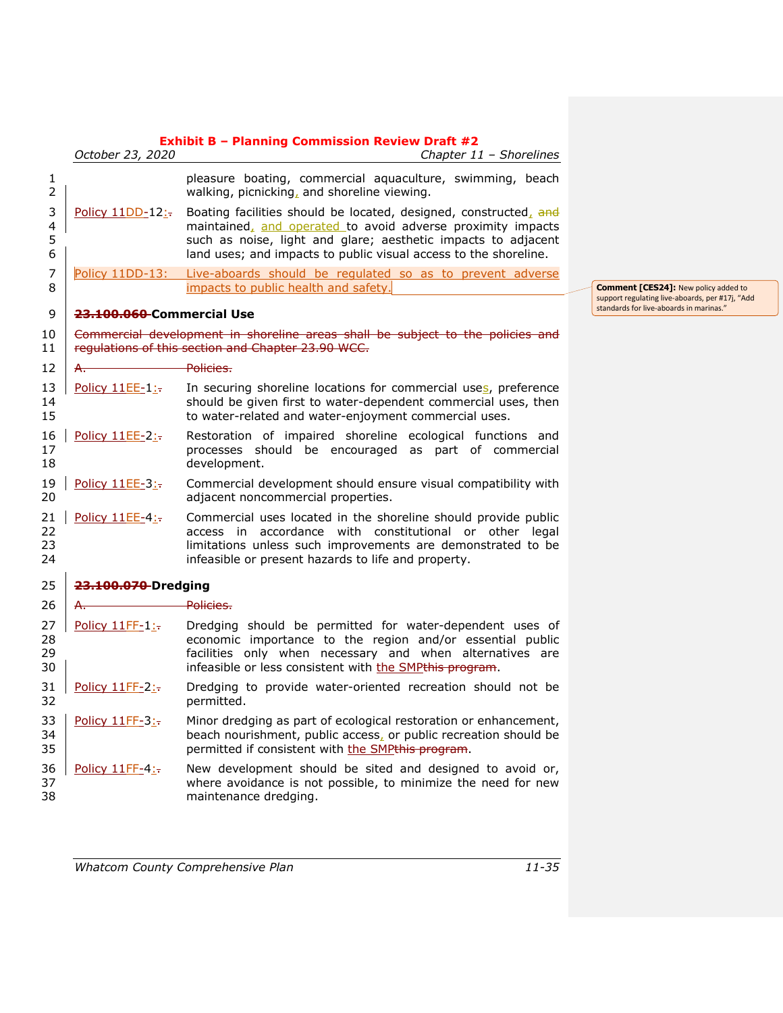|                                         | October 23, 2020          | Chapter 11 - Shorelines                                                                                                                                                                                                                                              |             |  |  |  |
|-----------------------------------------|---------------------------|----------------------------------------------------------------------------------------------------------------------------------------------------------------------------------------------------------------------------------------------------------------------|-------------|--|--|--|
| 1<br>$\overline{2}$                     |                           | pleasure boating, commercial aquaculture, swimming, beach<br>walking, picnicking, and shoreline viewing.                                                                                                                                                             |             |  |  |  |
| 3<br>$\overline{\mathcal{A}}$<br>5<br>6 | Policy 11DD-12:-          | Boating facilities should be located, designed, constructed, and<br>maintained, and operated to avoid adverse proximity impacts<br>such as noise, light and glare; aesthetic impacts to adjacent<br>land uses; and impacts to public visual access to the shoreline. |             |  |  |  |
| 7                                       | Policy 11DD-13:           | Live-aboards should be regulated so as to prevent adverse                                                                                                                                                                                                            |             |  |  |  |
| 8                                       |                           | impacts to public health and safety.                                                                                                                                                                                                                                 | Con<br>supp |  |  |  |
| 9                                       | 23.100.060-Commercial Use |                                                                                                                                                                                                                                                                      | stan        |  |  |  |
| 10<br>11                                |                           | Commercial development in shoreline areas shall be subject to the policies and<br>regulations of this section and Chapter 23.90 WCC.                                                                                                                                 |             |  |  |  |
| 12                                      | ₳.                        | Policies.                                                                                                                                                                                                                                                            |             |  |  |  |
| 13<br>14<br>15                          | Policy 11EE-1:-           | In securing shoreline locations for commercial uses, preference<br>should be given first to water-dependent commercial uses, then<br>to water-related and water-enjoyment commercial uses.                                                                           |             |  |  |  |
| 16<br>17<br>18                          | Policy 11EE-2:-           | Restoration of impaired shoreline ecological functions and<br>processes should be encouraged as part of commercial<br>development.                                                                                                                                   |             |  |  |  |
| 19<br>20                                | Policy 11EE-3:-           | Commercial development should ensure visual compatibility with<br>adjacent noncommercial properties.                                                                                                                                                                 |             |  |  |  |
| 21<br>22<br>23<br>24                    | Policy 11EE-4:-           | Commercial uses located in the shoreline should provide public<br>access in accordance with constitutional or other legal<br>limitations unless such improvements are demonstrated to be<br>infeasible or present hazards to life and property.                      |             |  |  |  |
| 25                                      | 23.100.070-Dredging       |                                                                                                                                                                                                                                                                      |             |  |  |  |
| 26                                      | <del>A.</del>             | Policies.                                                                                                                                                                                                                                                            |             |  |  |  |
| 27<br>28<br>29<br>30                    | Policy 11FF-1:            | Dredging should be permitted for water-dependent uses of<br>economic importance to the region and/or essential public<br>facilities only when necessary and when alternatives are<br>infeasible or less consistent with the SMPthis program.                         |             |  |  |  |
| 31<br>32                                | Policy $11FF-2$ :         | Dredging to provide water-oriented recreation should not be<br>permitted.                                                                                                                                                                                            |             |  |  |  |
| 34<br>35                                | 33   Policy 11FF-3:       | Minor dredging as part of ecological restoration or enhancement,<br>beach nourishment, public access, or public recreation should be<br>permitted if consistent with the SMPthis program.                                                                            |             |  |  |  |
| 36<br>37<br>38                          | Policy 11FF-4:-           | New development should be sited and designed to avoid or,<br>where avoidance is not possible, to minimize the need for new<br>maintenance dredging.                                                                                                                  |             |  |  |  |
|                                         |                           |                                                                                                                                                                                                                                                                      |             |  |  |  |

**Comment [CES24]:** New policy added to support regulating live-aboards, per #17j, "Add standards for live-aboards in marinas."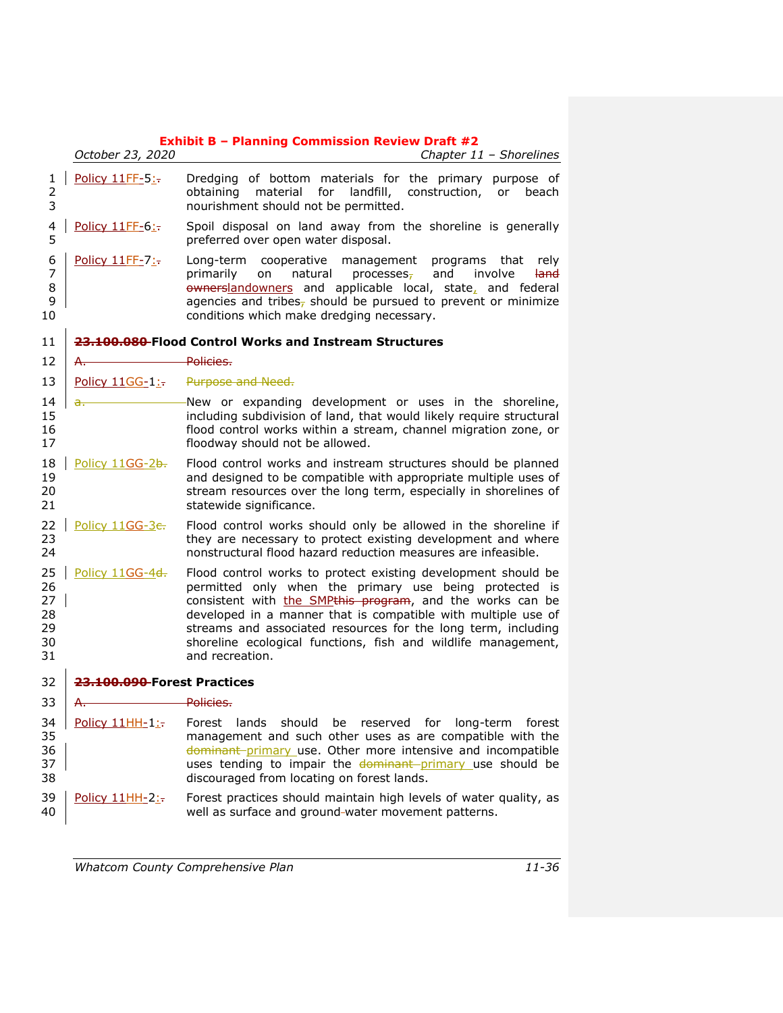|                                        | <b>EXNIDIT B – Planning Commission Review Draft <math>#Z</math></b><br>October 23, 2020<br>Chapter 11 - Shorelines |                                                                                                                                                                                                                                                                                                                                                                                                            |  |  |  |
|----------------------------------------|--------------------------------------------------------------------------------------------------------------------|------------------------------------------------------------------------------------------------------------------------------------------------------------------------------------------------------------------------------------------------------------------------------------------------------------------------------------------------------------------------------------------------------------|--|--|--|
| 1<br>2<br>3                            | Policy 11FF-5:                                                                                                     | Dredging of bottom materials for the primary purpose of<br>material for landfill, construction,<br>obtaining<br>beach<br>.or<br>nourishment should not be permitted.                                                                                                                                                                                                                                       |  |  |  |
| 4<br>5                                 | Policy 11FF-6:-                                                                                                    | Spoil disposal on land away from the shoreline is generally<br>preferred over open water disposal.                                                                                                                                                                                                                                                                                                         |  |  |  |
| 6<br>$\overline{7}$<br>8<br>9<br>10    | Policy 11FF-7:-                                                                                                    | Long-term cooperative management<br>programs<br>that<br>rely<br>natural<br>and<br>involve<br>primarily<br>on<br>processes-<br><del>land</del><br>ownerslandowners and applicable local, state, and federal<br>agencies and tribes <sub>7</sub> should be pursued to prevent or minimize<br>conditions which make dredging necessary.                                                                       |  |  |  |
| 11                                     |                                                                                                                    | <del>23.100.080 F</del> lood Control Works and Instream Structures                                                                                                                                                                                                                                                                                                                                         |  |  |  |
| 12                                     | А.                                                                                                                 | Policies.                                                                                                                                                                                                                                                                                                                                                                                                  |  |  |  |
| 13                                     | Policy 11GG-1:-                                                                                                    | Purpose and Need.                                                                                                                                                                                                                                                                                                                                                                                          |  |  |  |
| 14<br>15<br>16<br>17                   | <del>a.,</del>                                                                                                     | New or expanding development or uses in the shoreline,<br>including subdivision of land, that would likely require structural<br>flood control works within a stream, channel migration zone, or<br>floodway should not be allowed.                                                                                                                                                                        |  |  |  |
| 18<br>19<br>20<br>21                   | Policy 11GG-2b-                                                                                                    | Flood control works and instream structures should be planned<br>and designed to be compatible with appropriate multiple uses of<br>stream resources over the long term, especially in shorelines of<br>statewide significance.                                                                                                                                                                            |  |  |  |
| 22<br>23<br>24                         | Policy 11GG-3e-                                                                                                    | Flood control works should only be allowed in the shoreline if<br>they are necessary to protect existing development and where<br>nonstructural flood hazard reduction measures are infeasible.                                                                                                                                                                                                            |  |  |  |
| 25<br>26<br>27<br>28<br>29<br>30<br>31 | Policy 11GG-4 <del>d.</del>                                                                                        | Flood control works to protect existing development should be<br>permitted only when the primary use being protected is<br>consistent with the SMPthis program, and the works can be<br>developed in a manner that is compatible with multiple use of<br>streams and associated resources for the long term, including<br>shoreline ecological functions, fish and wildlife management,<br>and recreation. |  |  |  |
| 32                                     | 23.100.090-Forest Practices                                                                                        |                                                                                                                                                                                                                                                                                                                                                                                                            |  |  |  |
| 33                                     | A.,                                                                                                                | Policies.                                                                                                                                                                                                                                                                                                                                                                                                  |  |  |  |
| 34<br>35<br>36<br>37<br>38             | Policy 11HH-1:-                                                                                                    | Forest lands should<br>be reserved<br>for<br>long-term<br>forest<br>management and such other uses as are compatible with the<br>dominant-primary use. Other more intensive and incompatible<br>uses tending to impair the dominant-primary use should be<br>discouraged from locating on forest lands.                                                                                                    |  |  |  |
|                                        | oo lo u www.o                                                                                                      |                                                                                                                                                                                                                                                                                                                                                                                                            |  |  |  |

 $39$  Policy 11HH-2: Forest practices should maintain high levels of water quality, as well as surface and ground-water movement patterns. well as surface and ground-water movement patterns.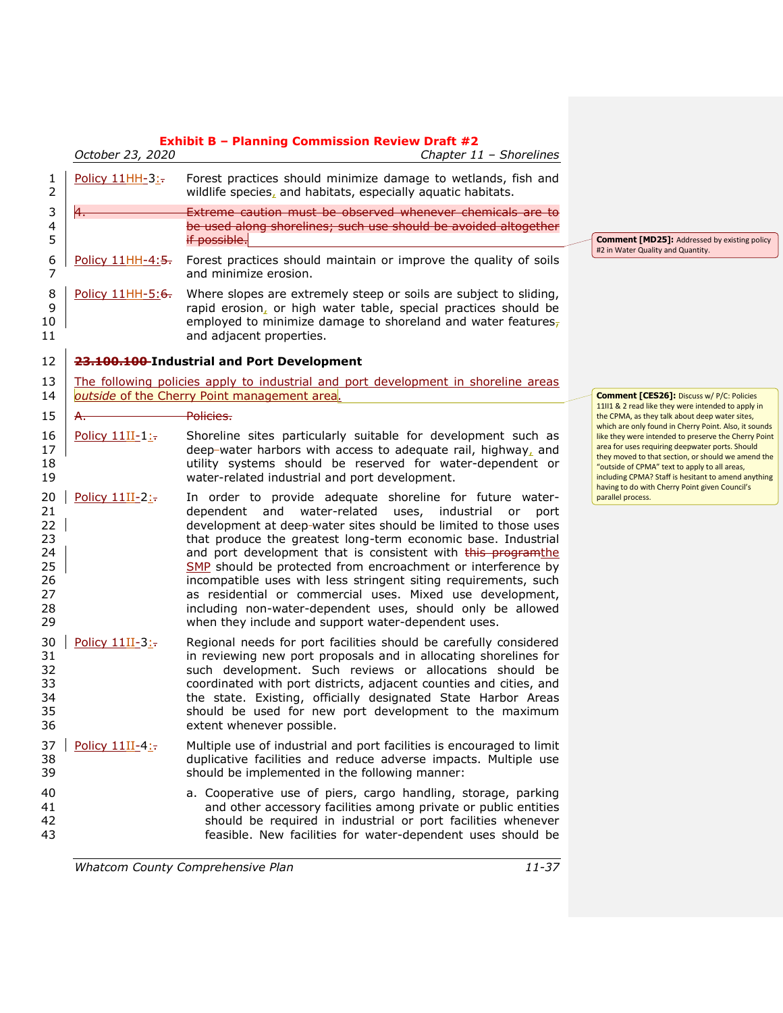|                                                          | October 23, 2020        | Chapter 11 - Shorelines                                                                                                                                                                                                                                                                                                                                                                                                                                                                                                                                                                                                                            |  |
|----------------------------------------------------------|-------------------------|----------------------------------------------------------------------------------------------------------------------------------------------------------------------------------------------------------------------------------------------------------------------------------------------------------------------------------------------------------------------------------------------------------------------------------------------------------------------------------------------------------------------------------------------------------------------------------------------------------------------------------------------------|--|
| 1<br>2                                                   | Policy 11HH-3:-         | Forest practices should minimize damage to wetlands, fish and<br>wildlife species, and habitats, especially aquatic habitats.                                                                                                                                                                                                                                                                                                                                                                                                                                                                                                                      |  |
| 3<br>4<br>5                                              |                         | Extreme caution must be observed whenever chemicals are to<br>be used along shorelines; such use should be avoided altogether<br>if possible.                                                                                                                                                                                                                                                                                                                                                                                                                                                                                                      |  |
| 6<br>$\overline{7}$                                      | Policy 11HH-4:5.        | Forest practices should maintain or improve the quality of soils<br>and minimize erosion.                                                                                                                                                                                                                                                                                                                                                                                                                                                                                                                                                          |  |
| 8<br>9<br>10<br>11                                       | <u>Policy 11HH-5:6.</u> | Where slopes are extremely steep or soils are subject to sliding,<br>rapid erosion, or high water table, special practices should be<br>employed to minimize damage to shoreland and water features-<br>and adjacent properties.                                                                                                                                                                                                                                                                                                                                                                                                                   |  |
| 12                                                       |                         | 23.100.100-Industrial and Port Development                                                                                                                                                                                                                                                                                                                                                                                                                                                                                                                                                                                                         |  |
| 13<br>14                                                 |                         | The following policies apply to industrial and port development in shoreline areas<br>outside of the Cherry Point management area.                                                                                                                                                                                                                                                                                                                                                                                                                                                                                                                 |  |
| 15                                                       | <del>A.</del>           | Policies.                                                                                                                                                                                                                                                                                                                                                                                                                                                                                                                                                                                                                                          |  |
| 16<br>17<br>18<br>19                                     | Policy $11II-1$ :       | Shoreline sites particularly suitable for development such as<br>deep-water harbors with access to adequate rail, highway, and<br>utility systems should be reserved for water-dependent or<br>water-related industrial and port development.                                                                                                                                                                                                                                                                                                                                                                                                      |  |
| 20<br>21<br>22<br>23<br>24<br>25<br>26<br>27<br>28<br>29 | Policy $11II-2$ :       | In order to provide adequate shoreline for future water-<br>dependent and<br>water-related uses, industrial<br>port<br>or<br>development at deep-water sites should be limited to those uses<br>that produce the greatest long-term economic base. Industrial<br>and port development that is consistent with this programthe<br>SMP should be protected from encroachment or interference by<br>incompatible uses with less stringent siting requirements, such<br>as residential or commercial uses. Mixed use development,<br>including non-water-dependent uses, should only be allowed<br>when they include and support water-dependent uses. |  |
| 30<br>31<br>32<br>33<br>34<br>35<br>36                   | Policy 11II-3:-         | Regional needs for port facilities should be carefully considered<br>in reviewing new port proposals and in allocating shorelines for<br>such development. Such reviews or allocations should be<br>coordinated with port districts, adjacent counties and cities, and<br>the state. Existing, officially designated State Harbor Areas<br>should be used for new port development to the maximum<br>extent whenever possible.                                                                                                                                                                                                                     |  |
| 37<br>38<br>39                                           | Policy 11II-4:-         | Multiple use of industrial and port facilities is encouraged to limit<br>duplicative facilities and reduce adverse impacts. Multiple use<br>should be implemented in the following manner:                                                                                                                                                                                                                                                                                                                                                                                                                                                         |  |
| 40<br>41<br>42<br>43                                     |                         | a. Cooperative use of piers, cargo handling, storage, parking<br>and other accessory facilities among private or public entities<br>should be required in industrial or port facilities whenever<br>feasible. New facilities for water-dependent uses should be                                                                                                                                                                                                                                                                                                                                                                                    |  |

**Comment [MD25]:** Addressed by existing policy #2 in Water Quality and Quantity.

**Comment [CES26]:** Discuss w/ P/C: Policies 11II1 & 2 read like they were intended to apply in the CPMA, as they talk about deep water sites, which are only found in Cherry Point. Also, it sounds like they were intended to preserve the Cherry Point area for uses requiring deepwater ports. Should they moved to that section, or should we amend the "outside of CPMA" text to apply to all areas, including CPMA? Staff is hesitant to amend anything having to do with Cherry Point given Council's parallel process.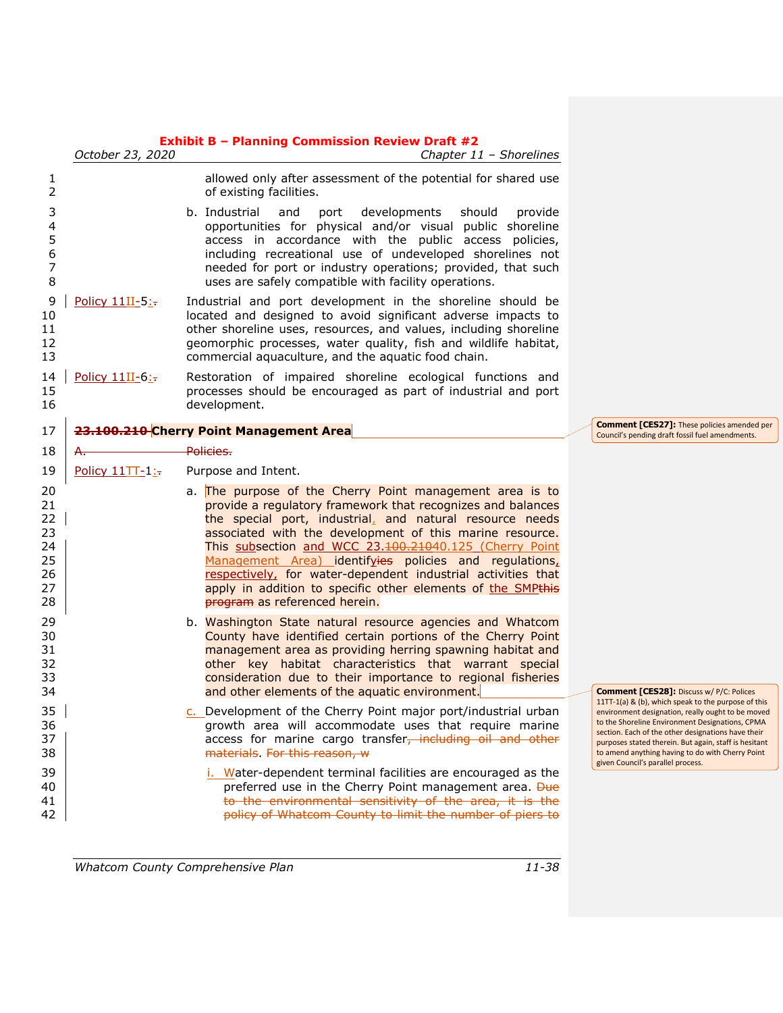|                                                    | October 23, 2020  | <b>Exhibit B - Planning Commission Review Draft #2</b><br>Chapter 11 - Shorelines                                                                                                                                                                                                                                                                                                                                                                                                                                                   |                                                                                                                                                                                                                                                                                                                                                                     |
|----------------------------------------------------|-------------------|-------------------------------------------------------------------------------------------------------------------------------------------------------------------------------------------------------------------------------------------------------------------------------------------------------------------------------------------------------------------------------------------------------------------------------------------------------------------------------------------------------------------------------------|---------------------------------------------------------------------------------------------------------------------------------------------------------------------------------------------------------------------------------------------------------------------------------------------------------------------------------------------------------------------|
| 1<br>2                                             |                   | allowed only after assessment of the potential for shared use<br>of existing facilities.                                                                                                                                                                                                                                                                                                                                                                                                                                            |                                                                                                                                                                                                                                                                                                                                                                     |
| 3<br>4<br>5<br>6<br>7<br>8                         |                   | b. Industrial<br>developments<br>and<br>should<br>provide<br>port<br>opportunities for physical and/or visual public shoreline<br>access in accordance with the public access policies,<br>including recreational use of undeveloped shorelines not<br>needed for port or industry operations; provided, that such<br>uses are safely compatible with facility operations.                                                                                                                                                          |                                                                                                                                                                                                                                                                                                                                                                     |
| 9<br>10<br>11<br>12<br>13                          | Policy 11II-5:-   | Industrial and port development in the shoreline should be<br>located and designed to avoid significant adverse impacts to<br>other shoreline uses, resources, and values, including shoreline<br>geomorphic processes, water quality, fish and wildlife habitat,<br>commercial aquaculture, and the aquatic food chain.                                                                                                                                                                                                            |                                                                                                                                                                                                                                                                                                                                                                     |
| 14<br>15<br>16                                     | Policy 11II-6:-   | Restoration of impaired shoreline ecological functions and<br>processes should be encouraged as part of industrial and port<br>development.                                                                                                                                                                                                                                                                                                                                                                                         |                                                                                                                                                                                                                                                                                                                                                                     |
| 17                                                 |                   | <b>100.210 Cherry Point Management Area</b>                                                                                                                                                                                                                                                                                                                                                                                                                                                                                         | <b>Comment [CES27]:</b> These policies amended per<br>Council's pending draft fossil fuel amendments.                                                                                                                                                                                                                                                               |
| 18                                                 |                   | Policies.                                                                                                                                                                                                                                                                                                                                                                                                                                                                                                                           |                                                                                                                                                                                                                                                                                                                                                                     |
| 19                                                 | Policy $11TT-1$ : | Purpose and Intent.                                                                                                                                                                                                                                                                                                                                                                                                                                                                                                                 |                                                                                                                                                                                                                                                                                                                                                                     |
| 20<br>21<br>22<br>23<br>24<br>25<br>26<br>27<br>28 |                   | a. The purpose of the Cherry Point management area is to<br>provide a regulatory framework that recognizes and balances<br>the special port, industrial, and natural resource needs<br>associated with the development of this marine resource.<br>This subsection and WCC 23.100.21040.125 (Cherry Point<br>Management Area) identifyies policies and regulations,<br>respectively, for water-dependent industrial activities that<br>apply in addition to specific other elements of the SMPthis<br>program as referenced herein. |                                                                                                                                                                                                                                                                                                                                                                     |
| 29<br>30<br>31<br>32<br>33<br>34                   |                   | b. Washington State natural resource agencies and Whatcom<br>County have identified certain portions of the Cherry Point<br>management area as providing herring spawning habitat and<br>other key habitat characteristics that warrant special<br>consideration due to their importance to regional fisheries<br>and other elements of the aquatic environment.                                                                                                                                                                    | <b>Comment [CES28]:</b> Discuss w/ P/C: Polices                                                                                                                                                                                                                                                                                                                     |
| 35<br>36<br>37<br>38                               |                   | c. Development of the Cherry Point major port/industrial urban<br>growth area will accommodate uses that require marine<br>access for marine cargo transfer, including oil and other<br>materials. For this reason, w                                                                                                                                                                                                                                                                                                               | 11TT-1(a) & (b), which speak to the purpose of this<br>environment designation, really ought to be moved<br>to the Shoreline Environment Designations, CPMA<br>section. Each of the other designations have their<br>purposes stated therein. But again, staff is hesitant<br>to amend anything having to do with Cherry Point<br>given Council's parallel process. |
| 39<br>40<br>41<br>42                               |                   | i. Water-dependent terminal facilities are encouraged as the<br>preferred use in the Cherry Point management area. Due<br>to the environmental sensitivity of the area, it is the<br>policy of Whatcom County to limit the number of piers to                                                                                                                                                                                                                                                                                       |                                                                                                                                                                                                                                                                                                                                                                     |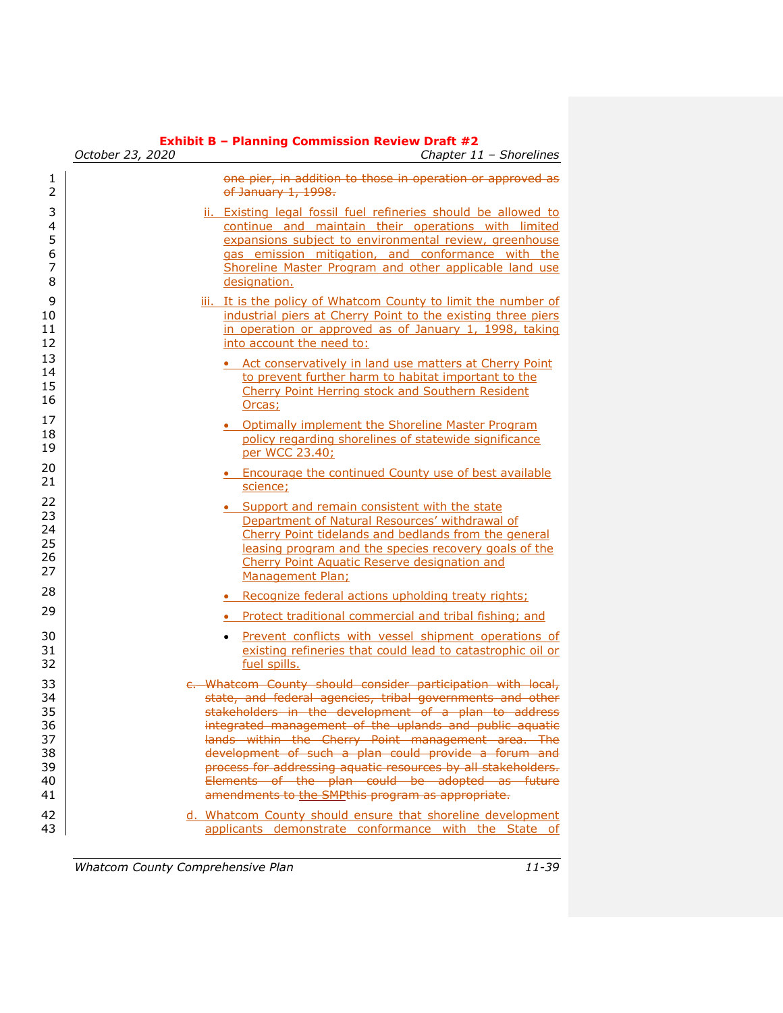|                                                    | October 23, 2020 | Chapter 11 - Shorelines                                                                                                                                                                                                                                                                                                                                                                                                                                                                                                            |
|----------------------------------------------------|------------------|------------------------------------------------------------------------------------------------------------------------------------------------------------------------------------------------------------------------------------------------------------------------------------------------------------------------------------------------------------------------------------------------------------------------------------------------------------------------------------------------------------------------------------|
| 1<br>2                                             |                  | one pier, in addition to those in operation or approved as<br>of January 1, 1998.                                                                                                                                                                                                                                                                                                                                                                                                                                                  |
| 3<br>4<br>5<br>6<br>7<br>8                         |                  | ii. Existing legal fossil fuel refineries should be allowed to<br>continue and maintain their operations with limited<br>expansions subject to environmental review, greenhouse<br>gas emission mitigation, and conformance with the<br>Shoreline Master Program and other applicable land use<br>designation.                                                                                                                                                                                                                     |
| 9<br>10<br>11<br>12                                |                  | iii. It is the policy of Whatcom County to limit the number of<br>industrial piers at Cherry Point to the existing three piers<br>in operation or approved as of January 1, 1998, taking<br>into account the need to:                                                                                                                                                                                                                                                                                                              |
| 13<br>14<br>15<br>16                               |                  | • Act conservatively in land use matters at Cherry Point<br>to prevent further harm to habitat important to the<br><b>Cherry Point Herring stock and Southern Resident</b><br>Orcas;                                                                                                                                                                                                                                                                                                                                               |
| 17<br>18<br>19                                     |                  | • Optimally implement the Shoreline Master Program<br>policy regarding shorelines of statewide significance<br>per WCC 23.40;                                                                                                                                                                                                                                                                                                                                                                                                      |
| 20<br>21                                           |                  | • Encourage the continued County use of best available<br>science;                                                                                                                                                                                                                                                                                                                                                                                                                                                                 |
| 22<br>23<br>24<br>25<br>26<br>27                   |                  | • Support and remain consistent with the state<br>Department of Natural Resources' withdrawal of<br>Cherry Point tidelands and bedlands from the general<br>leasing program and the species recovery goals of the<br><b>Cherry Point Aquatic Reserve designation and</b><br>Management Plan:                                                                                                                                                                                                                                       |
| 28                                                 |                  | • Recognize federal actions upholding treaty rights;                                                                                                                                                                                                                                                                                                                                                                                                                                                                               |
| 29                                                 |                  | Protect traditional commercial and tribal fishing; and                                                                                                                                                                                                                                                                                                                                                                                                                                                                             |
| 30<br>31<br>32                                     |                  | Prevent conflicts with vessel shipment operations of<br>$\bullet$<br>existing refineries that could lead to catastrophic oil or<br>fuel spills.                                                                                                                                                                                                                                                                                                                                                                                    |
| 33<br>34<br>35<br>36<br>37<br>38<br>39<br>40<br>41 |                  | e. Whatcom County should consider participation with local,<br>state, and federal agencies, tribal governments and other<br>stakeholders in the development of a plan to address<br>integrated management of the uplands and public aquatic<br>lands within the Cherry Point management area. The<br>development of such a plan could provide a forum and<br>process for addressing aquatic resources by all stakeholders.<br>Elements of the plan could be adopted as future<br>amendments to the SMPthis program as appropriate. |
| 42<br>43                                           |                  | d. Whatcom County should ensure that shoreline development<br>applicants demonstrate conformance with the State of                                                                                                                                                                                                                                                                                                                                                                                                                 |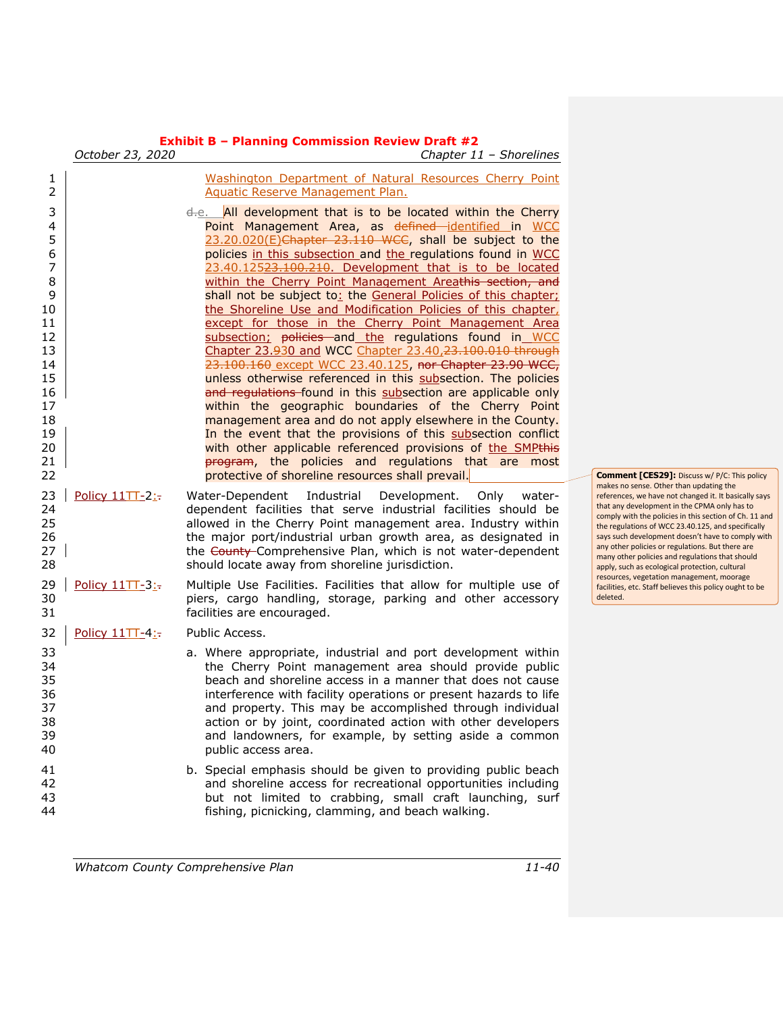|                                                                                                                            | <b>Exhibit B - Planning Commission Review Draft #2</b><br>October 23, 2020<br>Chapter 11 - Shorelines |                                                                                                                                                                                                                                                                                                                                                                                                                                                                                                                                                                                                                                                                                                                                                                                                                                                                                                                                                                                                                                                                                                                                                                                                                                               |                                                                                                             |  |  |  |
|----------------------------------------------------------------------------------------------------------------------------|-------------------------------------------------------------------------------------------------------|-----------------------------------------------------------------------------------------------------------------------------------------------------------------------------------------------------------------------------------------------------------------------------------------------------------------------------------------------------------------------------------------------------------------------------------------------------------------------------------------------------------------------------------------------------------------------------------------------------------------------------------------------------------------------------------------------------------------------------------------------------------------------------------------------------------------------------------------------------------------------------------------------------------------------------------------------------------------------------------------------------------------------------------------------------------------------------------------------------------------------------------------------------------------------------------------------------------------------------------------------|-------------------------------------------------------------------------------------------------------------|--|--|--|
| 1<br>2                                                                                                                     |                                                                                                       | Washington Department of Natural Resources Cherry Point<br><b>Aquatic Reserve Management Plan.</b>                                                                                                                                                                                                                                                                                                                                                                                                                                                                                                                                                                                                                                                                                                                                                                                                                                                                                                                                                                                                                                                                                                                                            |                                                                                                             |  |  |  |
| 3<br>4<br>5<br>6<br>$\overline{7}$<br>8<br>9<br>10<br>11<br>12<br>13<br>14<br>15<br>16<br>17<br>18<br>19<br>20<br>21<br>22 |                                                                                                       | ethe. All development that is to be located within the Cherry<br>Point Management Area, as defined-identified in WCC<br>23.20.020(E)Chapter 23.110 WCC, shall be subject to the<br>policies in this subsection and the regulations found in WCC<br>23.40.12523.100.210. Development that is to be located<br>within the Cherry Point Management Areathis section, and<br>shall not be subject to: the General Policies of this chapter;<br>the Shoreline Use and Modification Policies of this chapter,<br>except for those in the Cherry Point Management Area<br>subsection; policies and the regulations found in WCC<br>Chapter 23.930 and WCC Chapter 23.40, 23.100.010 through<br>23.100.160 except WCC 23.40.125, nor Chapter 23.90 WCC,<br>unless otherwise referenced in this subsection. The policies<br>and regulations found in this subsection are applicable only<br>within the geographic boundaries of the Cherry Point<br>management area and do not apply elsewhere in the County.<br>In the event that the provisions of this subsection conflict<br>with other applicable referenced provisions of the SMPthis<br>program, the policies and regulations that are most<br>protective of shoreline resources shall prevail. | Comme                                                                                                       |  |  |  |
| 23<br>24<br>25<br>26<br>27<br>28                                                                                           | Policy 11TT-2:-                                                                                       | Water-Dependent<br>Industrial<br>Development.<br>Only<br>water-<br>dependent facilities that serve industrial facilities should be<br>allowed in the Cherry Point management area. Industry within<br>the major port/industrial urban growth area, as designated in<br>the County-Comprehensive Plan, which is not water-dependent<br>should locate away from shoreline jurisdiction.                                                                                                                                                                                                                                                                                                                                                                                                                                                                                                                                                                                                                                                                                                                                                                                                                                                         | makes no<br>referenc<br>that any<br>comply v<br>the regul<br>says such<br>any othe<br>many oth<br>apply, su |  |  |  |
| 29<br>30<br>31                                                                                                             | Policy 11TT-3:-                                                                                       | Multiple Use Facilities. Facilities that allow for multiple use of<br>piers, cargo handling, storage, parking and other accessory<br>facilities are encouraged.                                                                                                                                                                                                                                                                                                                                                                                                                                                                                                                                                                                                                                                                                                                                                                                                                                                                                                                                                                                                                                                                               | resource<br>facilities,<br>deleted.                                                                         |  |  |  |
| 32                                                                                                                         | Policy 11TT-4:-                                                                                       | Public Access.                                                                                                                                                                                                                                                                                                                                                                                                                                                                                                                                                                                                                                                                                                                                                                                                                                                                                                                                                                                                                                                                                                                                                                                                                                |                                                                                                             |  |  |  |
| 33<br>34<br>35<br>36<br>37<br>38<br>39<br>40                                                                               |                                                                                                       | a. Where appropriate, industrial and port development within<br>the Cherry Point management area should provide public<br>beach and shoreline access in a manner that does not cause<br>interference with facility operations or present hazards to life<br>and property. This may be accomplished through individual<br>action or by joint, coordinated action with other developers<br>and landowners, for example, by setting aside a common<br>public access area.                                                                                                                                                                                                                                                                                                                                                                                                                                                                                                                                                                                                                                                                                                                                                                        |                                                                                                             |  |  |  |
| 41<br>42<br>43<br>44                                                                                                       |                                                                                                       | b. Special emphasis should be given to providing public beach<br>and shoreline access for recreational opportunities including<br>but not limited to crabbing, small craft launching, surf<br>fishing, picnicking, clamming, and beach walking.                                                                                                                                                                                                                                                                                                                                                                                                                                                                                                                                                                                                                                                                                                                                                                                                                                                                                                                                                                                               |                                                                                                             |  |  |  |

**Comment [CES29]:** Discuss w/ P/C: This policy<br>makes no sense. Other than updating the<br>references, we have not changed it. It basically says development in the CPMA only has to with the policies in this section of Ch. 11 and ations of WCC 23.40.125, and specifically development doesn't have to comply with r policies or regulations. But there are ner policies and regulations that should ch as ecological protection, cultural s, vegetation management, moorage etc. Staff believes this policy ought to be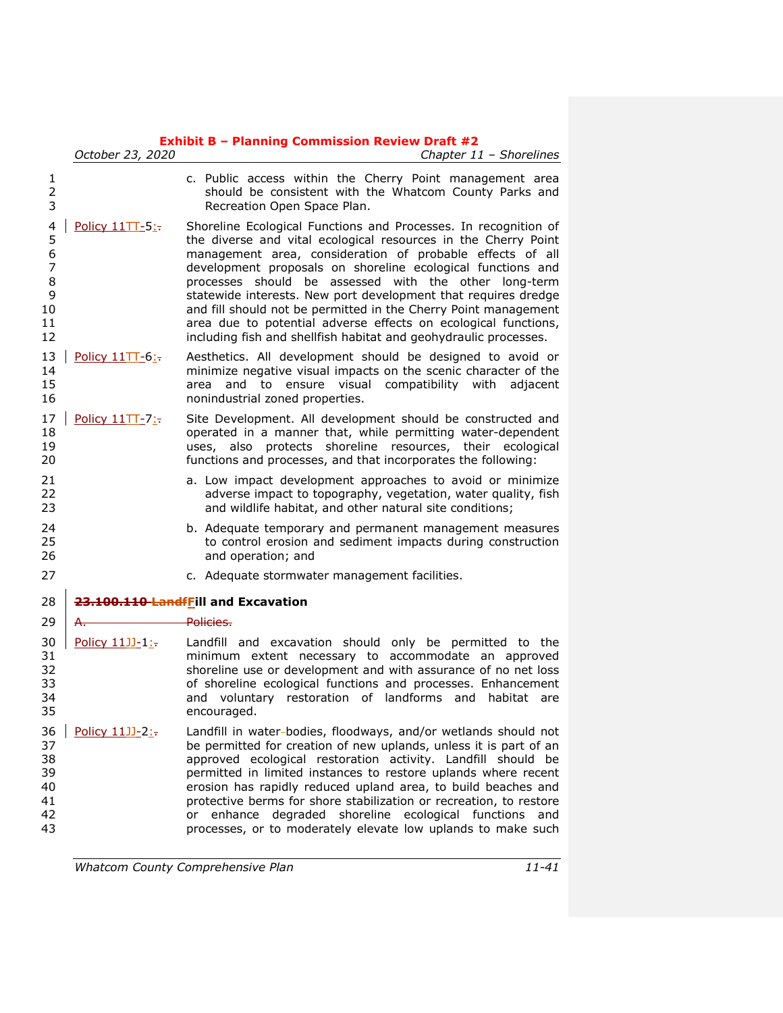|                                                           | October 23, 2020  | Chapter 11 - Shorelines                                                                                                                                                                                                                                                                                                                                                                                                                                                                                                                                                                           |
|-----------------------------------------------------------|-------------------|---------------------------------------------------------------------------------------------------------------------------------------------------------------------------------------------------------------------------------------------------------------------------------------------------------------------------------------------------------------------------------------------------------------------------------------------------------------------------------------------------------------------------------------------------------------------------------------------------|
| 1<br>$\overline{2}$<br>3                                  |                   | c. Public access within the Cherry Point management area<br>should be consistent with the Whatcom County Parks and<br>Recreation Open Space Plan.                                                                                                                                                                                                                                                                                                                                                                                                                                                 |
| 4<br>5<br>6<br>$\overline{7}$<br>8<br>9<br>10<br>11<br>12 | Policy 11TT-5:    | Shoreline Ecological Functions and Processes. In recognition of<br>the diverse and vital ecological resources in the Cherry Point<br>management area, consideration of probable effects of all<br>development proposals on shoreline ecological functions and<br>processes should be assessed with the other long-term<br>statewide interests. New port development that requires dredge<br>and fill should not be permitted in the Cherry Point management<br>area due to potential adverse effects on ecological functions,<br>including fish and shellfish habitat and geohydraulic processes. |
| 13<br>14<br>15<br>16                                      | Policy $11TT-6$ : | Aesthetics. All development should be designed to avoid or<br>minimize negative visual impacts on the scenic character of the<br>and to ensure visual compatibility with<br>area<br>adjacent<br>nonindustrial zoned properties.                                                                                                                                                                                                                                                                                                                                                                   |
| 17<br>18<br>19<br>20                                      | Policy 11TT-7:    | Site Development. All development should be constructed and<br>operated in a manner that, while permitting water-dependent<br>uses, also protects shoreline resources, their ecological<br>functions and processes, and that incorporates the following:                                                                                                                                                                                                                                                                                                                                          |
| 21<br>22<br>23                                            |                   | a. Low impact development approaches to avoid or minimize<br>adverse impact to topography, vegetation, water quality, fish<br>and wildlife habitat, and other natural site conditions;                                                                                                                                                                                                                                                                                                                                                                                                            |
| 24<br>25<br>26                                            |                   | b. Adequate temporary and permanent management measures<br>to control erosion and sediment impacts during construction<br>and operation; and                                                                                                                                                                                                                                                                                                                                                                                                                                                      |
| 27                                                        |                   | c. Adequate stormwater management facilities.                                                                                                                                                                                                                                                                                                                                                                                                                                                                                                                                                     |
| 28                                                        |                   | 23.100.110 LandfEill and Excavation                                                                                                                                                                                                                                                                                                                                                                                                                                                                                                                                                               |
| 29                                                        | А.                | Policies.                                                                                                                                                                                                                                                                                                                                                                                                                                                                                                                                                                                         |
| 30<br>31<br>32<br>33<br>34<br>35                          | Policy 11JJ-1:-   | Landfill and excavation should only be permitted to the<br>minimum extent necessary to accommodate an approved<br>shoreline use or development and with assurance of no net loss<br>of shoreline ecological functions and processes. Enhancement<br>and voluntary restoration of landforms and habitat<br>are<br>encouraged.                                                                                                                                                                                                                                                                      |
| 36<br>37<br>38<br>39<br>40<br>41<br>42<br>43              | Policy 11JJ-2:-   | Landfill in water-bodies, floodways, and/or wetlands should not<br>be permitted for creation of new uplands, unless it is part of an<br>approved ecological restoration activity. Landfill should be<br>permitted in limited instances to restore uplands where recent<br>erosion has rapidly reduced upland area, to build beaches and<br>protective berms for shore stabilization or recreation, to restore<br>enhance degraded shoreline ecological functions<br>and<br>or<br>processes, or to moderately elevate low uplands to make such                                                     |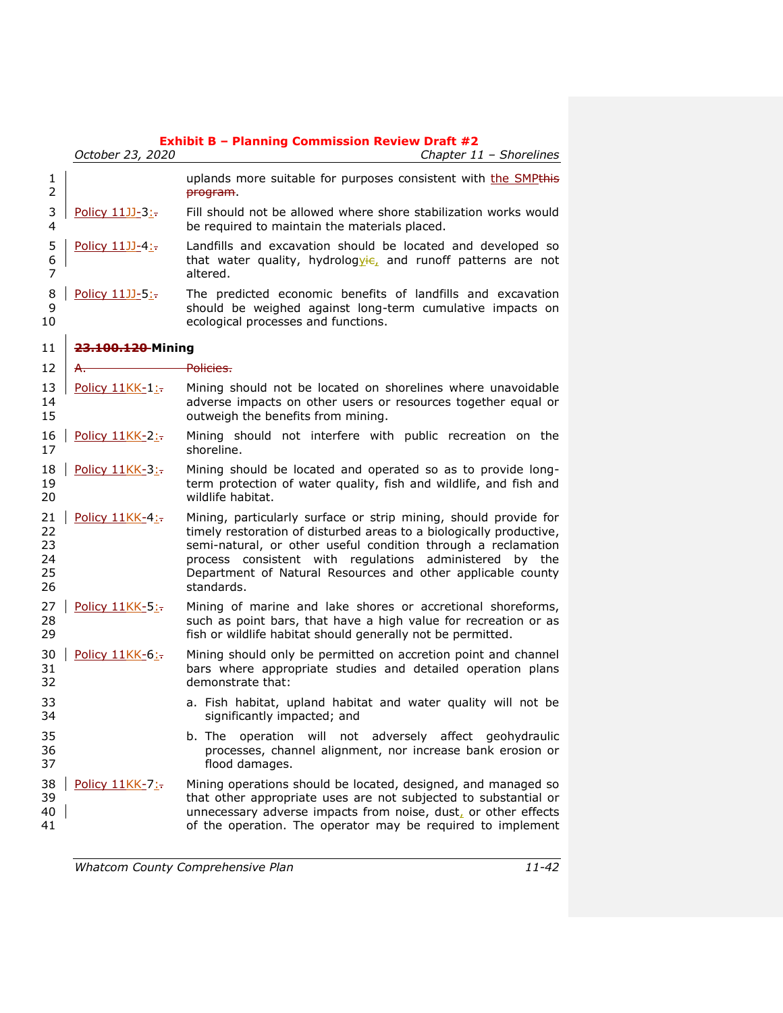|                                  | October 23, 2020  | Chapter 11 - Shorelines                                                                                                                                                                                                                                                                                                                          |  |
|----------------------------------|-------------------|--------------------------------------------------------------------------------------------------------------------------------------------------------------------------------------------------------------------------------------------------------------------------------------------------------------------------------------------------|--|
| 1<br>$\overline{2}$              |                   | uplands more suitable for purposes consistent with the SMPthis<br><del>program</del> .                                                                                                                                                                                                                                                           |  |
| 3<br>4                           | Policy 11JJ-3:-   | Fill should not be allowed where shore stabilization works would<br>be required to maintain the materials placed.                                                                                                                                                                                                                                |  |
| 5<br>6<br>7                      | Policy 11JJ-4:-   | Landfills and excavation should be located and developed so<br>that water quality, hydrologyie, and runoff patterns are not<br>altered.                                                                                                                                                                                                          |  |
| 8<br>9<br>10                     | Policy 11JJ-5:    | The predicted economic benefits of landfills and excavation<br>should be weighed against long-term cumulative impacts on<br>ecological processes and functions.                                                                                                                                                                                  |  |
| 11                               | 23.100.120 Mining |                                                                                                                                                                                                                                                                                                                                                  |  |
| 12                               | А.                | <del>Policies.</del>                                                                                                                                                                                                                                                                                                                             |  |
| 13<br>14<br>15                   | Policy 11KK-1:-   | Mining should not be located on shorelines where unavoidable<br>adverse impacts on other users or resources together equal or<br>outweigh the benefits from mining.                                                                                                                                                                              |  |
| 16<br>17                         | Policy 11KK-2:-   | Mining should not interfere with public recreation on the<br>shoreline.                                                                                                                                                                                                                                                                          |  |
| 18<br>19<br>20                   | Policy 11KK-3:-   | Mining should be located and operated so as to provide long-<br>term protection of water quality, fish and wildlife, and fish and<br>wildlife habitat.                                                                                                                                                                                           |  |
| 21<br>22<br>23<br>24<br>25<br>26 | Policy 11KK-4:-   | Mining, particularly surface or strip mining, should provide for<br>timely restoration of disturbed areas to a biologically productive,<br>semi-natural, or other useful condition through a reclamation<br>process consistent with regulations administered by the<br>Department of Natural Resources and other applicable county<br>standards. |  |
| 27<br>28<br>29                   | Policy 11KK-5:-   | Mining of marine and lake shores or accretional shoreforms,<br>such as point bars, that have a high value for recreation or as<br>fish or wildlife habitat should generally not be permitted.                                                                                                                                                    |  |
| 30<br>31<br>32                   | Policy 11KK-6:-   | Mining should only be permitted on accretion point and channel<br>bars where appropriate studies and detailed operation plans<br>demonstrate that:                                                                                                                                                                                               |  |
| 33<br>34                         |                   | a. Fish habitat, upland habitat and water quality will not be<br>significantly impacted; and                                                                                                                                                                                                                                                     |  |
| 35<br>36<br>37                   |                   | b. The operation will not adversely affect geohydraulic<br>processes, channel alignment, nor increase bank erosion or<br>flood damages.                                                                                                                                                                                                          |  |
| 38<br>39<br>40<br>41             | Policy 11KK-7:-   | Mining operations should be located, designed, and managed so<br>that other appropriate uses are not subjected to substantial or<br>unnecessary adverse impacts from noise, dust, or other effects<br>of the operation. The operator may be required to implement                                                                                |  |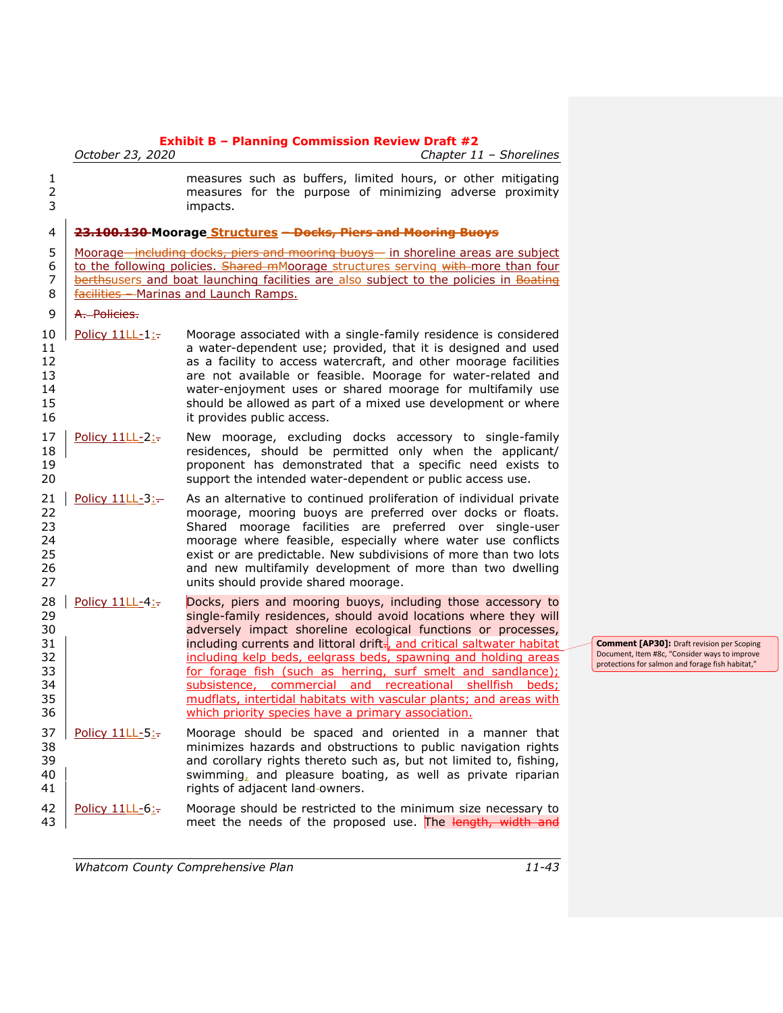|                                                    | October 23, 2020   | Chapter 11 - Shorelines                                                                                                                                                                                                                                                                                                                                                                                                                                                                                                                                                                               |                                                                                                                                                        |
|----------------------------------------------------|--------------------|-------------------------------------------------------------------------------------------------------------------------------------------------------------------------------------------------------------------------------------------------------------------------------------------------------------------------------------------------------------------------------------------------------------------------------------------------------------------------------------------------------------------------------------------------------------------------------------------------------|--------------------------------------------------------------------------------------------------------------------------------------------------------|
| $\mathbf{1}$<br>$\overline{c}$<br>3                |                    | measures such as buffers, limited hours, or other mitigating<br>measures for the purpose of minimizing adverse proximity<br>impacts.                                                                                                                                                                                                                                                                                                                                                                                                                                                                  |                                                                                                                                                        |
| 4                                                  |                    | 23.100.130 Moorage Structures - Docks, Piers and Mooring Buoys                                                                                                                                                                                                                                                                                                                                                                                                                                                                                                                                        |                                                                                                                                                        |
| 5<br>6<br>7<br>8                                   |                    | Moorage—including docks, piers and mooring buoys— in shoreline areas are subject<br>to the following policies. Shared mMoorage structures serving with more than four<br>berthsusers and boat launching facilities are also subject to the policies in Boating<br><b>facilities</b> - Marinas and Launch Ramps.                                                                                                                                                                                                                                                                                       |                                                                                                                                                        |
| 9                                                  | A. Policies.       |                                                                                                                                                                                                                                                                                                                                                                                                                                                                                                                                                                                                       |                                                                                                                                                        |
| 10<br>11<br>12<br>13<br>14<br>15<br>16             | Policy 11LL-1:     | Moorage associated with a single-family residence is considered<br>a water-dependent use; provided, that it is designed and used<br>as a facility to access watercraft, and other moorage facilities<br>are not available or feasible. Moorage for water-related and<br>water-enjoyment uses or shared moorage for multifamily use<br>should be allowed as part of a mixed use development or where<br>it provides public access.                                                                                                                                                                     |                                                                                                                                                        |
| 17<br>18<br>19<br>20                               | Policy 11LL-2:-    | New moorage, excluding docks accessory to single-family<br>residences, should be permitted only when the applicant/<br>proponent has demonstrated that a specific need exists to<br>support the intended water-dependent or public access use.                                                                                                                                                                                                                                                                                                                                                        |                                                                                                                                                        |
| 21<br>22<br>23<br>24<br>25<br>26<br>27             | Policy $11LL-3$ :- | As an alternative to continued proliferation of individual private<br>moorage, mooring buoys are preferred over docks or floats.<br>Shared moorage facilities are preferred over single-user<br>moorage where feasible, especially where water use conflicts<br>exist or are predictable. New subdivisions of more than two lots<br>and new multifamily development of more than two dwelling<br>units should provide shared moorage.                                                                                                                                                                 |                                                                                                                                                        |
| 28<br>29<br>30<br>31<br>32<br>33<br>34<br>35<br>36 | Policy 11LL-4:-    | Docks, piers and mooring buoys, including those accessory to<br>single-family residences, should avoid locations where they will<br>adversely impact shoreline ecological functions or processes,<br>including currents and littoral drift-, and critical saltwater habitat<br>including kelp beds, eelgrass beds, spawning and holding areas<br>for forage fish (such as herring, surf smelt and sandlance);<br>subsistence, commercial and recreational shellfish beds;<br>mudflats, intertidal habitats with vascular plants; and areas with<br>which priority species have a primary association. | <b>Comment [AP30]:</b> Draft revision per Scoping<br>Document, Item #8c, "Consider ways to improve<br>protections for salmon and forage fish habitat," |
| 37<br>38<br>39<br>40<br>41                         | Policy 11LL-5:-    | Moorage should be spaced and oriented in a manner that<br>minimizes hazards and obstructions to public navigation rights<br>and corollary rights thereto such as, but not limited to, fishing,<br>swimming, and pleasure boating, as well as private riparian<br>rights of adjacent land-owners.                                                                                                                                                                                                                                                                                                      |                                                                                                                                                        |
| 42<br>43                                           | Policy 11LL-6:-    | Moorage should be restricted to the minimum size necessary to<br>meet the needs of the proposed use. The length, width and                                                                                                                                                                                                                                                                                                                                                                                                                                                                            |                                                                                                                                                        |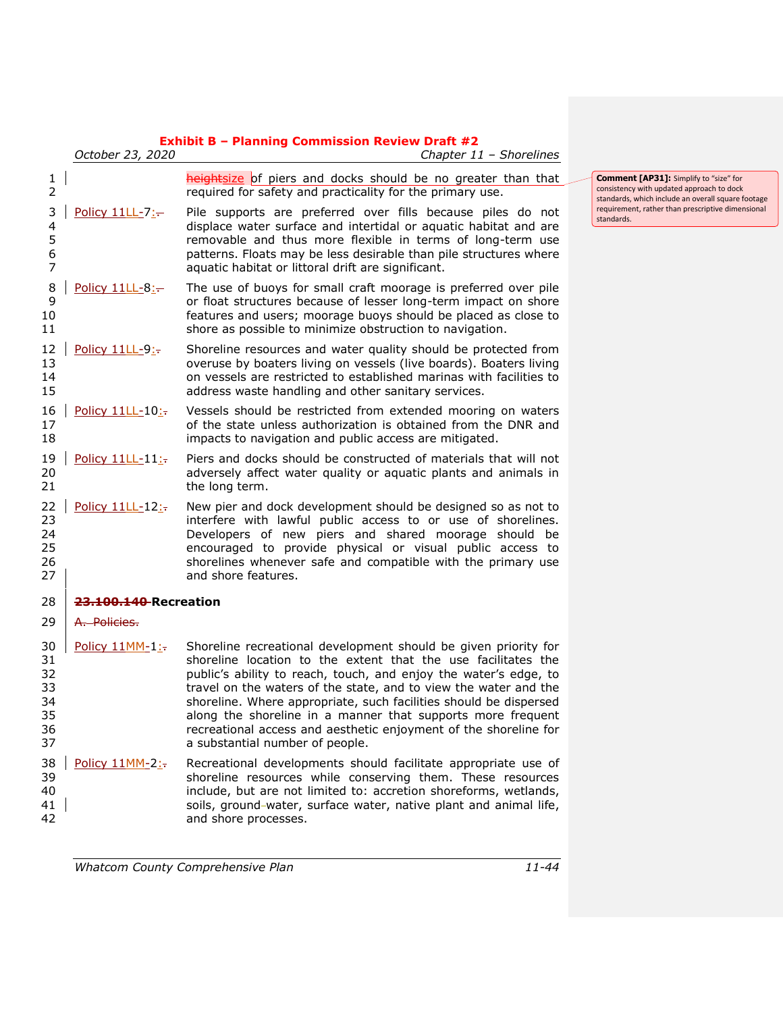# **Exhibit B – Planning Commission Review Draft #2** *October 23, 2020 Chapter 11 – Shorelines* 1 **heightsize** of piers and docks should be no greater than that 2 required for safety and practicality for the primary use.  $3$  Policy 11LL-7:- Pile supports are preferred over fills because piles do not 4 displace water surface and intertidal or aquatic habitat and are 5 removable and thus more flexible in terms of long-term use 6 **12 patterns. Floats may be less desirable than pile structures where**<br>7 **partic habitat or littoral drift are significant**. aquatic habitat or littoral drift are significant. 8 | Policy  $11L-8$ : The use of buoys for small craft moorage is preferred over pile 9 or float structures because of lesser long-term impact on shore 10 features and users; moorage buoys should be placed as close to 11 shore as possible to minimize obstruction to navigation. 12 Policy 11LL-9<sub>1</sub>. Shoreline resources and water quality should be protected from 13 overuse by boaters living on vessels (live boards). Boaters living<br>14 on vessels are restricted to established marinas with facilities to on vessels are restricted to established marinas with facilities to 15 address waste handling and other sanitary services. 16 Policy 11LL-10:- Vessels should be restricted from extended mooring on waters 17 of the state unless authorization is obtained from the DNR and 18 impacts to navigation and public access are mitigated. 19 | Policy 11LL-11: $\frac{1}{x}$  Piers and docks should be constructed of materials that will not 20 adversely affect water quality or aquatic plants and animals in 21 the long term. 22 Policy 11LL-12: New pier and dock development should be designed so as not to 23 **interfere with lawful public access to or use of shorelines.** 24 Developers of new piers and shared moorage should be<br>25 The encouraged to provide physical or visual public access to encouraged to provide physical or visual public access to 26 shorelines whenever safe and compatible with the primary use 27 and shore features. 28 **23.100.140 Recreation**  $29$  A. Policies. 30 **Policy 11MM-1:** $\frac{1}{2}$  Shoreline recreational development should be given priority for 31 shoreline location to the extent that the use facilitates the 32 public's ability to reach, touch, and enjoy the water's edge, to 33 travel on the waters of the state, and to view the water and the 34 shoreline. Where appropriate, such facilities should be dispersed 35 along the shoreline in a manner that supports more frequent 36 recreational access and aesthetic enjoyment of the shoreline for 37 a substantial number of people. 38 Policy  $11MM-2$ : Recreational developments should facilitate appropriate use of 39 shoreline resources while conserving them. These resources 40 include, but are not limited to: accretion shoreforms, wetlands, 41 | soils, ground-water, surface water, native plant and animal life, 42 and shore processes.

**Comment [AP31]:** Simplify to "size" for consistency with updated approach to dock standards, which include an overall square footage requirement, rather than prescriptive dimensional standards.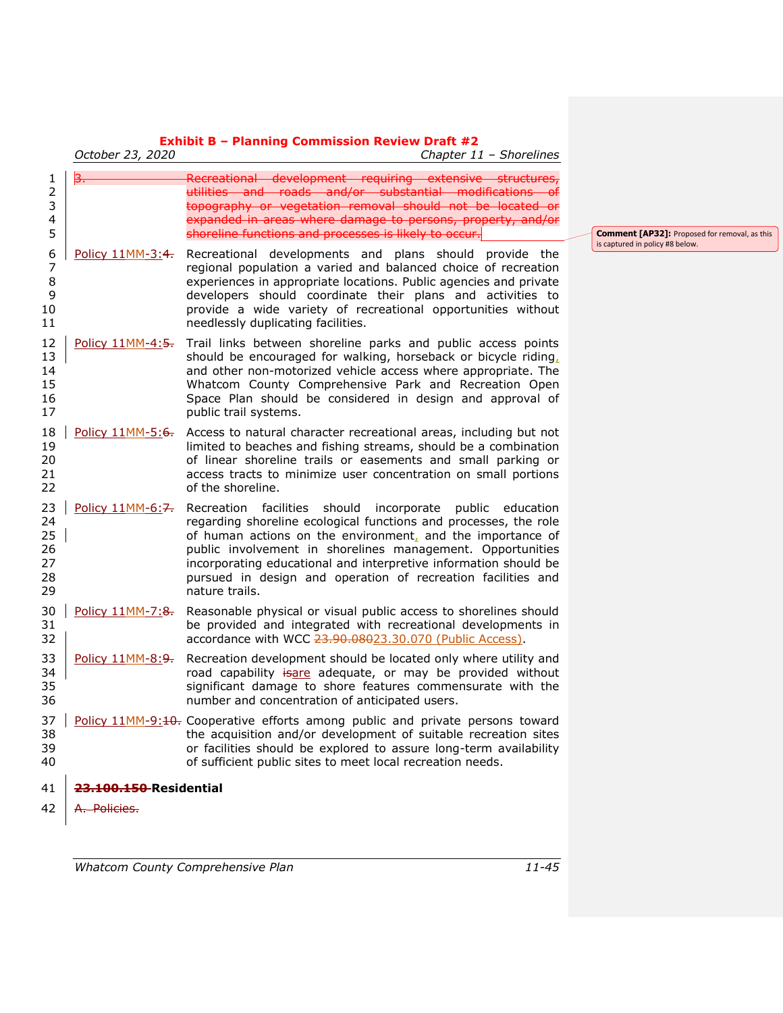|                                                          | October 23, 2020       | Chapter 11 - Shorelines                                                                                                                                                                                                                                                                                                                                                                                                  |
|----------------------------------------------------------|------------------------|--------------------------------------------------------------------------------------------------------------------------------------------------------------------------------------------------------------------------------------------------------------------------------------------------------------------------------------------------------------------------------------------------------------------------|
| 1<br>$\overline{2}$<br>3<br>$\overline{\mathbf{4}}$<br>5 | 3.                     | Recreational development requiring extensive structures,<br>utilities and roads and/or substantial modifications of<br>topography or vegetation removal should not be located or<br>expanded in areas where damage to persons, property, and/or<br>shoreline functions and processes is likely to occur.                                                                                                                 |
| 6<br>7<br>8<br>9<br>10<br>11                             | Policy 11MM-3:4.       | Recreational developments and plans should provide the<br>regional population a varied and balanced choice of recreation<br>experiences in appropriate locations. Public agencies and private<br>developers should coordinate their plans and activities to<br>provide a wide variety of recreational opportunities without<br>needlessly duplicating facilities.                                                        |
| 12<br>13<br>14<br>15<br>16<br>17                         | Policy 11MM-4:5.       | Trail links between shoreline parks and public access points<br>should be encouraged for walking, horseback or bicycle riding,<br>and other non-motorized vehicle access where appropriate. The<br>Whatcom County Comprehensive Park and Recreation Open<br>Space Plan should be considered in design and approval of<br>public trail systems.                                                                           |
| 18<br>19<br>20<br>21<br>22                               | Policy 11MM-5:6.       | Access to natural character recreational areas, including but not<br>limited to beaches and fishing streams, should be a combination<br>of linear shoreline trails or easements and small parking or<br>access tracts to minimize user concentration on small portions<br>of the shoreline.                                                                                                                              |
| 23<br>24<br>25<br>26<br>27<br>28<br>29                   | Policy 11MM-6:7.       | Recreation facilities<br>should<br>incorporate public<br>education<br>regarding shoreline ecological functions and processes, the role<br>of human actions on the environment, and the importance of<br>public involvement in shorelines management. Opportunities<br>incorporating educational and interpretive information should be<br>pursued in design and operation of recreation facilities and<br>nature trails. |
| 30<br>31<br>32                                           | Policy 11MM-7:8.       | Reasonable physical or visual public access to shorelines should<br>be provided and integrated with recreational developments in<br>accordance with WCC 23.90.08023.30.070 (Public Access).                                                                                                                                                                                                                              |
| 33<br>34<br>35<br>36                                     | Policy 11MM-8:9.       | Recreation development should be located only where utility and<br>road capability isare adequate, or may be provided without<br>significant damage to shore features commensurate with the<br>number and concentration of anticipated users.                                                                                                                                                                            |
| 37<br>38<br>39<br>40                                     |                        | Policy 11MM-9: <del>10.</del> Cooperative efforts among public and private persons toward<br>the acquisition and/or development of suitable recreation sites<br>or facilities should be explored to assure long-term availability<br>of sufficient public sites to meet local recreation needs.                                                                                                                          |
| 41                                                       | 23.100.150 Residential |                                                                                                                                                                                                                                                                                                                                                                                                                          |
| 42                                                       | A. Policies.           |                                                                                                                                                                                                                                                                                                                                                                                                                          |

**Comment [AP32]:** Proposed for removal, as this is captured in policy #8 below.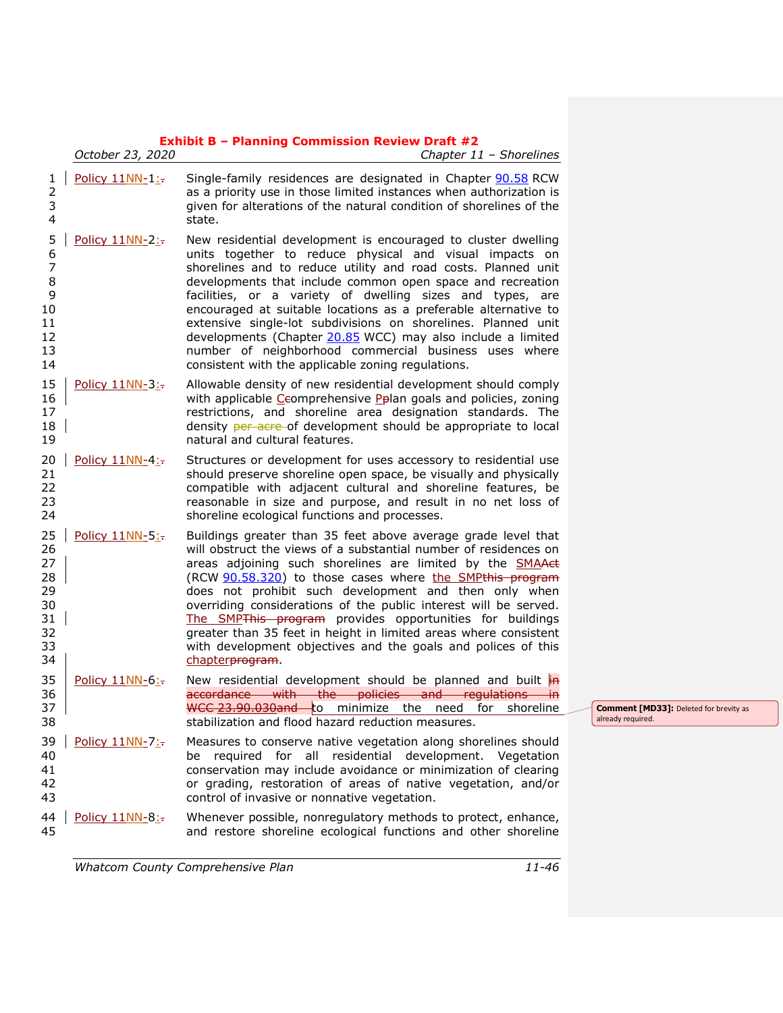|                                                          | October 23, 2020 | Chapter 11 - Shorelines                                                                                                                                                                                                                                                                                                                                                                                                                                                                                                                                                                                                                |                |
|----------------------------------------------------------|------------------|----------------------------------------------------------------------------------------------------------------------------------------------------------------------------------------------------------------------------------------------------------------------------------------------------------------------------------------------------------------------------------------------------------------------------------------------------------------------------------------------------------------------------------------------------------------------------------------------------------------------------------------|----------------|
| 1<br>2<br>3<br>4                                         | Policy 11NN-1:-  | Single-family residences are designated in Chapter 90.58 RCW<br>as a priority use in those limited instances when authorization is<br>given for alterations of the natural condition of shorelines of the<br>state.                                                                                                                                                                                                                                                                                                                                                                                                                    |                |
| 5<br>6<br>7<br>8<br>9<br>10<br>11<br>12<br>13<br>14      | Policy 11NN-2:-  | New residential development is encouraged to cluster dwelling<br>units together to reduce physical and visual impacts on<br>shorelines and to reduce utility and road costs. Planned unit<br>developments that include common open space and recreation<br>facilities, or a variety of dwelling sizes and types, are<br>encouraged at suitable locations as a preferable alternative to<br>extensive single-lot subdivisions on shorelines. Planned unit<br>developments (Chapter 20.85 WCC) may also include a limited<br>number of neighborhood commercial business uses where<br>consistent with the applicable zoning regulations. |                |
| 15<br>16<br>17<br>18<br>19                               | Policy 11NN-3:-  | Allowable density of new residential development should comply<br>with applicable Ceomprehensive Pplan goals and policies, zoning<br>restrictions, and shoreline area designation standards. The<br>density per acre-of development should be appropriate to local<br>natural and cultural features.                                                                                                                                                                                                                                                                                                                                   |                |
| 20<br>21<br>22<br>23<br>24                               | Policy 11NN-4:-  | Structures or development for uses accessory to residential use<br>should preserve shoreline open space, be visually and physically<br>compatible with adjacent cultural and shoreline features, be<br>reasonable in size and purpose, and result in no net loss of<br>shoreline ecological functions and processes.                                                                                                                                                                                                                                                                                                                   |                |
| 25<br>26<br>27<br>28<br>29<br>30<br>31<br>32<br>33<br>34 | Policy 11NN-5:   | Buildings greater than 35 feet above average grade level that<br>will obstruct the views of a substantial number of residences on<br>areas adjoining such shorelines are limited by the <b>SMAAct</b><br>(RCW 90.58.320) to those cases where the SMPthis program<br>does not prohibit such development and then only when<br>overriding considerations of the public interest will be served.<br>The SMPThis program provides opportunities for buildings<br>greater than 35 feet in height in limited areas where consistent<br>with development objectives and the goals and polices of this<br>chapterprogram.                     |                |
| 35<br>36<br>37<br>38                                     | Policy 11NN-6:-  | New residential development should be planned and built in<br>accordance with the policies and regulations in<br>WCC 23.90.030and to minimize the need for<br>shoreline<br>stabilization and flood hazard reduction measures.                                                                                                                                                                                                                                                                                                                                                                                                          | Comr<br>alread |
| 39<br>40<br>41<br>42<br>43                               | Policy 11NN-7:-  | Measures to conserve native vegetation along shorelines should<br>required for all<br>residential development.<br>Vegetation<br>be<br>conservation may include avoidance or minimization of clearing<br>or grading, restoration of areas of native vegetation, and/or<br>control of invasive or nonnative vegetation.                                                                                                                                                                                                                                                                                                                  |                |
| 44<br>45                                                 | Policy 11NN-8:-  | Whenever possible, nonregulatory methods to protect, enhance,<br>and restore shoreline ecological functions and other shoreline                                                                                                                                                                                                                                                                                                                                                                                                                                                                                                        |                |

*Whatcom County Comprehensive Plan 11-46*

**Comment [MD33]:** Deleted for brevity as already required.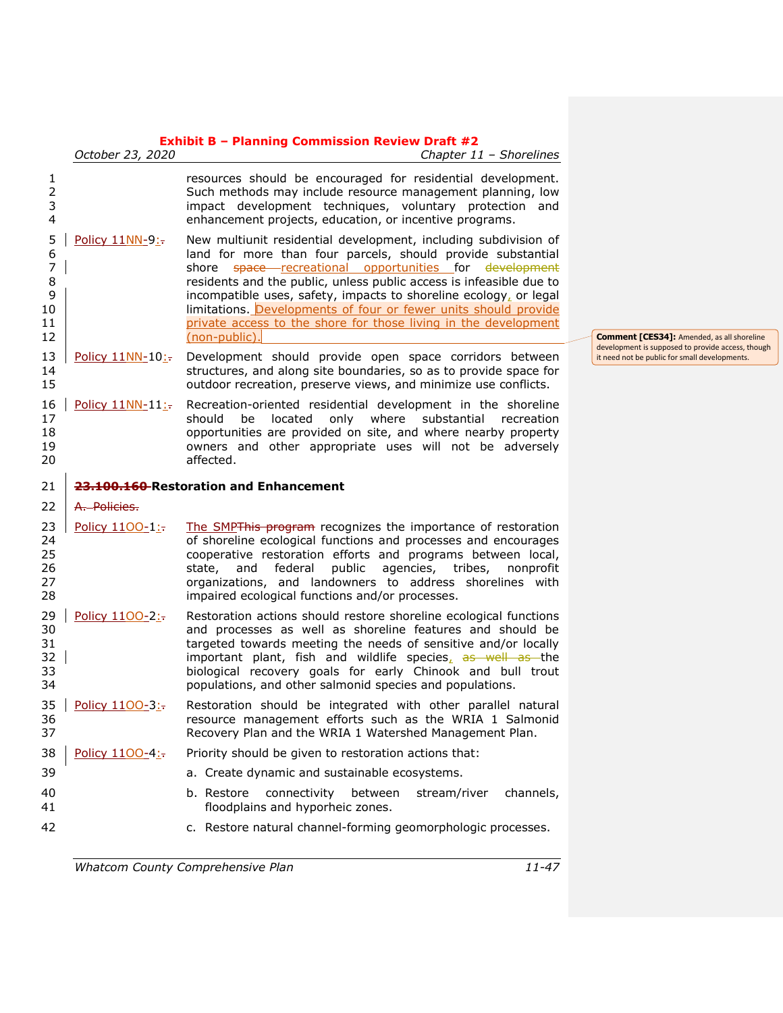|                                                      | October 23, 2020   | Chapter 11 - Shorelines                                                                                                                                                                                                                                                                                                                                                                                                                                                                     |                                                                                                    |
|------------------------------------------------------|--------------------|---------------------------------------------------------------------------------------------------------------------------------------------------------------------------------------------------------------------------------------------------------------------------------------------------------------------------------------------------------------------------------------------------------------------------------------------------------------------------------------------|----------------------------------------------------------------------------------------------------|
| 1<br>$\mathbf 2$<br>3<br>4                           |                    | resources should be encouraged for residential development.<br>Such methods may include resource management planning, low<br>impact development techniques, voluntary protection and<br>enhancement projects, education, or incentive programs.                                                                                                                                                                                                                                             |                                                                                                    |
| 5<br>6<br>$\overline{7}$<br>8<br>9<br>10<br>11<br>12 | Policy 11NN-9:-    | New multiunit residential development, including subdivision of<br>land for more than four parcels, should provide substantial<br>shore space recreational opportunities for development<br>residents and the public, unless public access is infeasible due to<br>incompatible uses, safety, impacts to shoreline ecology, or legal<br>limitations. Developments of four or fewer units should provide<br>private access to the shore for those living in the development<br>(non-public). | <b>Comment [CES34]:</b> Amended, as all shoreline                                                  |
| 13<br>14<br>15                                       | Policy 11NN-10:    | Development should provide open space corridors between<br>structures, and along site boundaries, so as to provide space for<br>outdoor recreation, preserve views, and minimize use conflicts.                                                                                                                                                                                                                                                                                             | development is supposed to provide access, though<br>it need not be public for small developments. |
| 16<br>17<br>18<br>19<br>20                           | Policy $11NN-11$ : | Recreation-oriented residential development in the shoreline<br>should<br>be located only where substantial recreation<br>opportunities are provided on site, and where nearby property<br>owners and other appropriate uses will not be adversely<br>affected.                                                                                                                                                                                                                             |                                                                                                    |
| 21                                                   |                    | 23.100.160-Restoration and Enhancement                                                                                                                                                                                                                                                                                                                                                                                                                                                      |                                                                                                    |
|                                                      |                    |                                                                                                                                                                                                                                                                                                                                                                                                                                                                                             |                                                                                                    |
| 22                                                   | A. Policies.       |                                                                                                                                                                                                                                                                                                                                                                                                                                                                                             |                                                                                                    |
| 23<br>24<br>25<br>26<br>27<br>28                     | Policy 1100-1:     | The SMPThis program recognizes the importance of restoration<br>of shoreline ecological functions and processes and encourages<br>cooperative restoration efforts and programs between local,<br>state, and federal public agencies, tribes, nonprofit<br>organizations, and landowners to address shorelines with<br>impaired ecological functions and/or processes.                                                                                                                       |                                                                                                    |
| 29<br>30<br>31<br>32<br>33<br>34                     | Policy 1100-2:     | Restoration actions should restore shoreline ecological functions<br>and processes as well as shoreline features and should be<br>targeted towards meeting the needs of sensitive and/or locally<br>important plant, fish and wildlife species, as well as the<br>biological recovery goals for early Chinook and bull trout<br>populations, and other salmonid species and populations.                                                                                                    |                                                                                                    |
| 35<br>36<br>37                                       | Policy 1100-3:     | Restoration should be integrated with other parallel natural<br>resource management efforts such as the WRIA 1 Salmonid<br>Recovery Plan and the WRIA 1 Watershed Management Plan.                                                                                                                                                                                                                                                                                                          |                                                                                                    |
| 38                                                   | Policy 1100-4:-    | Priority should be given to restoration actions that:                                                                                                                                                                                                                                                                                                                                                                                                                                       |                                                                                                    |
| 39                                                   |                    | a. Create dynamic and sustainable ecosystems.                                                                                                                                                                                                                                                                                                                                                                                                                                               |                                                                                                    |
| 40<br>41                                             |                    | b. Restore connectivity between<br>stream/river<br>channels,<br>floodplains and hyporheic zones.                                                                                                                                                                                                                                                                                                                                                                                            |                                                                                                    |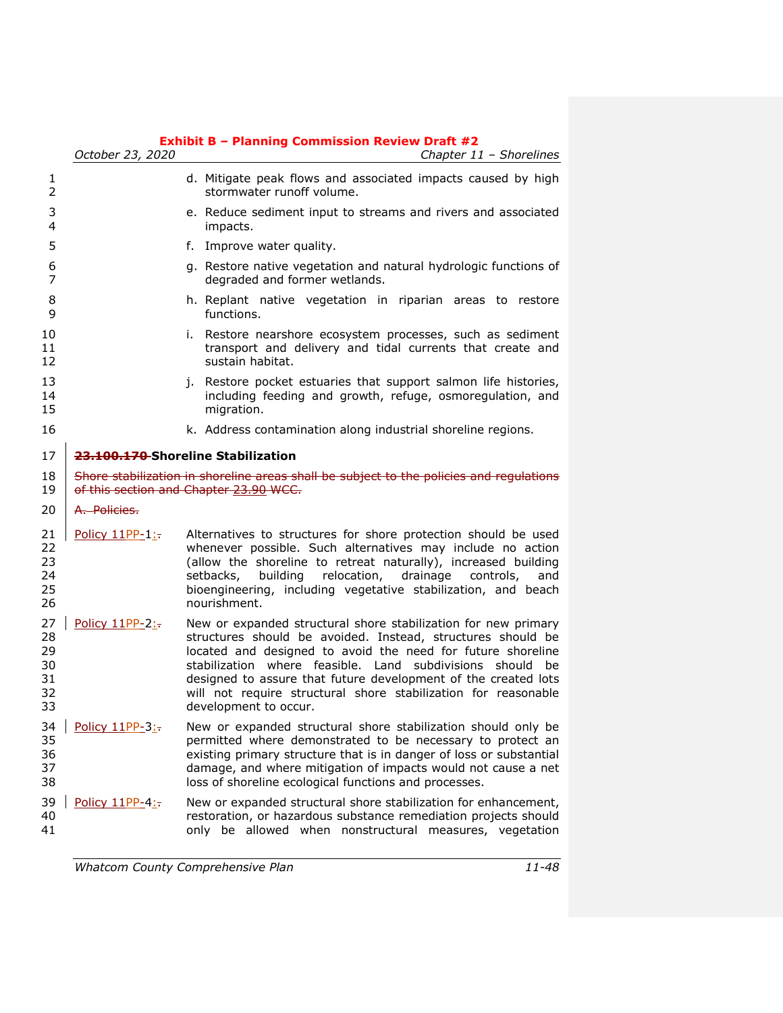|                                        | October 23, 2020                       | <b>Exhibit B - Planning Commission Review Draft #2</b><br>Chapter 11 - Shorelines                                                                                                                                                                                                                                                                                                                                      |
|----------------------------------------|----------------------------------------|------------------------------------------------------------------------------------------------------------------------------------------------------------------------------------------------------------------------------------------------------------------------------------------------------------------------------------------------------------------------------------------------------------------------|
| 1<br>2                                 |                                        | d. Mitigate peak flows and associated impacts caused by high<br>stormwater runoff volume.                                                                                                                                                                                                                                                                                                                              |
| 3<br>4                                 |                                        | e. Reduce sediment input to streams and rivers and associated<br>impacts.                                                                                                                                                                                                                                                                                                                                              |
| 5                                      |                                        | f. Improve water quality.                                                                                                                                                                                                                                                                                                                                                                                              |
| 6<br>7                                 |                                        | g. Restore native vegetation and natural hydrologic functions of<br>degraded and former wetlands.                                                                                                                                                                                                                                                                                                                      |
| 8<br>9                                 |                                        | h. Replant native vegetation in riparian areas to restore<br>functions.                                                                                                                                                                                                                                                                                                                                                |
| 10<br>11<br>12                         |                                        | i. Restore nearshore ecosystem processes, such as sediment<br>transport and delivery and tidal currents that create and<br>sustain habitat.                                                                                                                                                                                                                                                                            |
| 13<br>14<br>15                         |                                        | j. Restore pocket estuaries that support salmon life histories,<br>including feeding and growth, refuge, osmoregulation, and<br>migration.                                                                                                                                                                                                                                                                             |
| 16                                     |                                        | k. Address contamination along industrial shoreline regions.                                                                                                                                                                                                                                                                                                                                                           |
| 17                                     | 23.100.170-Shoreline Stabilization     |                                                                                                                                                                                                                                                                                                                                                                                                                        |
| 18<br>19                               | of this section and Chapter 23.90 WCC. | Shore stabilization in shoreline areas shall be subject to the policies and regulations                                                                                                                                                                                                                                                                                                                                |
| 20                                     | A. Policies.                           |                                                                                                                                                                                                                                                                                                                                                                                                                        |
| 21<br>22<br>23<br>24<br>25<br>26       | Policy 11PP-1:                         | Alternatives to structures for shore protection should be used<br>whenever possible. Such alternatives may include no action<br>(allow the shoreline to retreat naturally), increased building<br>setbacks,<br>building<br>relocation, drainage<br>controls,<br>and<br>bioengineering, including vegetative stabilization, and beach<br>nourishment.                                                                   |
| 27<br>28<br>29<br>30<br>31<br>32<br>33 | Policy 11PP-2:-                        | New or expanded structural shore stabilization for new primary<br>structures should be avoided. Instead, structures should be<br>located and designed to avoid the need for future shoreline<br>stabilization where feasible. Land subdivisions should be<br>designed to assure that future development of the created lots<br>will not require structural shore stabilization for reasonable<br>development to occur. |
| 34<br>35<br>36<br>37<br>38             | Policy 11PP-3:                         | New or expanded structural shore stabilization should only be<br>permitted where demonstrated to be necessary to protect an<br>existing primary structure that is in danger of loss or substantial<br>damage, and where mitigation of impacts would not cause a net<br>loss of shoreline ecological functions and processes.                                                                                           |
| 39<br>40<br>41                         | Policy 11PP-4:-                        | New or expanded structural shore stabilization for enhancement,<br>restoration, or hazardous substance remediation projects should<br>only be allowed when nonstructural measures, vegetation                                                                                                                                                                                                                          |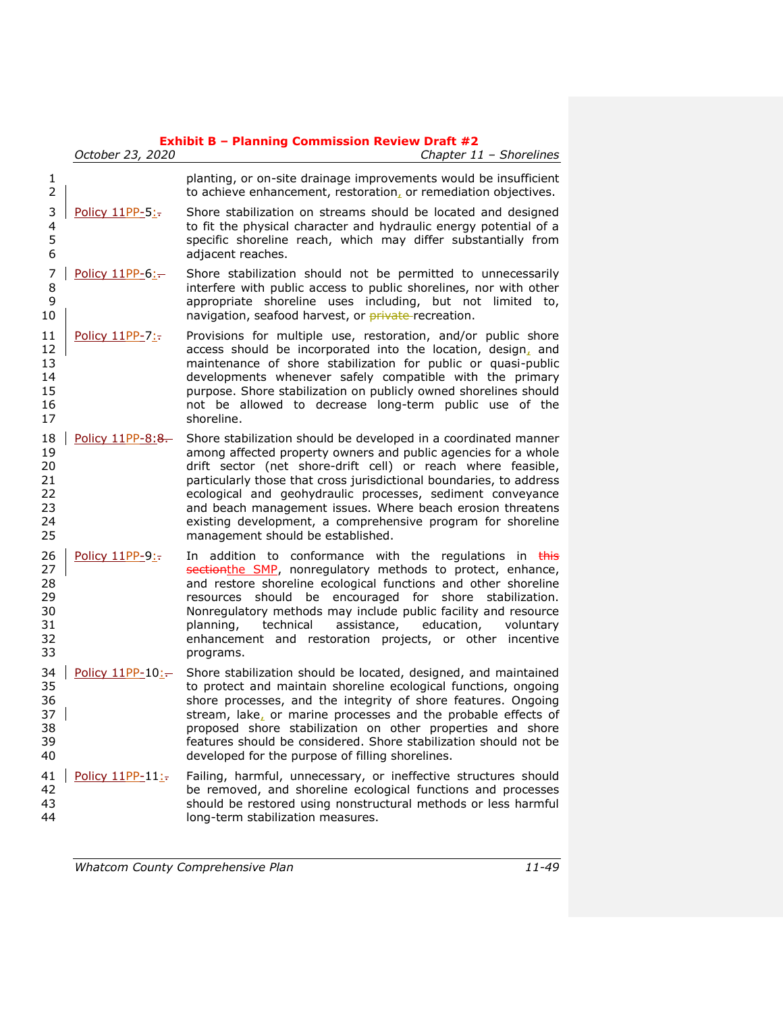|                                              | October 23, 2020  | <b>THE PROPERTY OF A PROPERTY AND I</b><br>Chapter 11 - Shorelines                                                                                                                                                                                                                                                                                                                                                                                                                                       |
|----------------------------------------------|-------------------|----------------------------------------------------------------------------------------------------------------------------------------------------------------------------------------------------------------------------------------------------------------------------------------------------------------------------------------------------------------------------------------------------------------------------------------------------------------------------------------------------------|
| 1<br>$\overline{2}$                          |                   | planting, or on-site drainage improvements would be insufficient<br>to achieve enhancement, restoration, or remediation objectives.                                                                                                                                                                                                                                                                                                                                                                      |
| 3<br>4<br>5<br>6                             | Policy 11PP-5:.   | Shore stabilization on streams should be located and designed<br>to fit the physical character and hydraulic energy potential of a<br>specific shoreline reach, which may differ substantially from<br>adjacent reaches.                                                                                                                                                                                                                                                                                 |
| 7<br>8<br>9<br>10                            | Policy 11PP-6:-   | Shore stabilization should not be permitted to unnecessarily<br>interfere with public access to public shorelines, nor with other<br>appropriate shoreline uses including, but not limited to,<br>navigation, seafood harvest, or private-recreation.                                                                                                                                                                                                                                                    |
| 11<br>12<br>13<br>14<br>15<br>16<br>17       | Policy 11PP-7:-   | Provisions for multiple use, restoration, and/or public shore<br>access should be incorporated into the location, design, and<br>maintenance of shore stabilization for public or quasi-public<br>developments whenever safely compatible with the primary<br>purpose. Shore stabilization on publicly owned shorelines should<br>not be allowed to decrease long-term public use of the<br>shoreline.                                                                                                   |
| 18<br>19<br>20<br>21<br>22<br>23<br>24<br>25 | Policy 11PP-8:8-  | Shore stabilization should be developed in a coordinated manner<br>among affected property owners and public agencies for a whole<br>drift sector (net shore-drift cell) or reach where feasible,<br>particularly those that cross jurisdictional boundaries, to address<br>ecological and geohydraulic processes, sediment conveyance<br>and beach management issues. Where beach erosion threatens<br>existing development, a comprehensive program for shoreline<br>management should be established. |
| 26<br>27<br>28<br>29<br>30<br>31<br>32<br>33 | Policy $11PP-9$ : | In addition to conformance with the regulations in this<br>sectionthe SMP, nonregulatory methods to protect, enhance,<br>and restore shoreline ecological functions and other shoreline<br>resources should be encouraged for shore stabilization.<br>Nonregulatory methods may include public facility and resource<br>technical<br>assistance, education,<br>planning,<br>voluntary<br>enhancement and restoration projects, or other incentive<br>programs.                                           |
| 34<br>35<br>36<br>37<br>38<br>39<br>40       | Policy 11PP-10:-  | Shore stabilization should be located, designed, and maintained<br>to protect and maintain shoreline ecological functions, ongoing<br>shore processes, and the integrity of shore features. Ongoing<br>stream, lake, or marine processes and the probable effects of<br>proposed shore stabilization on other properties and shore<br>features should be considered. Shore stabilization should not be<br>developed for the purpose of filling shorelines.                                               |
| 41<br>42<br>43<br>44                         | Policy 11PP-11:   | Failing, harmful, unnecessary, or ineffective structures should<br>be removed, and shoreline ecological functions and processes<br>should be restored using nonstructural methods or less harmful<br>long-term stabilization measures.                                                                                                                                                                                                                                                                   |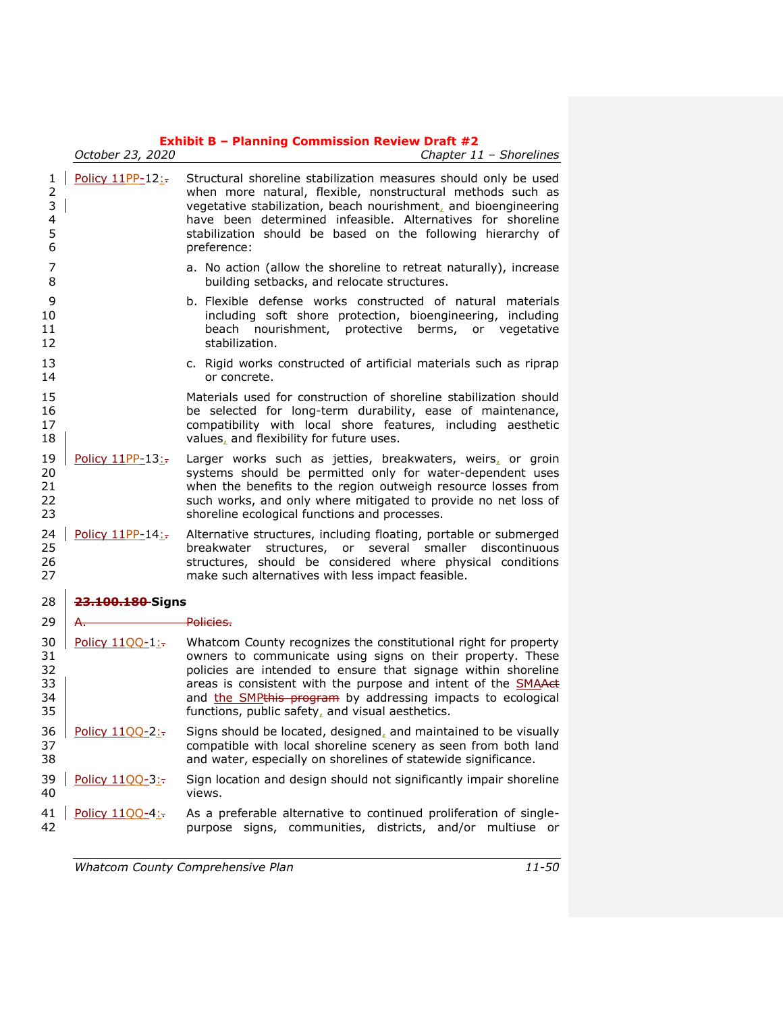|                                         | October 23, 2020   | Chapter 11 - Shorelines                                                                                                                                                                                                                                                                                                                                                                   |
|-----------------------------------------|--------------------|-------------------------------------------------------------------------------------------------------------------------------------------------------------------------------------------------------------------------------------------------------------------------------------------------------------------------------------------------------------------------------------------|
| 1<br>$\overline{2}$<br>3<br>4<br>5<br>6 | Policy 11PP-12:    | Structural shoreline stabilization measures should only be used<br>when more natural, flexible, nonstructural methods such as<br>vegetative stabilization, beach nourishment, and bioengineering<br>have been determined infeasible. Alternatives for shoreline<br>stabilization should be based on the following hierarchy of<br>preference:                                             |
| 7<br>8                                  |                    | a. No action (allow the shoreline to retreat naturally), increase<br>building setbacks, and relocate structures.                                                                                                                                                                                                                                                                          |
| 9<br>10<br>11<br>12                     |                    | b. Flexible defense works constructed of natural materials<br>including soft shore protection, bioengineering, including<br>beach nourishment, protective berms, or vegetative<br>stabilization.                                                                                                                                                                                          |
| 13<br>14                                |                    | c. Rigid works constructed of artificial materials such as riprap<br>or concrete.                                                                                                                                                                                                                                                                                                         |
| 15<br>16<br>17<br>18                    |                    | Materials used for construction of shoreline stabilization should<br>be selected for long-term durability, ease of maintenance,<br>compatibility with local shore features, including aesthetic<br>values, and flexibility for future uses.                                                                                                                                               |
| 19<br>20<br>21<br>22<br>23              | Policy 11PP-13:-   | Larger works such as jetties, breakwaters, weirs, or groin<br>systems should be permitted only for water-dependent uses<br>when the benefits to the region outweigh resource losses from<br>such works, and only where mitigated to provide no net loss of<br>shoreline ecological functions and processes.                                                                               |
| 24<br>25<br>26<br>27                    | Policy $11PP-14$ : | Alternative structures, including floating, portable or submerged<br>breakwater<br>structures, or several<br>smaller discontinuous<br>structures, should be considered where physical conditions<br>make such alternatives with less impact feasible.                                                                                                                                     |
| 28                                      | 23.100.180-Signs   |                                                                                                                                                                                                                                                                                                                                                                                           |
| 29                                      | Policies.<br>А.    |                                                                                                                                                                                                                                                                                                                                                                                           |
| 30<br>31<br>32<br>33<br>34<br>35        | Policy 1100-1:     | Whatcom County recognizes the constitutional right for property<br>owners to communicate using signs on their property. These<br>policies are intended to ensure that signage within shoreline<br>areas is consistent with the purpose and intent of the <b>SMAAct</b><br>and the SMPthis program by addressing impacts to ecological<br>functions, public safety, and visual aesthetics. |
| 36<br>37<br>38                          | Policy 11QQ-2:-    | Signs should be located, designed, and maintained to be visually<br>compatible with local shoreline scenery as seen from both land<br>and water, especially on shorelines of statewide significance.                                                                                                                                                                                      |
| 39<br>40                                | Policy 11QQ-3:-    | Sign location and design should not significantly impair shoreline<br>views.                                                                                                                                                                                                                                                                                                              |
| 41<br>42                                | Policy 1100-4:-    | As a preferable alternative to continued proliferation of single-<br>purpose signs, communities, districts, and/or multiuse or                                                                                                                                                                                                                                                            |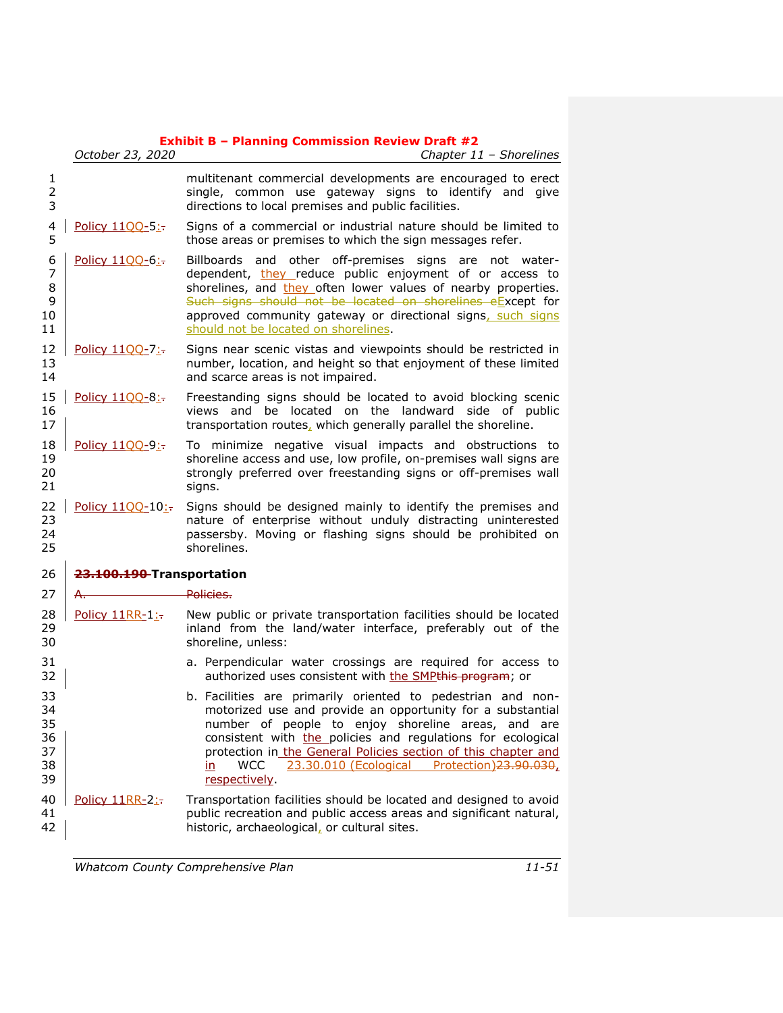|                                           | October 23, 2020          | Chapter 11 - Shorelines                                                                                                                                                                                                                                                                                                                                                                                  |
|-------------------------------------------|---------------------------|----------------------------------------------------------------------------------------------------------------------------------------------------------------------------------------------------------------------------------------------------------------------------------------------------------------------------------------------------------------------------------------------------------|
| 1<br>$\overline{2}$<br>3                  |                           | multitenant commercial developments are encouraged to erect<br>single, common use gateway signs to identify and give<br>directions to local premises and public facilities.                                                                                                                                                                                                                              |
| 4<br>5                                    | Policy 1100-5:-           | Signs of a commercial or industrial nature should be limited to<br>those areas or premises to which the sign messages refer.                                                                                                                                                                                                                                                                             |
| 6<br>$\overline{7}$<br>8<br>9<br>10<br>11 | Policy 1100-6:-           | Billboards and other off-premises signs are not water-<br>dependent, they reduce public enjoyment of or access to<br>shorelines, and they often lower values of nearby properties.<br>Such signs should not be located on shorelines eExcept for<br>approved community gateway or directional signs, such signs<br>should not be located on shorelines.                                                  |
| 12<br>13<br>14                            | Policy 11QQ-7:-           | Signs near scenic vistas and viewpoints should be restricted in<br>number, location, and height so that enjoyment of these limited<br>and scarce areas is not impaired.                                                                                                                                                                                                                                  |
| 15<br>16<br>17                            | Policy 11QQ-8:-           | Freestanding signs should be located to avoid blocking scenic<br>views and be located on the landward<br>side of public<br>transportation routes, which generally parallel the shoreline.                                                                                                                                                                                                                |
| 18<br>19<br>20<br>21                      | Policy 11QQ-9:-           | To minimize negative visual impacts and obstructions to<br>shoreline access and use, low profile, on-premises wall signs are<br>strongly preferred over freestanding signs or off-premises wall<br>signs.                                                                                                                                                                                                |
| 22<br>23<br>24<br>25                      | Policy 11QQ-10:-          | Signs should be designed mainly to identify the premises and<br>nature of enterprise without unduly distracting uninterested<br>passersby. Moving or flashing signs should be prohibited on<br>shorelines.                                                                                                                                                                                               |
| 26                                        | 23.100.190-Transportation |                                                                                                                                                                                                                                                                                                                                                                                                          |
| 27                                        | А.                        | Policies.                                                                                                                                                                                                                                                                                                                                                                                                |
| 28<br>29<br>30                            | Policy 11RR-1:-           | New public or private transportation facilities should be located<br>inland from the land/water interface, preferably out of the<br>shoreline, unless:                                                                                                                                                                                                                                                   |
| 31<br>32                                  |                           | a. Perpendicular water crossings are required for access to<br>authorized uses consistent with the SMPthis program; or                                                                                                                                                                                                                                                                                   |
| 33<br>34<br>35<br>36<br>37<br>38<br>39    |                           | b. Facilities are primarily oriented to pedestrian and non-<br>motorized use and provide an opportunity for a substantial<br>number of people to enjoy shoreline areas, and are<br>consistent with the policies and regulations for ecological<br>protection in the General Policies section of this chapter and<br>23.30.010 (Ecological<br>Protection) 23.90.030<br><b>WCC</b><br>in.<br>respectively. |
| 40<br>41<br>42                            | Policy 11RR-2:            | Transportation facilities should be located and designed to avoid<br>public recreation and public access areas and significant natural,<br>historic, archaeological, or cultural sites.                                                                                                                                                                                                                  |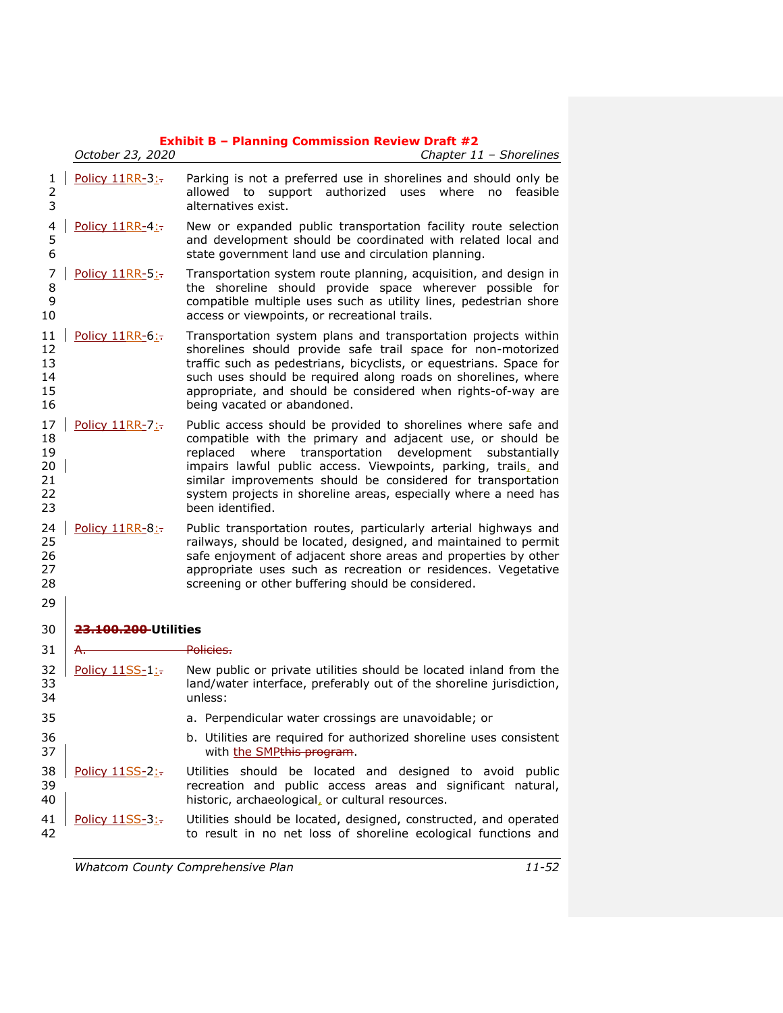|                                        | October 23, 2020                 | $\mathbf{m}$ , $\mathbf{b}$ , $\mathbf{r}$ ranning commission review Diant<br>Chapter 11 - Shorelines                                                                                                                                                                                                                                                                                                                    |
|----------------------------------------|----------------------------------|--------------------------------------------------------------------------------------------------------------------------------------------------------------------------------------------------------------------------------------------------------------------------------------------------------------------------------------------------------------------------------------------------------------------------|
| 1<br>2<br>3                            | Policy 11RR-3:-                  | Parking is not a preferred use in shorelines and should only be<br>support authorized uses<br>feasible<br>allowed to<br>where<br>no<br>alternatives exist.                                                                                                                                                                                                                                                               |
| 4<br>5<br>6                            | Policy 11RR-4:-                  | New or expanded public transportation facility route selection<br>and development should be coordinated with related local and<br>state government land use and circulation planning.                                                                                                                                                                                                                                    |
| 7<br>8<br>9<br>10                      | Policy 11RR-5:                   | Transportation system route planning, acquisition, and design in<br>the shoreline should provide space wherever possible for<br>compatible multiple uses such as utility lines, pedestrian shore<br>access or viewpoints, or recreational trails.                                                                                                                                                                        |
| 11<br>12<br>13<br>14<br>15<br>16       | Policy 11RR-6:-                  | Transportation system plans and transportation projects within<br>shorelines should provide safe trail space for non-motorized<br>traffic such as pedestrians, bicyclists, or equestrians. Space for<br>such uses should be required along roads on shorelines, where<br>appropriate, and should be considered when rights-of-way are<br>being vacated or abandoned.                                                     |
| 17<br>18<br>19<br>20<br>21<br>22<br>23 | Policy 11RR-7:-                  | Public access should be provided to shorelines where safe and<br>compatible with the primary and adjacent use, or should be<br>replaced<br>where<br>transportation<br>development substantially<br>impairs lawful public access. Viewpoints, parking, trails, and<br>similar improvements should be considered for transportation<br>system projects in shoreline areas, especially where a need has<br>been identified. |
| 24<br>25<br>26<br>27<br>28             | Policy 11RR-8:-                  | Public transportation routes, particularly arterial highways and<br>railways, should be located, designed, and maintained to permit<br>safe enjoyment of adjacent shore areas and properties by other<br>appropriate uses such as recreation or residences. Vegetative<br>screening or other buffering should be considered.                                                                                             |
| 29                                     |                                  |                                                                                                                                                                                                                                                                                                                                                                                                                          |
| 30                                     | <del>23.100.200 </del> Utilities |                                                                                                                                                                                                                                                                                                                                                                                                                          |
| 31                                     | А.                               | <del>Policies.</del>                                                                                                                                                                                                                                                                                                                                                                                                     |
| 32<br>33<br>34                         | Policy 11SS-1:                   | New public or private utilities should be located inland from the<br>land/water interface, preferably out of the shoreline jurisdiction,<br>unless:                                                                                                                                                                                                                                                                      |
| 35                                     |                                  | a. Perpendicular water crossings are unavoidable; or                                                                                                                                                                                                                                                                                                                                                                     |
| 36<br>37                               |                                  | b. Utilities are required for authorized shoreline uses consistent<br>with the SMPthis program.                                                                                                                                                                                                                                                                                                                          |
| 38<br>39<br>40                         | Policy 11SS-2:                   | Utilities should be located and designed to avoid public<br>recreation and public access areas and significant natural,<br>historic, archaeological, or cultural resources.                                                                                                                                                                                                                                              |
| 41<br>42                               | Policy 11SS-3:                   | Utilities should be located, designed, constructed, and operated<br>to result in no net loss of shoreline ecological functions and                                                                                                                                                                                                                                                                                       |